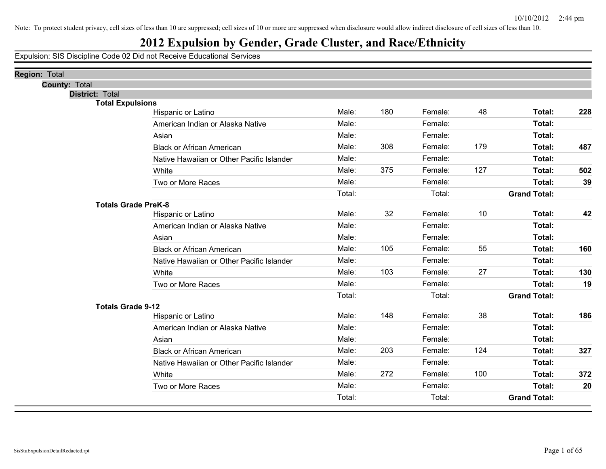## **2012 Expulsion by Gender, Grade Cluster, and Race/Ethnicity**

| <b>Region: Total</b>     |                                           |        |     |         |     |                     |     |
|--------------------------|-------------------------------------------|--------|-----|---------|-----|---------------------|-----|
| <b>County: Total</b>     |                                           |        |     |         |     |                     |     |
| <b>District: Total</b>   |                                           |        |     |         |     |                     |     |
| <b>Total Expulsions</b>  | Hispanic or Latino                        | Male:  | 180 | Female: | 48  | Total:              | 228 |
|                          | American Indian or Alaska Native          | Male:  |     | Female: |     | Total:              |     |
|                          | Asian                                     | Male:  |     | Female: |     | Total:              |     |
|                          | <b>Black or African American</b>          | Male:  | 308 | Female: | 179 | Total:              | 487 |
|                          | Native Hawaiian or Other Pacific Islander | Male:  |     | Female: |     | Total:              |     |
|                          |                                           | Male:  | 375 | Female: | 127 |                     |     |
|                          | White                                     |        |     |         |     | Total:              | 502 |
|                          | Two or More Races                         | Male:  |     | Female: |     | Total:              | 39  |
|                          |                                           | Total: |     | Total:  |     | <b>Grand Total:</b> |     |
|                          | <b>Totals Grade PreK-8</b>                | Male:  | 32  | Female: | 10  | Total:              | 42  |
|                          | Hispanic or Latino                        | Male:  |     | Female: |     | Total:              |     |
|                          | American Indian or Alaska Native          |        |     |         |     |                     |     |
|                          | Asian                                     | Male:  |     | Female: |     | Total:              |     |
|                          | <b>Black or African American</b>          | Male:  | 105 | Female: | 55  | Total:              | 160 |
|                          | Native Hawaiian or Other Pacific Islander | Male:  |     | Female: |     | Total:              |     |
|                          | White                                     | Male:  | 103 | Female: | 27  | Total:              | 130 |
|                          | Two or More Races                         | Male:  |     | Female: |     | Total:              | 19  |
|                          |                                           | Total: |     | Total:  |     | <b>Grand Total:</b> |     |
| <b>Totals Grade 9-12</b> |                                           |        |     |         |     |                     |     |
|                          | Hispanic or Latino                        | Male:  | 148 | Female: | 38  | Total:              | 186 |
|                          | American Indian or Alaska Native          | Male:  |     | Female: |     | Total:              |     |
|                          | Asian                                     | Male:  |     | Female: |     | Total:              |     |
|                          | <b>Black or African American</b>          | Male:  | 203 | Female: | 124 | Total:              | 327 |
|                          | Native Hawaiian or Other Pacific Islander | Male:  |     | Female: |     | Total:              |     |
|                          | White                                     | Male:  | 272 | Female: | 100 | Total:              | 372 |
|                          | Two or More Races                         | Male:  |     | Female: |     | <b>Total:</b>       | 20  |
|                          |                                           | Total: |     | Total:  |     | <b>Grand Total:</b> |     |
|                          |                                           |        |     |         |     |                     |     |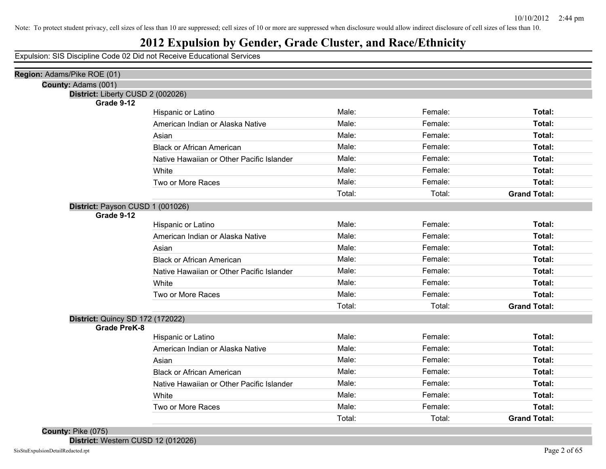#### **2012 Expulsion by Gender, Grade Cluster, and Race/Ethnicity**

Expulsion: SIS Discipline Code 02 Did not Receive Educational Services

| Region: Adams/Pike ROE (01)                     |                                           |        |         |                     |
|-------------------------------------------------|-------------------------------------------|--------|---------|---------------------|
| County: Adams (001)                             |                                           |        |         |                     |
| District: Liberty CUSD 2 (002026)<br>Grade 9-12 |                                           |        |         |                     |
|                                                 | Hispanic or Latino                        | Male:  | Female: | Total:              |
|                                                 | American Indian or Alaska Native          | Male:  | Female: | Total:              |
|                                                 | Asian                                     | Male:  | Female: | Total:              |
|                                                 | <b>Black or African American</b>          | Male:  | Female: | Total:              |
|                                                 | Native Hawaiian or Other Pacific Islander | Male:  | Female: | Total:              |
|                                                 | White                                     | Male:  | Female: | Total:              |
|                                                 | Two or More Races                         | Male:  | Female: | Total:              |
|                                                 |                                           | Total: | Total:  | <b>Grand Total:</b> |
|                                                 |                                           |        |         |                     |
| District: Payson CUSD 1 (001026)<br>Grade 9-12  |                                           |        |         |                     |
|                                                 | Hispanic or Latino                        | Male:  | Female: | Total:              |
|                                                 | American Indian or Alaska Native          | Male:  | Female: | Total:              |
|                                                 | Asian                                     | Male:  | Female: | Total:              |
|                                                 | <b>Black or African American</b>          | Male:  | Female: | Total:              |
|                                                 | Native Hawaiian or Other Pacific Islander | Male:  | Female: | Total:              |
|                                                 | White                                     | Male:  | Female: | Total:              |
|                                                 | Two or More Races                         | Male:  | Female: | Total:              |
|                                                 |                                           | Total: | Total:  | <b>Grand Total:</b> |
| <b>District: Quincy SD 172 (172022)</b>         |                                           |        |         |                     |
| <b>Grade PreK-8</b>                             |                                           |        |         |                     |
|                                                 | Hispanic or Latino                        | Male:  | Female: | Total:              |
|                                                 | American Indian or Alaska Native          | Male:  | Female: | Total:              |
|                                                 | Asian                                     | Male:  | Female: | Total:              |
|                                                 | <b>Black or African American</b>          | Male:  | Female: | Total:              |
|                                                 | Native Hawaiian or Other Pacific Islander | Male:  | Female: | Total:              |
|                                                 | White                                     | Male:  | Female: | Total:              |
|                                                 | Two or More Races                         | Male:  | Female: | Total:              |
|                                                 |                                           | Total: | Total:  | <b>Grand Total:</b> |
|                                                 |                                           |        |         |                     |

#### **County:** Pike (075)

**District:** Western CUSD 12 (012026)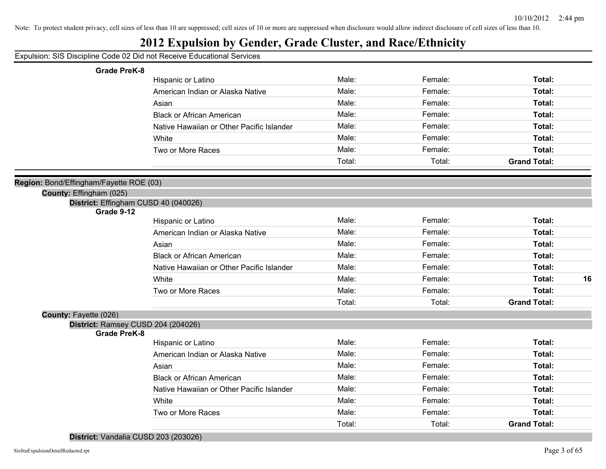#### **2012 Expulsion by Gender, Grade Cluster, and Race/Ethnicity**

| <b>Grade PreK-8</b>                                                |                                           |        |         |                     |
|--------------------------------------------------------------------|-------------------------------------------|--------|---------|---------------------|
|                                                                    | Hispanic or Latino                        | Male:  | Female: | Total:              |
|                                                                    | American Indian or Alaska Native          | Male:  | Female: | Total:              |
|                                                                    | Asian                                     | Male:  | Female: | Total:              |
|                                                                    | <b>Black or African American</b>          | Male:  | Female: | Total:              |
|                                                                    | Native Hawaiian or Other Pacific Islander | Male:  | Female: | Total:              |
|                                                                    | White                                     | Male:  | Female: | Total:              |
|                                                                    | Two or More Races                         | Male:  | Female: | Total:              |
|                                                                    |                                           | Total: | Total:  | <b>Grand Total:</b> |
|                                                                    |                                           |        |         |                     |
| Region: Bond/Effingham/Fayette ROE (03)<br>County: Effingham (025) |                                           |        |         |                     |
| District: Effingham CUSD 40 (040026)                               |                                           |        |         |                     |
| Grade 9-12                                                         |                                           |        |         |                     |
|                                                                    | Hispanic or Latino                        | Male:  | Female: | Total:              |
|                                                                    | American Indian or Alaska Native          | Male:  | Female: | Total:              |
|                                                                    | Asian                                     | Male:  | Female: | Total:              |
|                                                                    | <b>Black or African American</b>          | Male:  | Female: | Total:              |
|                                                                    | Native Hawaiian or Other Pacific Islander | Male:  | Female: | Total:              |
|                                                                    | White                                     | Male:  | Female: | Total:<br>16        |
|                                                                    | Two or More Races                         | Male:  | Female: | Total:              |
|                                                                    |                                           | Total: | Total:  | <b>Grand Total:</b> |
| <b>County: Fayette (026)</b>                                       |                                           |        |         |                     |
| District: Ramsey CUSD 204 (204026)<br><b>Grade PreK-8</b>          |                                           |        |         |                     |
|                                                                    | Hispanic or Latino                        | Male:  | Female: | Total:              |
|                                                                    | American Indian or Alaska Native          | Male:  | Female: | Total:              |
|                                                                    | Asian                                     | Male:  | Female: | Total:              |
|                                                                    | <b>Black or African American</b>          | Male:  | Female: | Total:              |
|                                                                    | Native Hawaiian or Other Pacific Islander | Male:  | Female: | Total:              |
|                                                                    | White                                     | Male:  | Female: | Total:              |
|                                                                    | Two or More Races                         | Male:  | Female: | Total:              |
|                                                                    |                                           | Total: | Total:  | <b>Grand Total:</b> |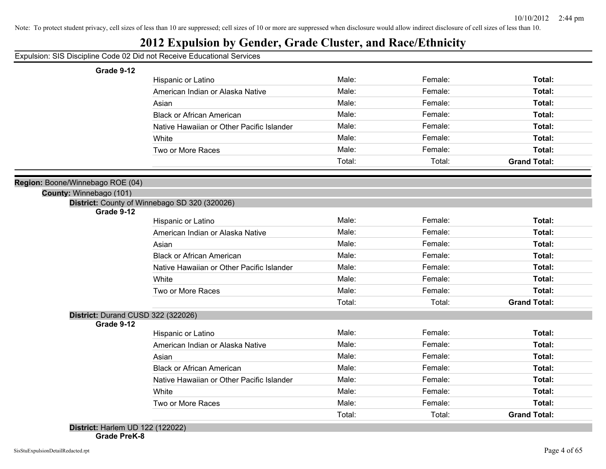#### **2012 Expulsion by Gender, Grade Cluster, and Race/Ethnicity**

Expulsion: SIS Discipline Code 02 Did not Receive Educational Services

| Grade 9-12                         |                                               |        |         |                     |
|------------------------------------|-----------------------------------------------|--------|---------|---------------------|
|                                    | Hispanic or Latino                            | Male:  | Female: | Total:              |
|                                    | American Indian or Alaska Native              | Male:  | Female: | Total:              |
|                                    | Asian                                         | Male:  | Female: | Total:              |
|                                    | <b>Black or African American</b>              | Male:  | Female: | Total:              |
|                                    | Native Hawaiian or Other Pacific Islander     | Male:  | Female: | Total:              |
|                                    | White                                         | Male:  | Female: | Total:              |
|                                    | Two or More Races                             | Male:  | Female: | Total:              |
|                                    |                                               | Total: | Total:  | <b>Grand Total:</b> |
|                                    |                                               |        |         |                     |
| Boone/Winnebago ROE (04)           |                                               |        |         |                     |
| County: Winnebago (101)            |                                               |        |         |                     |
| Grade 9-12                         | District: County of Winnebago SD 320 (320026) |        |         |                     |
|                                    | Hispanic or Latino                            | Male:  | Female: | Total:              |
|                                    | American Indian or Alaska Native              | Male:  | Female: | Total:              |
|                                    | Asian                                         | Male:  | Female: | Total:              |
|                                    | <b>Black or African American</b>              | Male:  | Female: | Total:              |
|                                    | Native Hawaiian or Other Pacific Islander     | Male:  | Female: | Total:              |
|                                    | White                                         | Male:  | Female: | Total:              |
|                                    | Two or More Races                             | Male:  | Female: | Total:              |
|                                    |                                               | Total: | Total:  | <b>Grand Total:</b> |
| District: Durand CUSD 322 (322026) |                                               |        |         |                     |
| Grade 9-12                         |                                               |        |         |                     |
|                                    | Hispanic or Latino                            | Male:  | Female: | Total:              |
|                                    | American Indian or Alaska Native              | Male:  | Female: | Total:              |
|                                    | Asian                                         | Male:  | Female: | Total:              |
|                                    | <b>Black or African American</b>              | Male:  | Female: | Total:              |
|                                    | Native Hawaiian or Other Pacific Islander     | Male:  | Female: | Total:              |
|                                    | White                                         | Male:  | Female: | Total:              |
|                                    | Two or More Races                             | Male:  | Female: | Total:              |

**Region: Boone/Winnebago** 

Total: Total: **Grand Total:**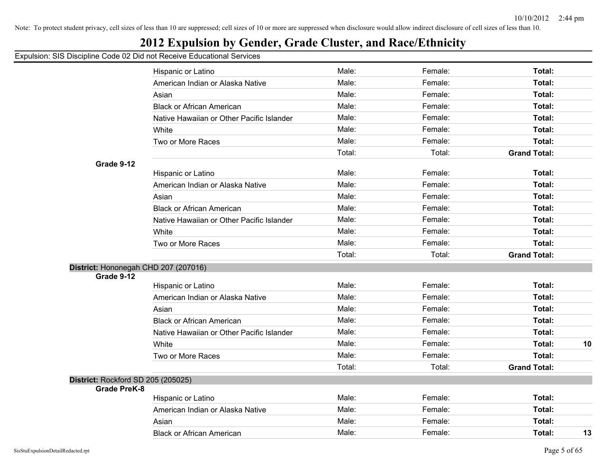## **2012 Expulsion by Gender, Grade Cluster, and Race/Ethnicity**

|                                    | Hispanic or Latino                        | Male:  | Female: | Total:              |    |
|------------------------------------|-------------------------------------------|--------|---------|---------------------|----|
|                                    | American Indian or Alaska Native          | Male:  | Female: | <b>Total:</b>       |    |
|                                    | Asian                                     | Male:  | Female: | <b>Total:</b>       |    |
|                                    | <b>Black or African American</b>          | Male:  | Female: | <b>Total:</b>       |    |
|                                    | Native Hawaiian or Other Pacific Islander | Male:  | Female: | Total:              |    |
|                                    | White                                     | Male:  | Female: | <b>Total:</b>       |    |
|                                    | Two or More Races                         | Male:  | Female: | <b>Total:</b>       |    |
|                                    |                                           | Total: | Total:  | <b>Grand Total:</b> |    |
| Grade 9-12                         |                                           |        |         |                     |    |
|                                    | Hispanic or Latino                        | Male:  | Female: | Total:              |    |
|                                    | American Indian or Alaska Native          | Male:  | Female: | Total:              |    |
|                                    | Asian                                     | Male:  | Female: | <b>Total:</b>       |    |
|                                    | <b>Black or African American</b>          | Male:  | Female: | <b>Total:</b>       |    |
|                                    | Native Hawaiian or Other Pacific Islander | Male:  | Female: | <b>Total:</b>       |    |
|                                    | White                                     | Male:  | Female: | <b>Total:</b>       |    |
|                                    | Two or More Races                         | Male:  | Female: | Total:              |    |
|                                    |                                           | Total: | Total:  | <b>Grand Total:</b> |    |
|                                    | District: Hononegah CHD 207 (207016)      |        |         |                     |    |
| Grade 9-12                         |                                           |        |         |                     |    |
|                                    | Hispanic or Latino                        | Male:  | Female: | Total:              |    |
|                                    | American Indian or Alaska Native          | Male:  | Female: | Total:              |    |
|                                    | Asian                                     | Male:  | Female: | Total:              |    |
|                                    | <b>Black or African American</b>          | Male:  | Female: | <b>Total:</b>       |    |
|                                    | Native Hawaiian or Other Pacific Islander | Male:  | Female: | <b>Total:</b>       |    |
|                                    | White                                     | Male:  | Female: | Total:              | 10 |
|                                    | Two or More Races                         | Male:  | Female: | <b>Total:</b>       |    |
|                                    |                                           | Total: | Total:  | <b>Grand Total:</b> |    |
| District: Rockford SD 205 (205025) |                                           |        |         |                     |    |
| <b>Grade PreK-8</b>                | Hispanic or Latino                        | Male:  | Female: | Total:              |    |
|                                    | American Indian or Alaska Native          | Male:  | Female: | <b>Total:</b>       |    |
|                                    | Asian                                     | Male:  | Female: | <b>Total:</b>       |    |
|                                    | <b>Black or African American</b>          | Male:  | Female: | Total:              | 13 |
|                                    |                                           |        |         |                     |    |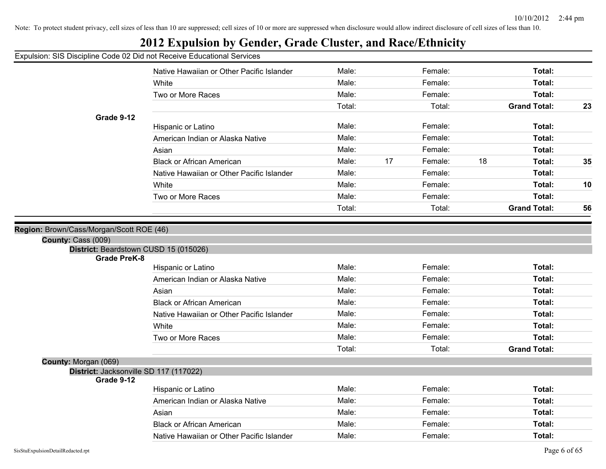#### Expulsion: SIS Discipline Code 02 Did not Receive Educational Services Native Hawaiian or Other Pacific Islander **Male:** Female: Female: **Total:** Total: White **Total:** Male: Female: **Total:** Female: **Total:** Female: Total: Two or More Races **Total: Total: Male: Total: Total: Total: Total: Total: Total: Total: Total: Total: Total: Total: Total: Total: Total: Total: Total: Total: Total: Total: Total:** Total: Total: **Grand Total: 23 Grade 9-12** Hispanic or Latino **Male:** Male: **Female:** Female: **Total:** Total: American Indian or Alaska Native **Male:** Male: Total: Female: Total: Total: Asian **Male: Total: Propose Assume Male: Total: Total: Total: Total: Total: Total: Total: Total: Total: Total: Total: Total: Total: Total: Total: Total: Total: Total: Total: Tota** Black or African American Male: 17 Female: 18 **Total: 35** Native Hawaiian or Other Pacific Islander **Male:** Female: Female: Total: White **Male:** Male: **Female:** Female: **Total: 10** Two or More Races Male: Female: **Total:** Total: Total: **Grand Total: 56 Region:** Brown/Cass/Morgan/Scott ROE (46) **County:** Cass (009) **District:** Beardstown CUSD 15 (015026) **Grade PreK-8** Hispanic or Latino **Male:** Male: **Female:** Female: **Total:** Total: American Indian or Alaska Native **Male:** Male: Total: Female: Total: Total: Total: Asian **Male: Total: Propose Assume Male: Total: Total: Total: Total: Total: Total: Total: Total: Total: Total: Total: Total: Total: Total: Total: Total: Total: Total: Total: Tota** Black or African American Male: Female: **Total:** Native Hawaiian or Other Pacific Islander **Male:** Total: Female: Total: Total: White **Total:** Male: Female: **Total:** Female: **Total:** Female: Total: Two or More Races **Total: Male:** Female: **Female: Total: Total: Total: Total: Total: Total: Total: Total: Total: Total: Total: Total: Total: Total: Total: Total: Total: Total: Total:** Total: Total: **Grand Total: County:** Morgan (069) **District:** Jacksonville SD 117 (117022) **Grade 9-12** Hispanic or Latino **Male:** Male: **Female:** Female: **Total:** Total: American Indian or Alaska Native **Male:** Male: Total: Female: Total: Total: Total: Asian **Male: Total: Propose Assume Male: Total: Total: Total: Total: Total: Total: Total: Total: Total: Total: Total: Total: Total: Total: Total: Total: Total: Total: Total: Tota** Black or African American Male: Female: **Total:** Native Hawaiian or Other Pacific Islander **Male:** All Alle: Female: Total: Total: Total: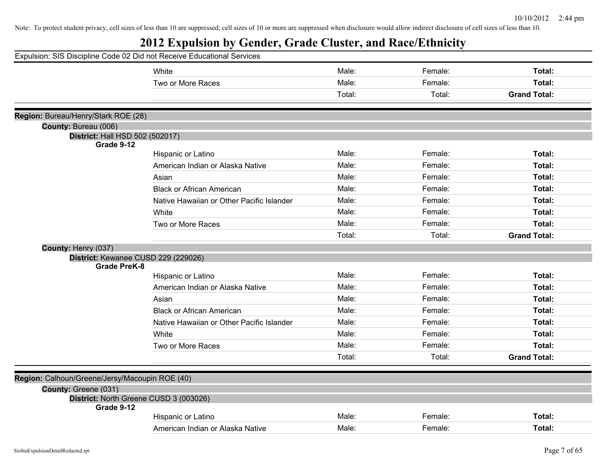|                                                         | Expulsion: SIS Discipline Code 02 Did not Receive Educational Services |        |         |                     |
|---------------------------------------------------------|------------------------------------------------------------------------|--------|---------|---------------------|
|                                                         | White                                                                  | Male:  | Female: | Total:              |
|                                                         | Two or More Races                                                      | Male:  | Female: | Total:              |
|                                                         |                                                                        | Total: | Total:  | <b>Grand Total:</b> |
|                                                         |                                                                        |        |         |                     |
| Region: Bureau/Henry/Stark ROE (28)                     |                                                                        |        |         |                     |
| County: Bureau (006)<br>District: Hall HSD 502 (502017) |                                                                        |        |         |                     |
| Grade 9-12                                              |                                                                        |        |         |                     |
|                                                         | Hispanic or Latino                                                     | Male:  | Female: | Total:              |
|                                                         | American Indian or Alaska Native                                       | Male:  | Female: | Total:              |
|                                                         | Asian                                                                  | Male:  | Female: | Total:              |
|                                                         | <b>Black or African American</b>                                       | Male:  | Female: | Total:              |
|                                                         | Native Hawaiian or Other Pacific Islander                              | Male:  | Female: | Total:              |
|                                                         | White                                                                  | Male:  | Female: | Total:              |
|                                                         | Two or More Races                                                      | Male:  | Female: | Total:              |
|                                                         |                                                                        | Total: | Total:  | <b>Grand Total:</b> |
| County: Henry (037)                                     |                                                                        |        |         |                     |
|                                                         | District: Kewanee CUSD 229 (229026)                                    |        |         |                     |
| <b>Grade PreK-8</b>                                     |                                                                        | Male:  | Female: |                     |
|                                                         | Hispanic or Latino                                                     |        |         | Total:              |
|                                                         | American Indian or Alaska Native                                       | Male:  | Female: | Total:              |
|                                                         | Asian                                                                  | Male:  | Female: | Total:              |
|                                                         | <b>Black or African American</b>                                       | Male:  | Female: | Total:              |
|                                                         | Native Hawaiian or Other Pacific Islander                              | Male:  | Female: | Total:              |
|                                                         | White                                                                  | Male:  | Female: | Total:              |
|                                                         | Two or More Races                                                      | Male:  | Female: | Total:              |
|                                                         |                                                                        | Total: | Total:  | <b>Grand Total:</b> |
|                                                         |                                                                        |        |         |                     |
| Region: Calhoun/Greene/Jersy/Macoupin ROE (40)          |                                                                        |        |         |                     |
| County: Greene (031)                                    |                                                                        |        |         |                     |
| Grade 9-12                                              | District: North Greene CUSD 3 (003026)                                 |        |         |                     |
|                                                         | Hispanic or Latino                                                     | Male:  | Female: | Total:              |
|                                                         | American Indian or Alaska Native                                       | Male:  | Female: | Total:              |
|                                                         |                                                                        |        |         |                     |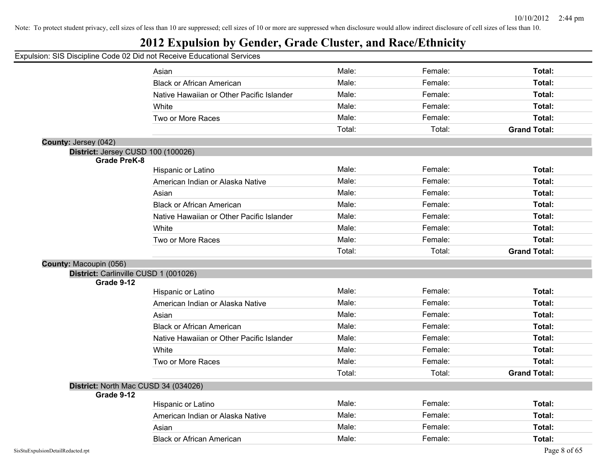## **2012 Expulsion by Gender, Grade Cluster, and Race/Ethnicity**

|                                                    | 0011. OIO DIOOIPIINO OOGO 02 DIGTIOLI (000170 LGGGGGGIONGI OOI 71000 |        |         |                     |
|----------------------------------------------------|----------------------------------------------------------------------|--------|---------|---------------------|
|                                                    | Asian                                                                | Male:  | Female: | Total:              |
|                                                    | <b>Black or African American</b>                                     | Male:  | Female: | Total:              |
|                                                    | Native Hawaiian or Other Pacific Islander                            | Male:  | Female: | Total:              |
|                                                    | White                                                                | Male:  | Female: | Total:              |
|                                                    | Two or More Races                                                    | Male:  | Female: | Total:              |
|                                                    |                                                                      | Total: | Total:  | <b>Grand Total:</b> |
| County: Jersey (042)                               |                                                                      |        |         |                     |
| District: Jersey CUSD 100 (100026)                 |                                                                      |        |         |                     |
| <b>Grade PreK-8</b>                                |                                                                      |        |         |                     |
|                                                    | Hispanic or Latino                                                   | Male:  | Female: | Total:              |
|                                                    | American Indian or Alaska Native                                     | Male:  | Female: | Total:              |
|                                                    | Asian                                                                | Male:  | Female: | Total:              |
|                                                    | <b>Black or African American</b>                                     | Male:  | Female: | Total:              |
|                                                    | Native Hawaiian or Other Pacific Islander                            | Male:  | Female: | Total:              |
|                                                    | White                                                                | Male:  | Female: | Total:              |
|                                                    | Two or More Races                                                    | Male:  | Female: | Total:              |
|                                                    |                                                                      | Total: | Total:  | <b>Grand Total:</b> |
| County: Macoupin (056)                             |                                                                      |        |         |                     |
| District: Carlinville CUSD 1 (001026)              |                                                                      |        |         |                     |
| Grade 9-12                                         |                                                                      |        |         |                     |
|                                                    | Hispanic or Latino                                                   | Male:  | Female: | Total:              |
|                                                    | American Indian or Alaska Native                                     | Male:  | Female: | Total:              |
|                                                    | Asian                                                                | Male:  | Female: | Total:              |
|                                                    | <b>Black or African American</b>                                     | Male:  | Female: | Total:              |
|                                                    | Native Hawaiian or Other Pacific Islander                            | Male:  | Female: | Total:              |
|                                                    | White                                                                | Male:  | Female: | Total:              |
|                                                    | Two or More Races                                                    | Male:  | Female: | Total:              |
|                                                    |                                                                      | Total: | Total:  | <b>Grand Total:</b> |
| District: North Mac CUSD 34 (034026)<br>Grade 9-12 |                                                                      |        |         |                     |
|                                                    | Hispanic or Latino                                                   | Male:  | Female: | Total:              |
|                                                    | American Indian or Alaska Native                                     | Male:  | Female: | Total:              |
|                                                    | Asian                                                                | Male:  | Female: | Total:              |
|                                                    | <b>Black or African American</b>                                     | Male:  | Female: | Total:              |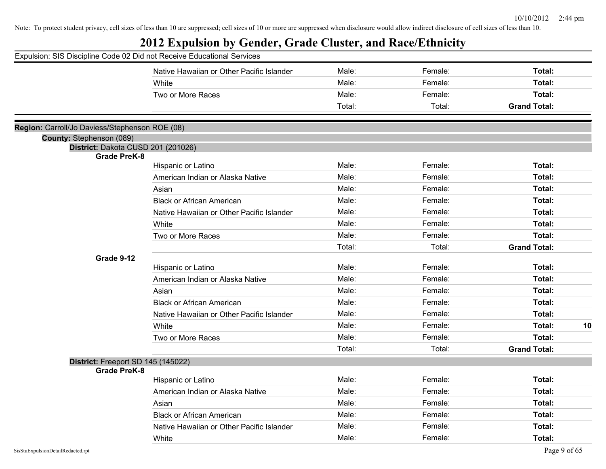| Expulsion: SIS Discipline Code 02 Did not Receive Educational Services |                                           |        |         |                     |
|------------------------------------------------------------------------|-------------------------------------------|--------|---------|---------------------|
|                                                                        | Native Hawaiian or Other Pacific Islander | Male:  | Female: | Total:              |
|                                                                        | White                                     | Male:  | Female: | Total:              |
|                                                                        | Two or More Races                         | Male:  | Female: | Total:              |
|                                                                        |                                           | Total: | Total:  | <b>Grand Total:</b> |
| Region: Carroll/Jo Daviess/Stephenson ROE (08)                         |                                           |        |         |                     |
| County: Stephenson (089)                                               |                                           |        |         |                     |
| District: Dakota CUSD 201 (201026)                                     |                                           |        |         |                     |
| <b>Grade PreK-8</b>                                                    | Hispanic or Latino                        | Male:  | Female: | Total:              |
|                                                                        | American Indian or Alaska Native          | Male:  | Female: | Total:              |
|                                                                        | Asian                                     | Male:  | Female: | Total:              |
|                                                                        | <b>Black or African American</b>          | Male:  | Female: | Total:              |
|                                                                        | Native Hawaiian or Other Pacific Islander | Male:  | Female: | Total:              |
|                                                                        | White                                     | Male:  | Female: | Total:              |
|                                                                        | Two or More Races                         | Male:  | Female: | Total:              |
|                                                                        |                                           | Total: | Total:  | <b>Grand Total:</b> |
| Grade 9-12                                                             |                                           |        |         |                     |
|                                                                        | Hispanic or Latino                        | Male:  | Female: | Total:              |
|                                                                        | American Indian or Alaska Native          | Male:  | Female: | Total:              |
|                                                                        | Asian                                     | Male:  | Female: | Total:              |
|                                                                        | <b>Black or African American</b>          | Male:  | Female: | Total:              |
|                                                                        | Native Hawaiian or Other Pacific Islander | Male:  | Female: | Total:              |
|                                                                        | White                                     | Male:  | Female: | Total:<br>10        |
|                                                                        | Two or More Races                         | Male:  | Female: | Total:              |
|                                                                        |                                           | Total: | Total:  | <b>Grand Total:</b> |
| District: Freeport SD 145 (145022)<br><b>Grade PreK-8</b>              |                                           |        |         |                     |
|                                                                        | Hispanic or Latino                        | Male:  | Female: | Total:              |
|                                                                        | American Indian or Alaska Native          | Male:  | Female: | Total:              |
|                                                                        | Asian                                     | Male:  | Female: | Total:              |
|                                                                        | <b>Black or African American</b>          | Male:  | Female: | Total:              |
|                                                                        | Native Hawaiian or Other Pacific Islander | Male:  | Female: | Total:              |
|                                                                        | White                                     | Male:  | Female: | Total:              |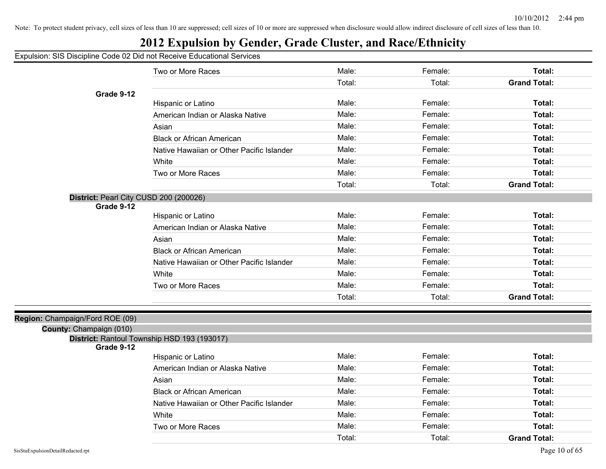# **2012 Expulsion by Gender, Grade Cluster, and Race/Ethnicity**

Expulsion: SIS Discipline Code 02 Did not Receive Educational Services

|                                                      | Two or More Races                           | Male:  | Female: | Total:              |
|------------------------------------------------------|---------------------------------------------|--------|---------|---------------------|
|                                                      |                                             | Total: | Total:  | <b>Grand Total:</b> |
| Grade 9-12                                           |                                             |        |         |                     |
|                                                      | Hispanic or Latino                          | Male:  | Female: | Total:              |
|                                                      | American Indian or Alaska Native            | Male:  | Female: | <b>Total:</b>       |
|                                                      | Asian                                       | Male:  | Female: | Total:              |
|                                                      | <b>Black or African American</b>            | Male:  | Female: | Total:              |
|                                                      | Native Hawaiian or Other Pacific Islander   | Male:  | Female: | Total:              |
|                                                      | White                                       | Male:  | Female: | Total:              |
|                                                      | Two or More Races                           | Male:  | Female: | Total:              |
|                                                      |                                             | Total: | Total:  | <b>Grand Total:</b> |
| District: Pearl City CUSD 200 (200026)<br>Grade 9-12 |                                             |        |         |                     |
|                                                      | Hispanic or Latino                          | Male:  | Female: | Total:              |
|                                                      | American Indian or Alaska Native            | Male:  | Female: | Total:              |
|                                                      | Asian                                       | Male:  | Female: | Total:              |
|                                                      | <b>Black or African American</b>            | Male:  | Female: | Total:              |
|                                                      | Native Hawaiian or Other Pacific Islander   | Male:  | Female: | Total:              |
|                                                      | White                                       | Male:  | Female: | Total:              |
|                                                      | Two or More Races                           | Male:  | Female: | Total:              |
|                                                      |                                             | Total: | Total:  | <b>Grand Total:</b> |
| Champaign/Ford ROE (09)                              |                                             |        |         |                     |
| County: Champaign (010)                              |                                             |        |         |                     |
| Grade 9-12                                           | District: Rantoul Township HSD 193 (193017) |        |         |                     |
|                                                      | Hispanic or Latino                          | Male:  | Female: | Total:              |
|                                                      | American Indian or Alaska Native            | Male:  | Female: | Total:              |
|                                                      | Asian                                       | Male:  | Female: | Total:              |
|                                                      | <b>Black or African American</b>            | Male:  | Female: | Total:              |
|                                                      | Native Hawaiian or Other Pacific Islander   | Male:  | Female: | Total:              |
|                                                      | White                                       | Male:  | Female: | Total:              |
|                                                      | Two or More Races                           | Male:  | Female: | Total:              |
|                                                      |                                             | Total: | Total:  | <b>Grand Total:</b> |

**Region: C**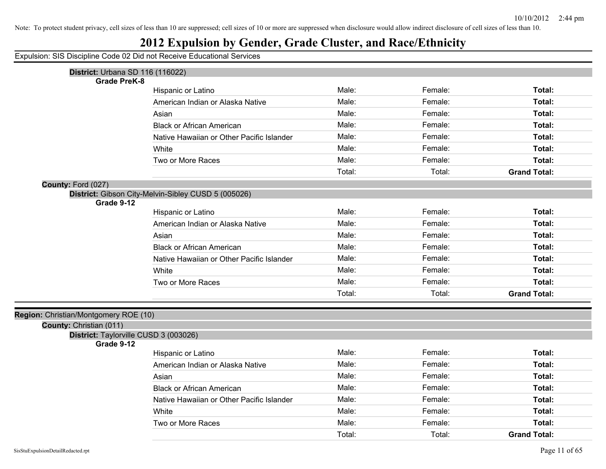## **2012 Expulsion by Gender, Grade Cluster, and Race/Ethnicity**

| <b>District: Urbana SD 116 (116022)</b>                          |                                                     |        |         |                     |
|------------------------------------------------------------------|-----------------------------------------------------|--------|---------|---------------------|
| <b>Grade PreK-8</b>                                              |                                                     | Male:  |         |                     |
|                                                                  | Hispanic or Latino                                  |        | Female: | Total:              |
|                                                                  | American Indian or Alaska Native                    | Male:  | Female: | Total:              |
|                                                                  | Asian                                               | Male:  | Female: | Total:              |
|                                                                  | <b>Black or African American</b>                    | Male:  | Female: | Total:              |
|                                                                  | Native Hawaiian or Other Pacific Islander           | Male:  | Female: | Total:              |
|                                                                  | White                                               | Male:  | Female: | Total:              |
|                                                                  | Two or More Races                                   | Male:  | Female: | Total:              |
|                                                                  |                                                     | Total: | Total:  | <b>Grand Total:</b> |
| County: Ford (027)                                               |                                                     |        |         |                     |
|                                                                  | District: Gibson City-Melvin-Sibley CUSD 5 (005026) |        |         |                     |
| Grade 9-12                                                       |                                                     | Male:  | Female: |                     |
|                                                                  | Hispanic or Latino                                  |        |         | Total:              |
|                                                                  | American Indian or Alaska Native                    | Male:  | Female: | Total:              |
|                                                                  | Asian                                               | Male:  | Female: | Total:              |
|                                                                  | <b>Black or African American</b>                    | Male:  | Female: | Total:              |
|                                                                  | Native Hawaiian or Other Pacific Islander           | Male:  | Female: | Total:              |
|                                                                  | White                                               | Male:  | Female: | Total:              |
|                                                                  | Two or More Races                                   | Male:  | Female: | Total:              |
|                                                                  |                                                     | Total: | Total:  | <b>Grand Total:</b> |
|                                                                  |                                                     |        |         |                     |
| Region: Christian/Montgomery ROE (10)<br>County: Christian (011) |                                                     |        |         |                     |
|                                                                  | District: Taylorville CUSD 3 (003026)               |        |         |                     |
| Grade 9-12                                                       |                                                     |        |         |                     |
|                                                                  | Hispanic or Latino                                  | Male:  | Female: | Total:              |
|                                                                  | American Indian or Alaska Native                    | Male:  | Female: | Total:              |
|                                                                  | Asian                                               | Male:  | Female: | Total:              |
|                                                                  | <b>Black or African American</b>                    | Male:  | Female: | Total:              |
|                                                                  | Native Hawaiian or Other Pacific Islander           | Male:  | Female: | Total:              |
|                                                                  | White                                               | Male:  | Female: | Total:              |
|                                                                  | Two or More Races                                   | Male:  | Female: | Total:              |
|                                                                  |                                                     | Total: | Total:  | <b>Grand Total:</b> |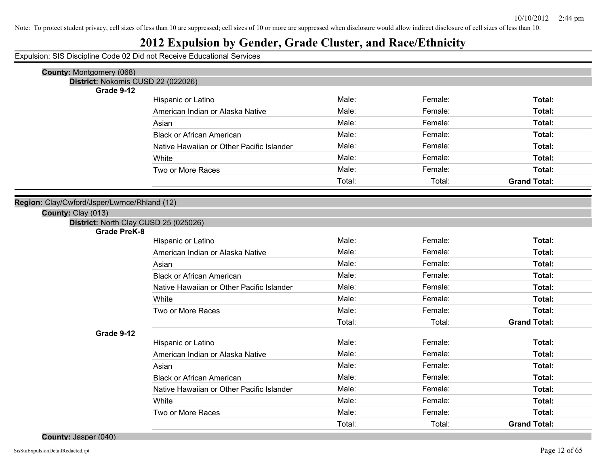## **2012 Expulsion by Gender, Grade Cluster, and Race/Ethnicity**

Expulsion: SIS Discipline Code 02 Did not Receive Educational Services

| County: Montgomery (068)                                     |                                           |        |         |                     |
|--------------------------------------------------------------|-------------------------------------------|--------|---------|---------------------|
| District: Nokomis CUSD 22 (022026)                           |                                           |        |         |                     |
| Grade 9-12                                                   |                                           |        |         |                     |
|                                                              | Hispanic or Latino                        | Male:  | Female: | Total:              |
|                                                              | American Indian or Alaska Native          | Male:  | Female: | Total:              |
|                                                              | Asian                                     | Male:  | Female: | Total:              |
|                                                              | <b>Black or African American</b>          | Male:  | Female: | Total:              |
|                                                              | Native Hawaiian or Other Pacific Islander | Male:  | Female: | Total:              |
|                                                              | White                                     | Male:  | Female: | Total:              |
|                                                              | Two or More Races                         | Male:  | Female: | Total:              |
|                                                              |                                           | Total: | Total:  | <b>Grand Total:</b> |
|                                                              |                                           |        |         |                     |
| Region: Clay/Cwford/Jsper/Lwrnce/Rhland (12)                 |                                           |        |         |                     |
| County: Clay (013)                                           |                                           |        |         |                     |
| District: North Clay CUSD 25 (025026)<br><b>Grade PreK-8</b> |                                           |        |         |                     |
|                                                              | Hispanic or Latino                        | Male:  | Female: | Total:              |
|                                                              | American Indian or Alaska Native          | Male:  | Female: | Total:              |
|                                                              | Asian                                     | Male:  | Female: | Total:              |
|                                                              | <b>Black or African American</b>          | Male:  | Female: | Total:              |
|                                                              | Native Hawaiian or Other Pacific Islander | Male:  | Female: | Total:              |
|                                                              | White                                     | Male:  | Female: | Total:              |
|                                                              | Two or More Races                         | Male:  | Female: | Total:              |
|                                                              |                                           | Total: | Total:  | <b>Grand Total:</b> |
| Grade 9-12                                                   |                                           |        |         |                     |
|                                                              | Hispanic or Latino                        | Male:  | Female: | Total:              |
|                                                              | American Indian or Alaska Native          | Male:  | Female: | Total:              |
|                                                              | Asian                                     | Male:  | Female: | Total:              |
|                                                              | <b>Black or African American</b>          | Male:  | Female: | Total:              |
|                                                              | Native Hawaiian or Other Pacific Islander | Male:  | Female: | Total:              |
|                                                              | White                                     | Male:  | Female: | Total:              |
|                                                              | Two or More Races                         | Male:  | Female: | Total:              |
|                                                              |                                           | Total: | Total:  | <b>Grand Total:</b> |

**County:** Jasper (040)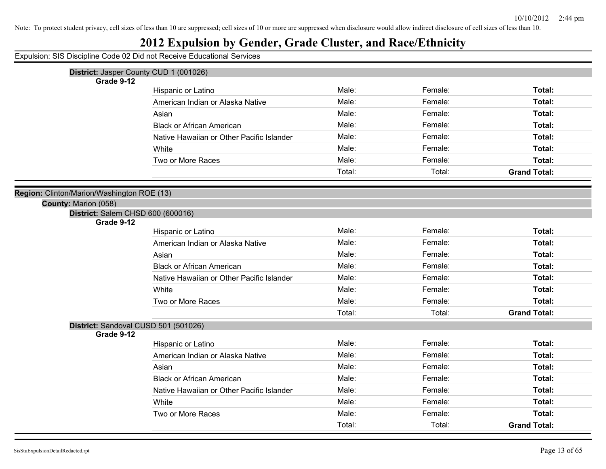Note: To protect student privacy, cell sizes of less than 10 are suppressed; cell sizes of 10 or more are suppressed when disclosure would allow indirect disclosure of cell sizes of less than 10.

## **2012 Expulsion by Gender, Grade Cluster, and Race/Ethnicity**

|                                            | District: Jasper County CUD 1 (001026)    |        |         |                     |
|--------------------------------------------|-------------------------------------------|--------|---------|---------------------|
| Grade 9-12                                 |                                           |        |         |                     |
|                                            | Hispanic or Latino                        | Male:  | Female: | Total:              |
|                                            | American Indian or Alaska Native          | Male:  | Female: | Total:              |
|                                            | Asian                                     | Male:  | Female: | Total:              |
|                                            | <b>Black or African American</b>          | Male:  | Female: | Total:              |
|                                            | Native Hawaiian or Other Pacific Islander | Male:  | Female: | Total:              |
|                                            | White                                     | Male:  | Female: | Total:              |
|                                            | Two or More Races                         | Male:  | Female: | Total:              |
|                                            |                                           | Total: | Total:  | <b>Grand Total:</b> |
| Region: Clinton/Marion/Washington ROE (13) |                                           |        |         |                     |
| County: Marion (058)                       |                                           |        |         |                     |
| District: Salem CHSD 600 (600016)          |                                           |        |         |                     |
| Grade 9-12                                 |                                           |        |         |                     |
|                                            | Hispanic or Latino                        | Male:  | Female: | Total:              |
|                                            | American Indian or Alaska Native          | Male:  | Female: | Total:              |
|                                            | Asian                                     | Male:  | Female: | Total:              |
|                                            | <b>Black or African American</b>          | Male:  | Female: | Total:              |
|                                            | Native Hawaiian or Other Pacific Islander | Male:  | Female: | Total:              |
|                                            | White                                     | Male:  | Female: | Total:              |
|                                            | Two or More Races                         | Male:  | Female: | Total:              |
|                                            |                                           | Total: | Total:  | <b>Grand Total:</b> |
| District: Sandoval CUSD 501 (501026)       |                                           |        |         |                     |
| Grade 9-12                                 | Hispanic or Latino                        | Male:  | Female: | Total:              |
|                                            | American Indian or Alaska Native          | Male:  | Female: | Total:              |
|                                            | Asian                                     | Male:  | Female: | Total:              |
|                                            |                                           | Male:  |         |                     |
|                                            | <b>Black or African American</b>          |        | Female: | Total:              |
|                                            | Native Hawaiian or Other Pacific Islander | Male:  | Female: | Total:              |
|                                            | White                                     | Male:  | Female: | Total:              |
|                                            | Two or More Races                         | Male:  | Female: | Total:              |
|                                            |                                           | Total: | Total:  | <b>Grand Total:</b> |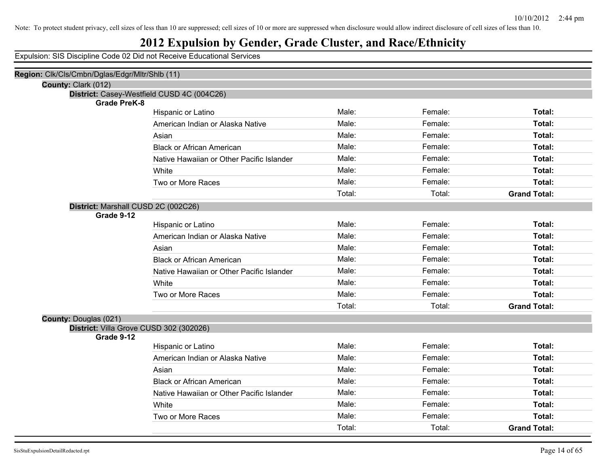## **2012 Expulsion by Gender, Grade Cluster, and Race/Ethnicity**

| Region: Clk/Cls/Cmbn/Dglas/Edgr/Mltr/Shlb (11) |                                            |        |         |                     |
|------------------------------------------------|--------------------------------------------|--------|---------|---------------------|
| County: Clark (012)                            |                                            |        |         |                     |
|                                                | District: Casey-Westfield CUSD 4C (004C26) |        |         |                     |
| <b>Grade PreK-8</b>                            | Hispanic or Latino                         | Male:  | Female: | Total:              |
|                                                | American Indian or Alaska Native           | Male:  | Female: | Total:              |
|                                                | Asian                                      | Male:  | Female: | Total:              |
|                                                | <b>Black or African American</b>           | Male:  | Female: | Total:              |
|                                                | Native Hawaiian or Other Pacific Islander  | Male:  | Female: | Total:              |
|                                                | <b>White</b>                               | Male:  | Female: | Total:              |
|                                                | Two or More Races                          | Male:  | Female: | Total:              |
|                                                |                                            | Total: | Total:  | <b>Grand Total:</b> |
| District: Marshall CUSD 2C (002C26)            |                                            |        |         |                     |
| Grade 9-12                                     |                                            |        |         |                     |
|                                                | Hispanic or Latino                         | Male:  | Female: | Total:              |
|                                                | American Indian or Alaska Native           | Male:  | Female: | Total:              |
|                                                | Asian                                      | Male:  | Female: | Total:              |
|                                                | <b>Black or African American</b>           | Male:  | Female: | Total:              |
|                                                | Native Hawaiian or Other Pacific Islander  | Male:  | Female: | Total:              |
|                                                | White                                      | Male:  | Female: | Total:              |
|                                                | Two or More Races                          | Male:  | Female: | Total:              |
|                                                |                                            | Total: | Total:  | <b>Grand Total:</b> |
| <b>County: Douglas (021)</b>                   |                                            |        |         |                     |
| District: Villa Grove CUSD 302 (302026)        |                                            |        |         |                     |
| Grade 9-12                                     | Hispanic or Latino                         | Male:  | Female: | Total:              |
|                                                | American Indian or Alaska Native           | Male:  | Female: | Total:              |
|                                                | Asian                                      | Male:  | Female: | Total:              |
|                                                | <b>Black or African American</b>           | Male:  | Female: | Total:              |
|                                                | Native Hawaiian or Other Pacific Islander  | Male:  | Female: | Total:              |
|                                                | White                                      | Male:  | Female: | Total:              |
|                                                | Two or More Races                          | Male:  | Female: | Total:              |
|                                                |                                            | Total: | Total:  | <b>Grand Total:</b> |
|                                                |                                            |        |         |                     |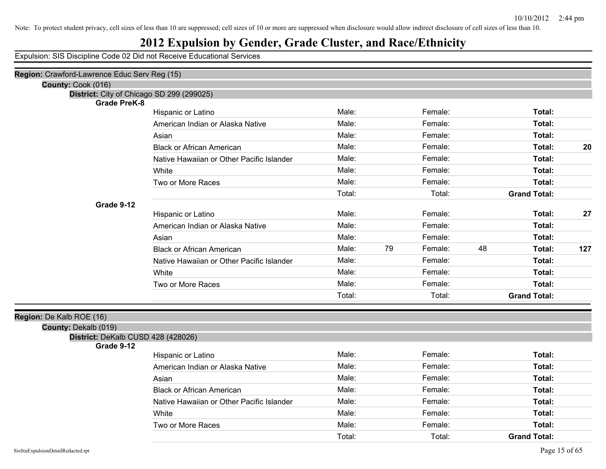#### **2012 Expulsion by Gender, Grade Cluster, and Race/Ethnicity**

Expulsion: SIS Discipline Code 02 Did not Receive Educational Services

| Region: Crawford-Lawrence Educ Serv Reg (15) |                                           |        |    |         |    |                     |     |
|----------------------------------------------|-------------------------------------------|--------|----|---------|----|---------------------|-----|
| County: Cook (016)                           |                                           |        |    |         |    |                     |     |
| District: City of Chicago SD 299 (299025)    |                                           |        |    |         |    |                     |     |
| <b>Grade PreK-8</b>                          |                                           |        |    |         |    |                     |     |
|                                              | Hispanic or Latino                        | Male:  |    | Female: |    | Total:              |     |
|                                              | American Indian or Alaska Native          | Male:  |    | Female: |    | Total:              |     |
|                                              | Asian                                     | Male:  |    | Female: |    | Total:              |     |
|                                              | <b>Black or African American</b>          | Male:  |    | Female: |    | Total:              | 20  |
|                                              | Native Hawaiian or Other Pacific Islander | Male:  |    | Female: |    | Total:              |     |
|                                              | White                                     | Male:  |    | Female: |    | Total:              |     |
|                                              | Two or More Races                         | Male:  |    | Female: |    | Total:              |     |
|                                              |                                           | Total: |    | Total:  |    | <b>Grand Total:</b> |     |
| Grade 9-12                                   |                                           |        |    |         |    |                     |     |
|                                              | Hispanic or Latino                        | Male:  |    | Female: |    | Total:              | 27  |
|                                              | American Indian or Alaska Native          | Male:  |    | Female: |    | Total:              |     |
|                                              | Asian                                     | Male:  |    | Female: |    | Total:              |     |
|                                              | <b>Black or African American</b>          | Male:  | 79 | Female: | 48 | Total:              | 127 |
|                                              | Native Hawaiian or Other Pacific Islander | Male:  |    | Female: |    | Total:              |     |
|                                              | White                                     | Male:  |    | Female: |    | Total:              |     |
|                                              | Two or More Races                         | Male:  |    | Female: |    | Total:              |     |
|                                              |                                           | Total: |    | Total:  |    | <b>Grand Total:</b> |     |
| Region: De Kalb ROE (16)                     |                                           |        |    |         |    |                     |     |
| County: Dekalb (019)                         |                                           |        |    |         |    |                     |     |
| District: DeKalb CUSD 428 (428026)           |                                           |        |    |         |    |                     |     |
| Grade 9-12                                   |                                           |        |    |         |    |                     |     |
|                                              | Hispanic or Latino                        | Male:  |    | Female: |    | Total:              |     |
|                                              | American Indian or Alaska Native          | Male:  |    | Female: |    | Total:              |     |
|                                              | Asian                                     | Male:  |    | Female: |    | Total:              |     |
|                                              | <b>Black or African American</b>          | Male:  |    | Female: |    | Total:              |     |
|                                              | Native Hawaiian or Other Pacific Islander | Male:  |    | Female: |    | Total:              |     |
|                                              | White                                     | Male:  |    | Female: |    | Total:              |     |
|                                              | Two or More Races                         | Male:  |    | Female: |    | Total:              |     |

Total: Total: **Grand Total:**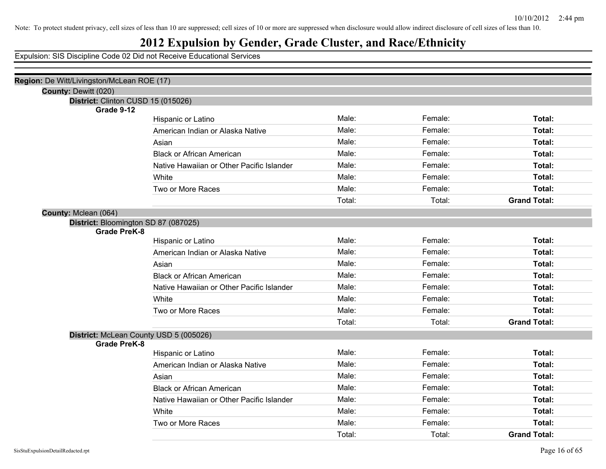## **2012 Expulsion by Gender, Grade Cluster, and Race/Ethnicity**

| Region: De Witt/Livingston/McLean ROE (17) |                                           |        |         |                     |
|--------------------------------------------|-------------------------------------------|--------|---------|---------------------|
| County: Dewitt (020)                       |                                           |        |         |                     |
| District: Clinton CUSD 15 (015026)         |                                           |        |         |                     |
| Grade 9-12                                 |                                           | Male:  | Female: | Total:              |
|                                            | Hispanic or Latino                        | Male:  |         |                     |
|                                            | American Indian or Alaska Native          |        | Female: | Total:              |
|                                            | Asian                                     | Male:  | Female: | Total:              |
|                                            | <b>Black or African American</b>          | Male:  | Female: | Total:              |
|                                            | Native Hawaiian or Other Pacific Islander | Male:  | Female: | Total:              |
|                                            | White                                     | Male:  | Female: | Total:              |
|                                            | Two or More Races                         | Male:  | Female: | Total:              |
|                                            |                                           | Total: | Total:  | <b>Grand Total:</b> |
| County: Mclean (064)                       |                                           |        |         |                     |
| District: Bloomington SD 87 (087025)       |                                           |        |         |                     |
| <b>Grade PreK-8</b>                        |                                           |        |         |                     |
|                                            | Hispanic or Latino                        | Male:  | Female: | Total:              |
|                                            | American Indian or Alaska Native          | Male:  | Female: | Total:              |
|                                            | Asian                                     | Male:  | Female: | Total:              |
|                                            | <b>Black or African American</b>          | Male:  | Female: | Total:              |
|                                            | Native Hawaiian or Other Pacific Islander | Male:  | Female: | Total:              |
|                                            | White                                     | Male:  | Female: | Total:              |
|                                            | Two or More Races                         | Male:  | Female: | Total:              |
|                                            |                                           | Total: | Total:  | <b>Grand Total:</b> |
| District: McLean County USD 5 (005026)     |                                           |        |         |                     |
| <b>Grade PreK-8</b>                        |                                           |        |         |                     |
|                                            | Hispanic or Latino                        | Male:  | Female: | Total:              |
|                                            | American Indian or Alaska Native          | Male:  | Female: | Total:              |
|                                            | Asian                                     | Male:  | Female: | Total:              |
|                                            | <b>Black or African American</b>          | Male:  | Female: | Total:              |
|                                            | Native Hawaiian or Other Pacific Islander | Male:  | Female: | Total:              |
|                                            | White                                     | Male:  | Female: | Total:              |
|                                            | Two or More Races                         | Male:  | Female: | Total:              |
|                                            |                                           | Total: | Total:  | <b>Grand Total:</b> |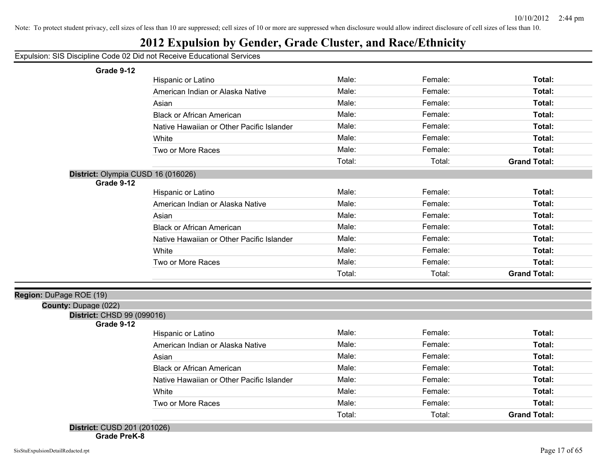## **2012 Expulsion by Gender, Grade Cluster, and Race/Ethnicity**

Expulsion: SIS Discipline Code 02 Did not Receive Educational Services

**Grade 9-12**

| Grade 9-12                         |                                           |        |         |                     |
|------------------------------------|-------------------------------------------|--------|---------|---------------------|
|                                    | Hispanic or Latino                        | Male:  | Female: | Total:              |
|                                    | American Indian or Alaska Native          | Male:  | Female: | Total:              |
|                                    | Asian                                     | Male:  | Female: | Total:              |
|                                    | <b>Black or African American</b>          | Male:  | Female: | Total:              |
|                                    | Native Hawaiian or Other Pacific Islander | Male:  | Female: | Total:              |
|                                    | White                                     | Male:  | Female: | Total:              |
|                                    | Two or More Races                         | Male:  | Female: | Total:              |
|                                    |                                           | Total: | Total:  | <b>Grand Total:</b> |
| District: Olympia CUSD 16 (016026) |                                           |        |         |                     |
| Grade 9-12                         |                                           |        |         |                     |
|                                    | Hispanic or Latino                        | Male:  | Female: | Total:              |
|                                    | American Indian or Alaska Native          | Male:  | Female: | Total:              |
|                                    | Asian                                     | Male:  | Female: | Total:              |
|                                    | <b>Black or African American</b>          | Male:  | Female: | Total:              |
|                                    | Native Hawaiian or Other Pacific Islander | Male:  | Female: | Total:              |
|                                    | White                                     | Male:  | Female: | Total:              |
|                                    | Two or More Races                         | Male:  | Female: | Total:              |
|                                    |                                           | Total: | Total:  | <b>Grand Total:</b> |
|                                    |                                           |        |         |                     |
| Region: DuPage ROE (19)            |                                           |        |         |                     |
| <b>County: Dupage (022)</b>        |                                           |        |         |                     |
| District: CHSD 99 (099016)         |                                           |        |         |                     |
| Grade 9-12                         | <b>Hispanic or Latino</b>                 | Male:  | Female: | Total:              |
|                                    | American Indian or Alaska Native          | Male:  | Female: | Total:              |
|                                    | Asian                                     | Male:  | Female: | Total:              |
|                                    | <b>Black or African American</b>          | Male:  | Female: | Total:              |
|                                    | Native Hawaiian or Other Pacific Islander | Male:  | Female: | Total:              |
|                                    |                                           | Male:  | Female: | Total:              |
|                                    | White                                     |        |         |                     |
|                                    | Two or More Races                         | Male:  | Female: | Total:              |
|                                    |                                           | Total: | Total:  | <b>Grand Total:</b> |
| District: CUSD 201 (201026)        |                                           |        |         |                     |

**Grade PreK-8**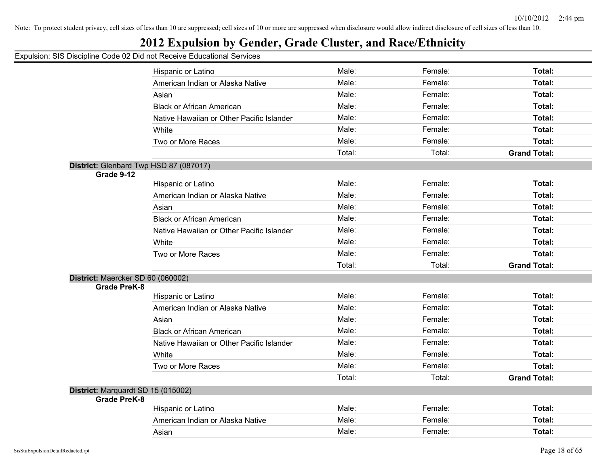## **2012 Expulsion by Gender, Grade Cluster, and Race/Ethnicity**

|                                    | Hispanic or Latino                        | Male:  | Female: | Total:              |
|------------------------------------|-------------------------------------------|--------|---------|---------------------|
|                                    | American Indian or Alaska Native          | Male:  | Female: | Total:              |
|                                    | Asian                                     | Male:  | Female: | Total:              |
|                                    | <b>Black or African American</b>          | Male:  | Female: | Total:              |
|                                    | Native Hawaiian or Other Pacific Islander | Male:  | Female: | Total:              |
|                                    | White                                     | Male:  | Female: | Total:              |
|                                    | Two or More Races                         | Male:  | Female: | Total:              |
|                                    |                                           | Total: | Total:  | <b>Grand Total:</b> |
|                                    | District: Glenbard Twp HSD 87 (087017)    |        |         |                     |
| Grade 9-12                         |                                           |        |         |                     |
|                                    | Hispanic or Latino                        | Male:  | Female: | Total:              |
|                                    | American Indian or Alaska Native          | Male:  | Female: | Total:              |
|                                    | Asian                                     | Male:  | Female: | Total:              |
|                                    | <b>Black or African American</b>          | Male:  | Female: | Total:              |
|                                    | Native Hawaiian or Other Pacific Islander | Male:  | Female: | Total:              |
|                                    | White                                     | Male:  | Female: | Total:              |
|                                    | Two or More Races                         | Male:  | Female: | Total:              |
|                                    |                                           | Total: | Total:  | <b>Grand Total:</b> |
| District: Maercker SD 60 (060002)  |                                           |        |         |                     |
| <b>Grade PreK-8</b>                |                                           |        |         |                     |
|                                    | Hispanic or Latino                        | Male:  | Female: | Total:              |
|                                    | American Indian or Alaska Native          | Male:  | Female: | Total:              |
|                                    | Asian                                     | Male:  | Female: | Total:              |
|                                    | <b>Black or African American</b>          | Male:  | Female: | Total:              |
|                                    | Native Hawaiian or Other Pacific Islander | Male:  | Female: | Total:              |
|                                    | White                                     | Male:  | Female: | Total:              |
|                                    | Two or More Races                         | Male:  | Female: | Total:              |
|                                    |                                           | Total: | Total:  | <b>Grand Total:</b> |
| District: Marquardt SD 15 (015002) |                                           |        |         |                     |
| <b>Grade PreK-8</b>                |                                           |        |         |                     |
|                                    | Hispanic or Latino                        | Male:  | Female: | Total:              |
|                                    | American Indian or Alaska Native          | Male:  | Female: | Total:              |
|                                    | Asian                                     | Male:  | Female: | Total:              |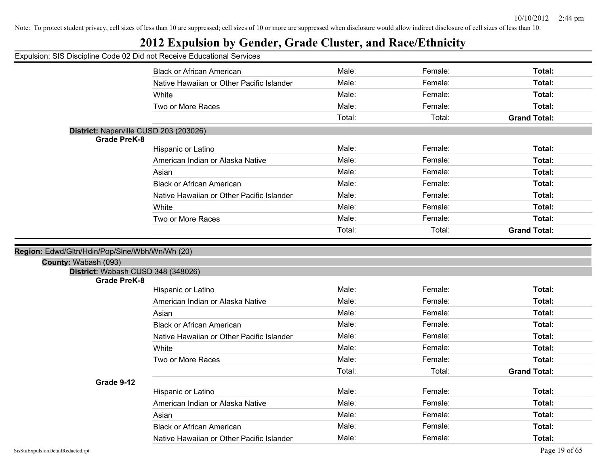## **2012 Expulsion by Gender, Grade Cluster, and Race/Ethnicity**

|                                                            | <b>Black or African American</b>          | Male:  | Female: | Total:              |
|------------------------------------------------------------|-------------------------------------------|--------|---------|---------------------|
|                                                            | Native Hawaiian or Other Pacific Islander | Male:  | Female: | Total:              |
|                                                            | White                                     | Male:  | Female: | Total:              |
|                                                            | Two or More Races                         | Male:  | Female: | Total:              |
|                                                            |                                           | Total: | Total:  | <b>Grand Total:</b> |
| District: Naperville CUSD 203 (203026)                     |                                           |        |         |                     |
| <b>Grade PreK-8</b>                                        |                                           | Male:  | Female: | Total:              |
|                                                            | Hispanic or Latino                        |        |         |                     |
|                                                            | American Indian or Alaska Native          | Male:  | Female: | Total:              |
|                                                            | Asian                                     | Male:  | Female: | Total:              |
|                                                            | <b>Black or African American</b>          | Male:  | Female: | Total:              |
|                                                            | Native Hawaiian or Other Pacific Islander | Male:  | Female: | Total:              |
|                                                            | White                                     | Male:  | Female: | Total:              |
|                                                            | Two or More Races                         | Male:  | Female: | Total:              |
|                                                            |                                           | Total: | Total:  | <b>Grand Total:</b> |
| County: Wabash (093)<br>District: Wabash CUSD 348 (348026) |                                           |        |         |                     |
| <b>Grade PreK-8</b>                                        |                                           |        |         |                     |
|                                                            | Hispanic or Latino                        | Male:  | Female: | Total:              |
|                                                            | American Indian or Alaska Native          | Male:  | Female: | Total:              |
|                                                            | Asian                                     | Male:  | Female: | Total:              |
|                                                            | <b>Black or African American</b>          | Male:  | Female: | Total:              |
|                                                            | Native Hawaiian or Other Pacific Islander | Male:  | Female: | Total:              |
|                                                            | White                                     | Male:  | Female: | Total:              |
|                                                            | Two or More Races                         | Male:  | Female: | Total:              |
|                                                            |                                           | Total: | Total:  | <b>Grand Total:</b> |
| Grade 9-12                                                 |                                           |        |         |                     |
|                                                            | Hispanic or Latino                        | Male:  | Female: | Total:              |
|                                                            | American Indian or Alaska Native          | Male:  | Female: | Total:              |
|                                                            | Asian                                     | Male:  | Female: | Total:              |
|                                                            | <b>Black or African American</b>          | Male:  | Female: | Total:              |
|                                                            | Native Hawaiian or Other Pacific Islander | Male:  | Female: | Total:              |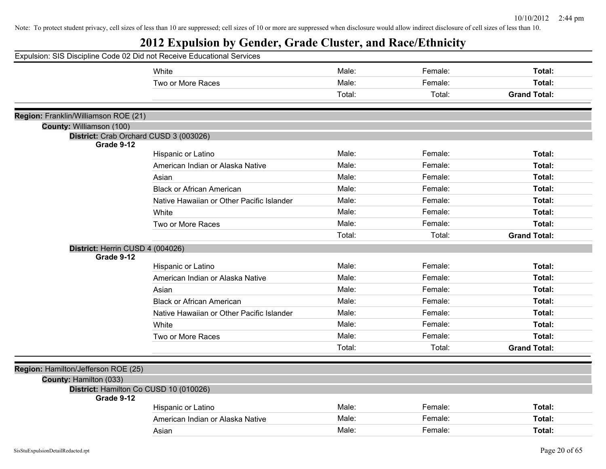| Expulsion: SIS Discipline Code 02 Did not Receive Educational Services |                                           |        |         |                     |
|------------------------------------------------------------------------|-------------------------------------------|--------|---------|---------------------|
|                                                                        | White                                     | Male:  | Female: | Total:              |
|                                                                        | Two or More Races                         | Male:  | Female: | Total:              |
|                                                                        |                                           | Total: | Total:  | <b>Grand Total:</b> |
| Region: Franklin/Williamson ROE (21)                                   |                                           |        |         |                     |
| County: Williamson (100)                                               |                                           |        |         |                     |
| District: Crab Orchard CUSD 3 (003026)                                 |                                           |        |         |                     |
| Grade 9-12                                                             |                                           |        |         |                     |
|                                                                        | Hispanic or Latino                        | Male:  | Female: | Total:              |
|                                                                        | American Indian or Alaska Native          | Male:  | Female: | Total:              |
|                                                                        | Asian                                     | Male:  | Female: | Total:              |
|                                                                        | <b>Black or African American</b>          | Male:  | Female: | Total:              |
|                                                                        | Native Hawaiian or Other Pacific Islander | Male:  | Female: | Total:              |
|                                                                        | White                                     | Male:  | Female: | Total:              |
|                                                                        | Two or More Races                         | Male:  | Female: | Total:              |
|                                                                        |                                           | Total: | Total:  | <b>Grand Total:</b> |
| District: Herrin CUSD 4 (004026)                                       |                                           |        |         |                     |
| Grade 9-12                                                             |                                           |        |         |                     |
|                                                                        | Hispanic or Latino                        | Male:  | Female: | Total:              |
|                                                                        | American Indian or Alaska Native          | Male:  | Female: | Total:              |
|                                                                        | Asian                                     | Male:  | Female: | Total:              |
|                                                                        | <b>Black or African American</b>          | Male:  | Female: | Total:              |
|                                                                        | Native Hawaiian or Other Pacific Islander | Male:  | Female: | Total:              |
|                                                                        | White                                     | Male:  | Female: | Total:              |
|                                                                        | Two or More Races                         | Male:  | Female: | Total:              |
|                                                                        |                                           | Total: | Total:  | <b>Grand Total:</b> |
| Region: Hamilton/Jefferson ROE (25)                                    |                                           |        |         |                     |
| County: Hamilton (033)                                                 |                                           |        |         |                     |
| District: Hamilton Co CUSD 10 (010026)                                 |                                           |        |         |                     |
| Grade 9-12                                                             |                                           |        |         |                     |
|                                                                        | Hispanic or Latino                        | Male:  | Female: | Total:              |
|                                                                        | American Indian or Alaska Native          | Male:  | Female: | Total:              |
|                                                                        | Asian                                     | Male:  | Female: | Total:              |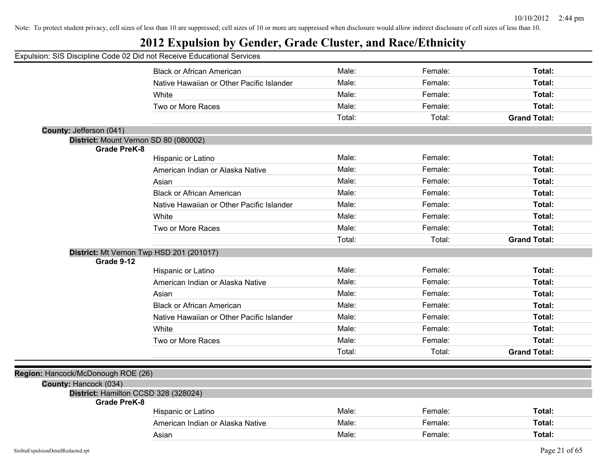## **2012 Expulsion by Gender, Grade Cluster, and Race/Ethnicity**

|                                                             | <b>Black or African American</b>          | Male:  | Female: | Total:              |
|-------------------------------------------------------------|-------------------------------------------|--------|---------|---------------------|
|                                                             | Native Hawaiian or Other Pacific Islander | Male:  | Female: | Total:              |
|                                                             | White                                     | Male:  | Female: | Total:              |
|                                                             | Two or More Races                         | Male:  | Female: | Total:              |
|                                                             |                                           | Total: | Total:  | <b>Grand Total:</b> |
| County: Jefferson (041)                                     |                                           |        |         |                     |
| District: Mount Vernon SD 80 (080002)                       |                                           |        |         |                     |
| <b>Grade PreK-8</b>                                         |                                           |        |         |                     |
|                                                             | Hispanic or Latino                        | Male:  | Female: | Total:              |
|                                                             | American Indian or Alaska Native          | Male:  | Female: | Total:              |
|                                                             | Asian                                     | Male:  | Female: | Total:              |
|                                                             | <b>Black or African American</b>          | Male:  | Female: | Total:              |
|                                                             | Native Hawaiian or Other Pacific Islander | Male:  | Female: | Total:              |
|                                                             | White                                     | Male:  | Female: | Total:              |
|                                                             | Two or More Races                         | Male:  | Female: | Total:              |
|                                                             |                                           | Total: | Total:  | <b>Grand Total:</b> |
| District: Mt Vernon Twp HSD 201 (201017)                    |                                           |        |         |                     |
| Grade 9-12                                                  |                                           |        |         |                     |
|                                                             | Hispanic or Latino                        | Male:  | Female: | Total:              |
|                                                             | American Indian or Alaska Native          | Male:  | Female: | Total:              |
|                                                             | Asian                                     | Male:  | Female: | Total:              |
|                                                             | <b>Black or African American</b>          | Male:  | Female: | Total:              |
|                                                             | Native Hawaiian or Other Pacific Islander | Male:  | Female: | Total:              |
|                                                             | White                                     | Male:  | Female: | Total:              |
|                                                             | Two or More Races                         | Male:  | Female: | Total:              |
|                                                             |                                           | Total: | Total:  | <b>Grand Total:</b> |
|                                                             |                                           |        |         |                     |
| Region: Hancock/McDonough ROE (26)                          |                                           |        |         |                     |
| County: Hancock (034)                                       |                                           |        |         |                     |
| District: Hamilton CCSD 328 (328024)<br><b>Grade PreK-8</b> |                                           |        |         |                     |
|                                                             | Hispanic or Latino                        | Male:  | Female: | Total:              |
|                                                             | American Indian or Alaska Native          | Male:  | Female: | Total:              |
|                                                             | Asian                                     | Male:  | Female: | Total:              |
|                                                             |                                           |        |         |                     |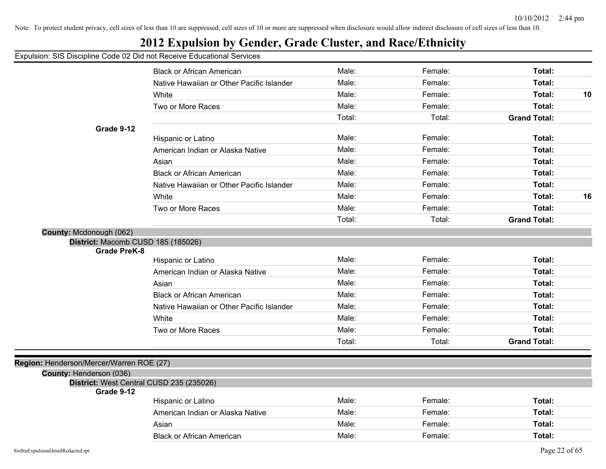## **2012 Expulsion by Gender, Grade Cluster, and Race/Ethnicity**

|                                                                     | <b>Black or African American</b>          | Male:  | Female: | Total:              |    |
|---------------------------------------------------------------------|-------------------------------------------|--------|---------|---------------------|----|
|                                                                     | Native Hawaiian or Other Pacific Islander | Male:  | Female: | Total:              |    |
|                                                                     | White                                     | Male:  | Female: | Total:              | 10 |
|                                                                     | Two or More Races                         | Male:  | Female: | Total:              |    |
|                                                                     |                                           | Total: | Total:  | <b>Grand Total:</b> |    |
| Grade 9-12                                                          |                                           |        |         |                     |    |
|                                                                     | Hispanic or Latino                        | Male:  | Female: | Total:              |    |
|                                                                     | American Indian or Alaska Native          | Male:  | Female: | Total:              |    |
|                                                                     | Asian                                     | Male:  | Female: | Total:              |    |
|                                                                     | <b>Black or African American</b>          | Male:  | Female: | Total:              |    |
|                                                                     | Native Hawaiian or Other Pacific Islander | Male:  | Female: | Total:              |    |
|                                                                     | White                                     | Male:  | Female: | Total:              | 16 |
|                                                                     | Two or More Races                         | Male:  | Female: | Total:              |    |
|                                                                     |                                           | Total: | Total:  | <b>Grand Total:</b> |    |
| County: Mcdonough (062)                                             |                                           |        |         |                     |    |
| District: Macomb CUSD 185 (185026)<br><b>Grade PreK-8</b>           |                                           |        |         |                     |    |
|                                                                     | Hispanic or Latino                        | Male:  | Female: | Total:              |    |
|                                                                     | American Indian or Alaska Native          | Male:  | Female: | Total:              |    |
|                                                                     | Asian                                     | Male:  | Female: | Total:              |    |
|                                                                     | <b>Black or African American</b>          | Male:  | Female: | Total:              |    |
|                                                                     | Native Hawaiian or Other Pacific Islander | Male:  | Female: | Total:              |    |
|                                                                     | White                                     | Male:  | Female: | Total:              |    |
|                                                                     | Two or More Races                         | Male:  | Female: | Total:              |    |
|                                                                     |                                           | Total: | Total:  | <b>Grand Total:</b> |    |
|                                                                     |                                           |        |         |                     |    |
| Region: Henderson/Mercer/Warren ROE (27)<br>County: Henderson (036) |                                           |        |         |                     |    |
|                                                                     | District: West Central CUSD 235 (235026)  |        |         |                     |    |
| Grade 9-12                                                          |                                           |        |         |                     |    |
|                                                                     | Hispanic or Latino                        | Male:  | Female: | Total:              |    |
|                                                                     | American Indian or Alaska Native          | Male:  | Female: | Total:              |    |
|                                                                     | Asian                                     | Male:  | Female: | Total:              |    |
|                                                                     | <b>Black or African American</b>          | Male:  | Female: | Total:              |    |
|                                                                     |                                           |        |         |                     |    |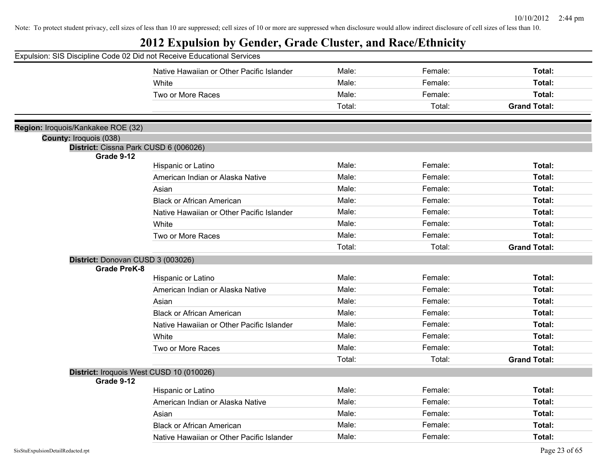| Expulsion: SIS Discipline Code 02 Did not Receive Educational Services        |                                           |        |         |                     |
|-------------------------------------------------------------------------------|-------------------------------------------|--------|---------|---------------------|
|                                                                               | Native Hawaiian or Other Pacific Islander | Male:  | Female: | Total:              |
|                                                                               | White                                     | Male:  | Female: | Total:              |
|                                                                               | Two or More Races                         | Male:  | Female: | Total:              |
|                                                                               |                                           | Total: | Total:  | <b>Grand Total:</b> |
|                                                                               |                                           |        |         |                     |
| Region: Iroquois/Kankakee ROE (32)                                            |                                           |        |         |                     |
| County: Iroquois (038)<br>District: Cissna Park CUSD 6 (006026)<br>Grade 9-12 |                                           |        |         |                     |
|                                                                               | Hispanic or Latino                        | Male:  | Female: | Total:              |
|                                                                               | American Indian or Alaska Native          | Male:  | Female: | Total:              |
|                                                                               | Asian                                     | Male:  | Female: | Total:              |
|                                                                               | <b>Black or African American</b>          | Male:  | Female: | Total:              |
|                                                                               | Native Hawaiian or Other Pacific Islander | Male:  | Female: | Total:              |
|                                                                               | White                                     | Male:  | Female: | Total:              |
|                                                                               | Two or More Races                         | Male:  | Female: | Total:              |
|                                                                               |                                           | Total: | Total:  | <b>Grand Total:</b> |
| District: Donovan CUSD 3 (003026)<br><b>Grade PreK-8</b>                      |                                           |        |         |                     |
|                                                                               | Hispanic or Latino                        | Male:  | Female: | Total:              |
|                                                                               | American Indian or Alaska Native          | Male:  | Female: | Total:              |
|                                                                               | Asian                                     | Male:  | Female: | Total:              |
|                                                                               | <b>Black or African American</b>          | Male:  | Female: | Total:              |
|                                                                               | Native Hawaiian or Other Pacific Islander | Male:  | Female: | Total:              |
|                                                                               | White                                     | Male:  | Female: | Total:              |
|                                                                               | Two or More Races                         | Male:  | Female: | Total:              |
|                                                                               |                                           | Total: | Total:  | <b>Grand Total:</b> |
| District: Iroquois West CUSD 10 (010026)<br>Grade 9-12                        |                                           |        |         |                     |
|                                                                               | Hispanic or Latino                        | Male:  | Female: | Total:              |
|                                                                               | American Indian or Alaska Native          | Male:  | Female: | Total:              |
|                                                                               | Asian                                     | Male:  | Female: | Total:              |
|                                                                               | <b>Black or African American</b>          | Male:  | Female: | Total:              |
|                                                                               | Native Hawaiian or Other Pacific Islander | Male:  | Female: | Total:              |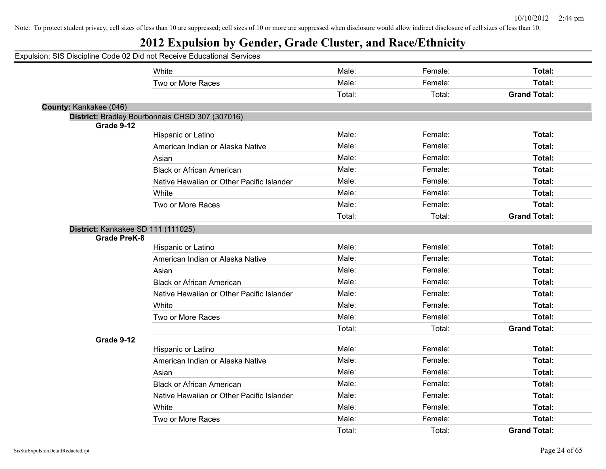| Expulsion: SIS Discipline Code 02 Did not Receive Educational Services |                                                 |        |         |                     |
|------------------------------------------------------------------------|-------------------------------------------------|--------|---------|---------------------|
|                                                                        | White                                           | Male:  | Female: | Total:              |
|                                                                        | Two or More Races                               | Male:  | Female: | Total:              |
|                                                                        |                                                 | Total: | Total:  | <b>Grand Total:</b> |
| County: Kankakee (046)                                                 |                                                 |        |         |                     |
|                                                                        | District: Bradley Bourbonnais CHSD 307 (307016) |        |         |                     |
| Grade 9-12                                                             | Hispanic or Latino                              | Male:  | Female: | Total:              |
|                                                                        | American Indian or Alaska Native                | Male:  | Female: | Total:              |
|                                                                        |                                                 | Male:  | Female: | Total:              |
|                                                                        | Asian<br><b>Black or African American</b>       | Male:  | Female: | Total:              |
|                                                                        |                                                 | Male:  | Female: |                     |
|                                                                        | Native Hawaiian or Other Pacific Islander       |        |         | Total:              |
|                                                                        | White                                           | Male:  | Female: | Total:              |
|                                                                        | Two or More Races                               | Male:  | Female: | Total:              |
|                                                                        |                                                 | Total: | Total:  | <b>Grand Total:</b> |
| District: Kankakee SD 111 (111025)<br><b>Grade PreK-8</b>              |                                                 |        |         |                     |
|                                                                        | Hispanic or Latino                              | Male:  | Female: | Total:              |
|                                                                        | American Indian or Alaska Native                | Male:  | Female: | Total:              |
|                                                                        | Asian                                           | Male:  | Female: | Total:              |
|                                                                        | <b>Black or African American</b>                | Male:  | Female: | Total:              |
|                                                                        | Native Hawaiian or Other Pacific Islander       | Male:  | Female: | Total:              |
|                                                                        | White                                           | Male:  | Female: | Total:              |
|                                                                        | Two or More Races                               | Male:  | Female: | Total:              |
|                                                                        |                                                 | Total: | Total:  | <b>Grand Total:</b> |
| Grade 9-12                                                             |                                                 |        |         |                     |
|                                                                        | Hispanic or Latino                              | Male:  | Female: | Total:              |
|                                                                        | American Indian or Alaska Native                | Male:  | Female: | Total:              |
|                                                                        | Asian                                           | Male:  | Female: | Total:              |
|                                                                        | <b>Black or African American</b>                | Male:  | Female: | Total:              |
|                                                                        | Native Hawaiian or Other Pacific Islander       | Male:  | Female: | Total:              |
|                                                                        | White                                           | Male:  | Female: | Total:              |
|                                                                        | Two or More Races                               | Male:  | Female: | Total:              |
|                                                                        |                                                 |        |         |                     |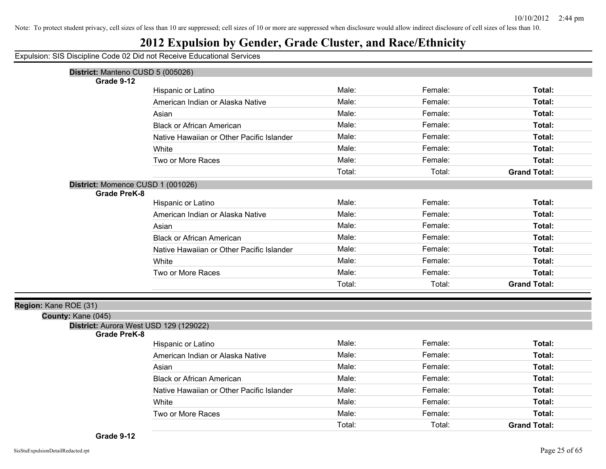## **2012 Expulsion by Gender, Grade Cluster, and Race/Ethnicity**

|                       | District: Manteno CUSD 5 (005026)         |        |         |                     |
|-----------------------|-------------------------------------------|--------|---------|---------------------|
| Grade 9-12            |                                           |        |         |                     |
|                       | Hispanic or Latino                        | Male:  | Female: | Total:              |
|                       | American Indian or Alaska Native          | Male:  | Female: | Total:              |
|                       | Asian                                     | Male:  | Female: | Total:              |
|                       | <b>Black or African American</b>          | Male:  | Female: | Total:              |
|                       | Native Hawaiian or Other Pacific Islander | Male:  | Female: | Total:              |
|                       | White                                     | Male:  | Female: | Total:              |
|                       | Two or More Races                         | Male:  | Female: | Total:              |
|                       |                                           | Total: | Total:  | <b>Grand Total:</b> |
|                       | District: Momence CUSD 1 (001026)         |        |         |                     |
|                       | <b>Grade PreK-8</b>                       |        |         |                     |
|                       | Hispanic or Latino                        | Male:  | Female: | Total:              |
|                       | American Indian or Alaska Native          | Male:  | Female: | Total:              |
|                       | Asian                                     | Male:  | Female: | Total:              |
|                       | <b>Black or African American</b>          | Male:  | Female: | Total:              |
|                       | Native Hawaiian or Other Pacific Islander | Male:  | Female: | Total:              |
|                       | White                                     | Male:  | Female: | Total:              |
|                       | Two or More Races                         | Male:  | Female: | Total:              |
|                       |                                           | Total: | Total:  | <b>Grand Total:</b> |
|                       |                                           |        |         |                     |
| Region: Kane ROE (31) |                                           |        |         |                     |
| County: Kane (045)    | District: Aurora West USD 129 (129022)    |        |         |                     |
|                       | <b>Grade PreK-8</b>                       |        |         |                     |
|                       | Hispanic or Latino                        | Male:  | Female: | Total:              |
|                       | American Indian or Alaska Native          | Male:  | Female: | Total:              |
|                       | Asian                                     | Male:  | Female: | Total:              |
|                       | <b>Black or African American</b>          | Male:  | Female: | Total:              |
|                       | Native Hawaiian or Other Pacific Islander | Male:  | Female: | Total:              |
|                       | White                                     | Male:  | Female: | Total:              |
|                       | Two or More Races                         | Male:  | Female: | Total:              |
|                       |                                           | Total: | Total:  | <b>Grand Total:</b> |
|                       |                                           |        |         |                     |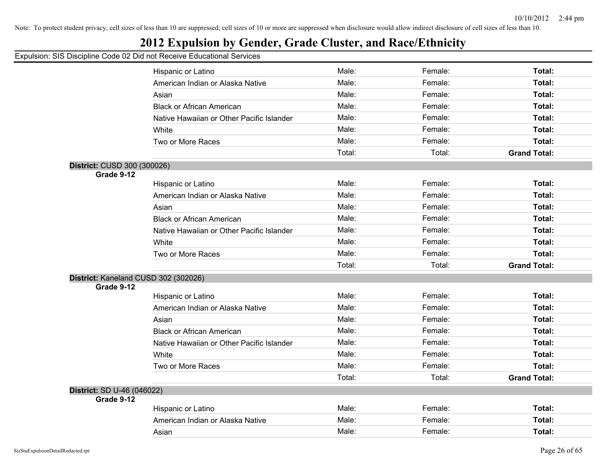## **2012 Expulsion by Gender, Grade Cluster, and Race/Ethnicity**

|                                      | Hispanic or Latino                        | Male:  | Female: | Total:              |
|--------------------------------------|-------------------------------------------|--------|---------|---------------------|
|                                      | American Indian or Alaska Native          | Male:  | Female: | <b>Total:</b>       |
|                                      | Asian                                     | Male:  | Female: | Total:              |
|                                      | <b>Black or African American</b>          | Male:  | Female: | <b>Total:</b>       |
|                                      | Native Hawaiian or Other Pacific Islander | Male:  | Female: | Total:              |
|                                      | White                                     | Male:  | Female: | <b>Total:</b>       |
|                                      | Two or More Races                         | Male:  | Female: | <b>Total:</b>       |
|                                      |                                           | Total: | Total:  | <b>Grand Total:</b> |
| District: CUSD 300 (300026)          |                                           |        |         |                     |
| Grade 9-12                           |                                           |        |         |                     |
|                                      | Hispanic or Latino                        | Male:  | Female: | Total:              |
|                                      | American Indian or Alaska Native          | Male:  | Female: | <b>Total:</b>       |
|                                      | Asian                                     | Male:  | Female: | Total:              |
|                                      | <b>Black or African American</b>          | Male:  | Female: | <b>Total:</b>       |
|                                      | Native Hawaiian or Other Pacific Islander | Male:  | Female: | Total:              |
|                                      | White                                     | Male:  | Female: | Total:              |
|                                      | Two or More Races                         | Male:  | Female: | Total:              |
|                                      |                                           | Total: | Total:  | <b>Grand Total:</b> |
| District: Kaneland CUSD 302 (302026) |                                           |        |         |                     |
| Grade 9-12                           |                                           |        |         |                     |
|                                      | Hispanic or Latino                        | Male:  | Female: | Total:              |
|                                      | American Indian or Alaska Native          | Male:  | Female: | <b>Total:</b>       |
|                                      | Asian                                     | Male:  | Female: | Total:              |
|                                      | <b>Black or African American</b>          | Male:  | Female: | <b>Total:</b>       |
|                                      | Native Hawaiian or Other Pacific Islander | Male:  | Female: | Total:              |
|                                      | White                                     | Male:  | Female: | <b>Total:</b>       |
|                                      | Two or More Races                         | Male:  | Female: | Total:              |
|                                      |                                           | Total: | Total:  | <b>Grand Total:</b> |
| District: SD U-46 (046022)           |                                           |        |         |                     |
| Grade 9-12                           |                                           |        |         |                     |
|                                      | Hispanic or Latino                        | Male:  | Female: | <b>Total:</b>       |
|                                      | American Indian or Alaska Native          | Male:  | Female: | Total:              |
|                                      | Asian                                     | Male:  | Female: | Total:              |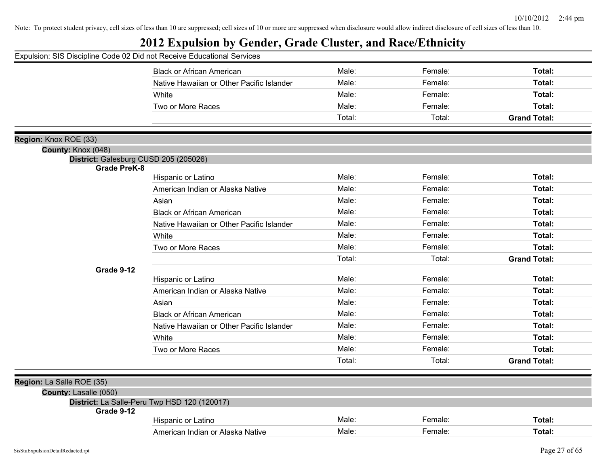| Expulsion: SIS Discipline Code 02 Did not Receive Educational Services |                                              |        |         |                     |
|------------------------------------------------------------------------|----------------------------------------------|--------|---------|---------------------|
|                                                                        | <b>Black or African American</b>             | Male:  | Female: | Total:              |
|                                                                        | Native Hawaiian or Other Pacific Islander    | Male:  | Female: | Total:              |
|                                                                        | White                                        | Male:  | Female: | Total:              |
|                                                                        | Two or More Races                            | Male:  | Female: | Total:              |
|                                                                        |                                              | Total: | Total:  | <b>Grand Total:</b> |
|                                                                        |                                              |        |         |                     |
| Region: Knox ROE (33)<br>County: Knox (048)                            |                                              |        |         |                     |
| District: Galesburg CUSD 205 (205026)                                  |                                              |        |         |                     |
| <b>Grade PreK-8</b>                                                    |                                              |        |         |                     |
|                                                                        | Hispanic or Latino                           | Male:  | Female: | Total:              |
|                                                                        | American Indian or Alaska Native             | Male:  | Female: | Total:              |
|                                                                        | Asian                                        | Male:  | Female: | Total:              |
|                                                                        | <b>Black or African American</b>             | Male:  | Female: | Total:              |
|                                                                        | Native Hawaiian or Other Pacific Islander    | Male:  | Female: | Total:              |
|                                                                        | White                                        | Male:  | Female: | Total:              |
|                                                                        | Two or More Races                            | Male:  | Female: | Total:              |
|                                                                        |                                              | Total: | Total:  | <b>Grand Total:</b> |
| Grade 9-12                                                             |                                              |        |         |                     |
|                                                                        | Hispanic or Latino                           | Male:  | Female: | Total:              |
|                                                                        | American Indian or Alaska Native             | Male:  | Female: | Total:              |
|                                                                        | Asian                                        | Male:  | Female: | Total:              |
|                                                                        | <b>Black or African American</b>             | Male:  | Female: | Total:              |
|                                                                        | Native Hawaiian or Other Pacific Islander    | Male:  | Female: | Total:              |
|                                                                        | White                                        | Male:  | Female: | Total:              |
|                                                                        | Two or More Races                            | Male:  | Female: | Total:              |
|                                                                        |                                              | Total: | Total:  | <b>Grand Total:</b> |
|                                                                        |                                              |        |         |                     |
| Region: La Salle ROE (35)                                              |                                              |        |         |                     |
| County: Lasalle (050)                                                  | District: La Salle-Peru Twp HSD 120 (120017) |        |         |                     |
| Grade 9-12                                                             |                                              |        |         |                     |
|                                                                        | Hispanic or Latino                           | Male:  | Female: | Total:              |
|                                                                        | American Indian or Alaska Native             | Male:  | Female: | Total:              |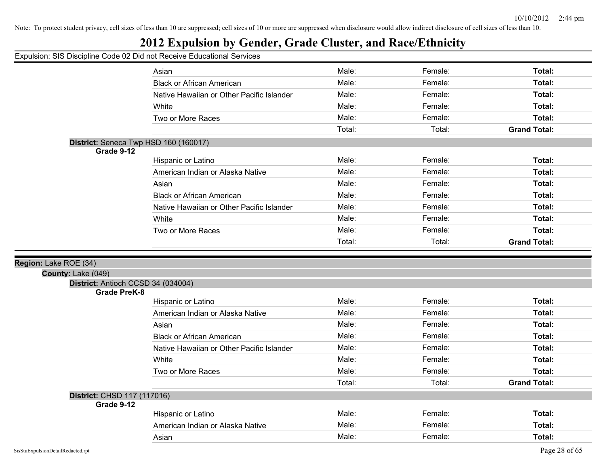## **2012 Expulsion by Gender, Grade Cluster, and Race/Ethnicity**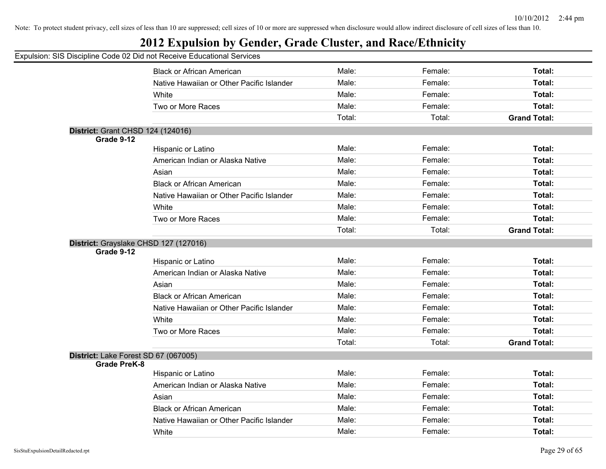## **2012 Expulsion by Gender, Grade Cluster, and Race/Ethnicity**

| 0.000.pm                                 |                                           |        |         |                     |
|------------------------------------------|-------------------------------------------|--------|---------|---------------------|
|                                          | <b>Black or African American</b>          | Male:  | Female: | Total:              |
|                                          | Native Hawaiian or Other Pacific Islander | Male:  | Female: | Total:              |
|                                          | White                                     | Male:  | Female: | Total:              |
|                                          | Two or More Races                         | Male:  | Female: | Total:              |
|                                          |                                           | Total: | Total:  | <b>Grand Total:</b> |
| <b>District: Grant CHSD 124 (124016)</b> |                                           |        |         |                     |
| Grade 9-12                               |                                           |        |         |                     |
|                                          | Hispanic or Latino                        | Male:  | Female: | Total:              |
|                                          | American Indian or Alaska Native          | Male:  | Female: | Total:              |
|                                          | Asian                                     | Male:  | Female: | Total:              |
|                                          | <b>Black or African American</b>          | Male:  | Female: | Total:              |
|                                          | Native Hawaiian or Other Pacific Islander | Male:  | Female: | Total:              |
|                                          | White                                     | Male:  | Female: | Total:              |
|                                          | Two or More Races                         | Male:  | Female: | Total:              |
|                                          |                                           | Total: | Total:  | <b>Grand Total:</b> |
|                                          | District: Grayslake CHSD 127 (127016)     |        |         |                     |
| Grade 9-12                               |                                           |        |         |                     |
|                                          | Hispanic or Latino                        | Male:  | Female: | Total:              |
|                                          | American Indian or Alaska Native          | Male:  | Female: | Total:              |
|                                          | Asian                                     | Male:  | Female: | Total:              |
|                                          | <b>Black or African American</b>          | Male:  | Female: | Total:              |
|                                          | Native Hawaiian or Other Pacific Islander | Male:  | Female: | Total:              |
|                                          | White                                     | Male:  | Female: | Total:              |
|                                          | Two or More Races                         | Male:  | Female: | Total:              |
|                                          |                                           | Total: | Total:  | <b>Grand Total:</b> |
| District: Lake Forest SD 67 (067005)     |                                           |        |         |                     |
| <b>Grade PreK-8</b>                      |                                           |        |         |                     |
|                                          | Hispanic or Latino                        | Male:  | Female: | Total:              |
|                                          | American Indian or Alaska Native          | Male:  | Female: | Total:              |
|                                          | Asian                                     | Male:  | Female: | Total:              |
|                                          | <b>Black or African American</b>          | Male:  | Female: | Total:              |
|                                          | Native Hawaiian or Other Pacific Islander | Male:  | Female: | Total:              |
|                                          | White                                     | Male:  | Female: | Total:              |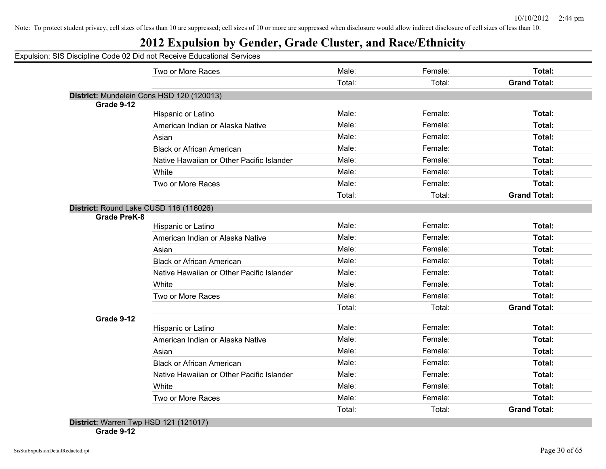## **2012 Expulsion by Gender, Grade Cluster, and Race/Ethnicity**

Expulsion: SIS Discipline Code 02 Did not Receive Educational Services

|                                        | Two or More Races                         | Male:  | Female: | Total:              |
|----------------------------------------|-------------------------------------------|--------|---------|---------------------|
|                                        |                                           | Total: | Total:  | <b>Grand Total:</b> |
|                                        | District: Mundelein Cons HSD 120 (120013) |        |         |                     |
| Grade 9-12                             | Hispanic or Latino                        | Male:  | Female: | Total:              |
|                                        | American Indian or Alaska Native          | Male:  | Female: | <b>Total:</b>       |
|                                        | Asian                                     | Male:  | Female: | Total:              |
|                                        |                                           | Male:  | Female: | Total:              |
|                                        | <b>Black or African American</b>          |        |         |                     |
|                                        | Native Hawaiian or Other Pacific Islander | Male:  | Female: | <b>Total:</b>       |
|                                        | White                                     | Male:  | Female: | Total:              |
|                                        | Two or More Races                         | Male:  | Female: | Total:              |
|                                        |                                           | Total: | Total:  | <b>Grand Total:</b> |
| District: Round Lake CUSD 116 (116026) |                                           |        |         |                     |
| <b>Grade PreK-8</b>                    | Hispanic or Latino                        | Male:  | Female: | Total:              |
|                                        | American Indian or Alaska Native          | Male:  | Female: | <b>Total:</b>       |
|                                        | Asian                                     | Male:  | Female: | Total:              |
|                                        | <b>Black or African American</b>          | Male:  | Female: | <b>Total:</b>       |
|                                        | Native Hawaiian or Other Pacific Islander | Male:  | Female: | <b>Total:</b>       |
|                                        |                                           | Male:  | Female: | <b>Total:</b>       |
|                                        | White                                     |        |         |                     |
|                                        | Two or More Races                         | Male:  | Female: | Total:              |
|                                        |                                           | Total: | Total:  | <b>Grand Total:</b> |
| Grade 9-12                             | Hispanic or Latino                        | Male:  | Female: | Total:              |
|                                        | American Indian or Alaska Native          | Male:  | Female: | Total:              |
|                                        | Asian                                     | Male:  | Female: | <b>Total:</b>       |
|                                        | <b>Black or African American</b>          | Male:  | Female: | <b>Total:</b>       |
|                                        | Native Hawaiian or Other Pacific Islander | Male:  | Female: | Total:              |
|                                        | White                                     | Male:  | Female: | Total:              |
|                                        | Two or More Races                         | Male:  | Female: | Total:              |
|                                        |                                           | Total: | Total:  | <b>Grand Total:</b> |

**Grade 9-12**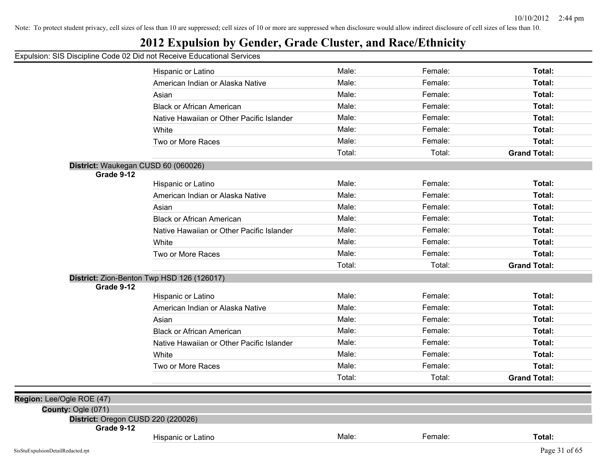## **2012 Expulsion by Gender, Grade Cluster, and Race/Ethnicity**

|                                                          | Hispanic or Latino                         | Male:  | Female: | Total:              |
|----------------------------------------------------------|--------------------------------------------|--------|---------|---------------------|
|                                                          | American Indian or Alaska Native           | Male:  | Female: | Total:              |
|                                                          | Asian                                      | Male:  | Female: | Total:              |
|                                                          | <b>Black or African American</b>           | Male:  | Female: | Total:              |
|                                                          | Native Hawaiian or Other Pacific Islander  | Male:  | Female: | Total:              |
|                                                          | White                                      | Male:  | Female: | <b>Total:</b>       |
|                                                          | Two or More Races                          | Male:  | Female: | Total:              |
|                                                          |                                            | Total: | Total:  | <b>Grand Total:</b> |
| District: Waukegan CUSD 60 (060026)                      |                                            |        |         |                     |
| Grade 9-12                                               |                                            |        |         |                     |
|                                                          | Hispanic or Latino                         | Male:  | Female: | <b>Total:</b>       |
|                                                          | American Indian or Alaska Native           | Male:  | Female: | <b>Total:</b>       |
|                                                          | Asian                                      | Male:  | Female: | Total:              |
|                                                          | <b>Black or African American</b>           | Male:  | Female: | Total:              |
|                                                          | Native Hawaiian or Other Pacific Islander  | Male:  | Female: | Total:              |
|                                                          | White                                      | Male:  | Female: | Total:              |
|                                                          | Two or More Races                          | Male:  | Female: | Total:              |
|                                                          |                                            | Total: | Total:  | <b>Grand Total:</b> |
|                                                          | District: Zion-Benton Twp HSD 126 (126017) |        |         |                     |
| Grade 9-12                                               |                                            |        |         |                     |
|                                                          | Hispanic or Latino                         | Male:  | Female: | Total:              |
|                                                          | American Indian or Alaska Native           | Male:  | Female: | Total:              |
|                                                          | Asian                                      | Male:  | Female: | Total:              |
|                                                          | <b>Black or African American</b>           | Male:  | Female: | Total:              |
|                                                          | Native Hawaiian or Other Pacific Islander  | Male:  | Female: | Total:              |
|                                                          | White                                      | Male:  | Female: | <b>Total:</b>       |
|                                                          | Two or More Races                          | Male:  | Female: | Total:              |
|                                                          |                                            | Total: | Total:  | <b>Grand Total:</b> |
|                                                          |                                            |        |         |                     |
| Region: Lee/Ogle ROE (47)                                |                                            |        |         |                     |
| County: Ogle (071)<br>District: Oregon CUSD 220 (220026) |                                            |        |         |                     |
| Grade 9-12                                               |                                            |        |         |                     |
|                                                          | Hispanic or Latino                         | Male:  | Female: | Total:              |
| SisStuExpulsionDetailRedacted.rpt                        |                                            |        |         | Page 31 of 65       |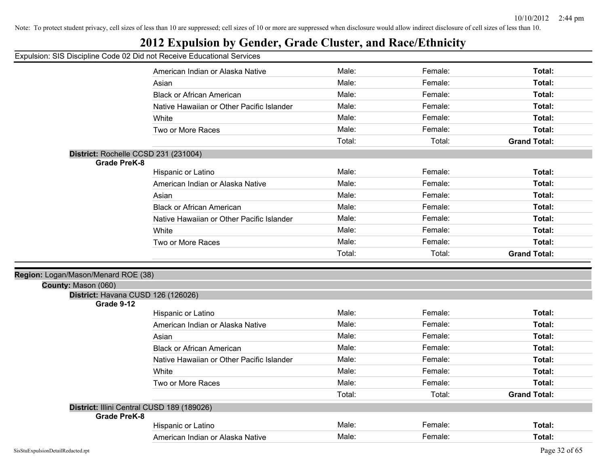## **2012 Expulsion by Gender, Grade Cluster, and Race/Ethnicity**

|                                     | American Indian or Alaska Native           | Male:  | Female: | Total:              |  |
|-------------------------------------|--------------------------------------------|--------|---------|---------------------|--|
|                                     | Asian                                      | Male:  | Female: | Total:              |  |
|                                     | <b>Black or African American</b>           | Male:  | Female: | Total:              |  |
|                                     | Native Hawaiian or Other Pacific Islander  | Male:  | Female: | Total:              |  |
|                                     | White                                      | Male:  | Female: | Total:              |  |
|                                     | Two or More Races                          | Male:  | Female: | Total:              |  |
|                                     |                                            | Total: | Total:  | <b>Grand Total:</b> |  |
|                                     | District: Rochelle CCSD 231 (231004)       |        |         |                     |  |
| <b>Grade PreK-8</b>                 |                                            |        |         |                     |  |
|                                     | Hispanic or Latino                         | Male:  | Female: | Total:              |  |
|                                     | American Indian or Alaska Native           | Male:  | Female: | Total:              |  |
|                                     | Asian                                      | Male:  | Female: | Total:              |  |
|                                     | <b>Black or African American</b>           | Male:  | Female: | Total:              |  |
|                                     | Native Hawaiian or Other Pacific Islander  | Male:  | Female: | Total:              |  |
|                                     | White                                      | Male:  | Female: | Total:              |  |
|                                     | Two or More Races                          | Male:  | Female: | Total:              |  |
|                                     |                                            | Total: | Total:  | <b>Grand Total:</b> |  |
|                                     |                                            |        |         |                     |  |
| Region: Logan/Mason/Menard ROE (38) |                                            |        |         |                     |  |
| County: Mason (060)                 |                                            |        |         |                     |  |
|                                     |                                            |        |         |                     |  |
|                                     | District: Havana CUSD 126 (126026)         |        |         |                     |  |
| Grade 9-12                          | Hispanic or Latino                         | Male:  | Female: | Total:              |  |
|                                     | American Indian or Alaska Native           | Male:  | Female: | Total:              |  |
|                                     | Asian                                      | Male:  | Female: | Total:              |  |
|                                     | <b>Black or African American</b>           | Male:  | Female: | Total:              |  |
|                                     | Native Hawaiian or Other Pacific Islander  | Male:  | Female: | Total:              |  |
|                                     | White                                      | Male:  | Female: | Total:              |  |
|                                     | Two or More Races                          | Male:  | Female: | Total:              |  |
|                                     |                                            | Total: | Total:  | <b>Grand Total:</b> |  |
|                                     |                                            |        |         |                     |  |
| <b>Grade PreK-8</b>                 | District: Illini Central CUSD 189 (189026) |        |         |                     |  |
|                                     | Hispanic or Latino                         | Male:  | Female: | Total:              |  |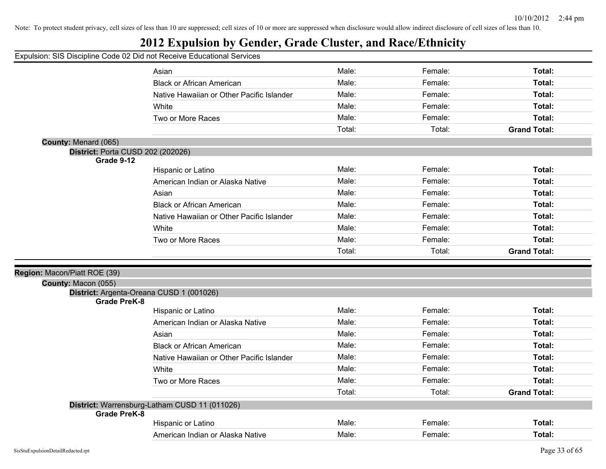## **2012 Expulsion by Gender, Grade Cluster, and Race/Ethnicity**

|                              | Asian                                         | Male:  | Female: | Total:              |
|------------------------------|-----------------------------------------------|--------|---------|---------------------|
|                              | <b>Black or African American</b>              | Male:  | Female: | Total:              |
|                              | Native Hawaiian or Other Pacific Islander     | Male:  | Female: | Total:              |
|                              | White                                         | Male:  | Female: | Total:              |
|                              | Two or More Races                             | Male:  | Female: | Total:              |
|                              |                                               | Total: | Total:  | <b>Grand Total:</b> |
| County: Menard (065)         |                                               |        |         |                     |
|                              | District: Porta CUSD 202 (202026)             |        |         |                     |
| Grade 9-12                   |                                               |        |         |                     |
|                              | Hispanic or Latino                            | Male:  | Female: | Total:              |
|                              | American Indian or Alaska Native              | Male:  | Female: | Total:              |
|                              | Asian                                         | Male:  | Female: | Total:              |
|                              | <b>Black or African American</b>              | Male:  | Female: | Total:              |
|                              | Native Hawaiian or Other Pacific Islander     | Male:  | Female: | Total:              |
|                              | White                                         | Male:  | Female: | Total:              |
|                              | Two or More Races                             | Male:  | Female: | Total:              |
|                              |                                               | Total: | Total:  | <b>Grand Total:</b> |
|                              |                                               |        |         |                     |
| Region: Macon/Piatt ROE (39) |                                               |        |         |                     |
| County: Macon (055)          |                                               |        |         |                     |
| Grade PreK-8                 | District: Argenta-Oreana CUSD 1 (001026)      |        |         |                     |
|                              | Hispanic or Latino                            | Male:  | Female: | Total:              |
|                              | American Indian or Alaska Native              | Male:  | Female: | Total:              |
|                              | Asian                                         | Male:  | Female: | Total:              |
|                              | <b>Black or African American</b>              | Male:  | Female: | Total:              |
|                              | Native Hawaiian or Other Pacific Islander     | Male:  | Female: | Total:              |
|                              | White                                         | Male:  | Female: | Total:              |
|                              | Two or More Races                             | Male:  | Female: | Total:              |
|                              |                                               | Total: | Total:  | <b>Grand Total:</b> |
|                              | District: Warrensburg-Latham CUSD 11 (011026) |        |         |                     |
| <b>Grade PreK-8</b>          |                                               |        |         |                     |
|                              |                                               |        |         |                     |
|                              | Hispanic or Latino                            | Male:  | Female: | Total:              |
|                              | American Indian or Alaska Native              | Male:  | Female: | Total:              |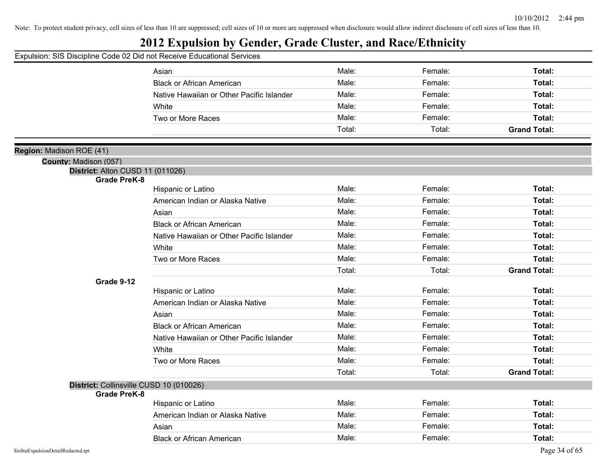## **2012 Expulsion by Gender, Grade Cluster, and Race/Ethnicity**

|                                         | Asian                                     | Male:  | Female: | Total:              |
|-----------------------------------------|-------------------------------------------|--------|---------|---------------------|
|                                         | <b>Black or African American</b>          | Male:  | Female: | Total:              |
|                                         | Native Hawaiian or Other Pacific Islander | Male:  | Female: | Total:              |
|                                         | White                                     | Male:  | Female: | Total:              |
|                                         | Two or More Races                         | Male:  | Female: | Total:              |
|                                         |                                           | Total: | Total:  | <b>Grand Total:</b> |
|                                         |                                           |        |         |                     |
| Region: Madison ROE (41)                |                                           |        |         |                     |
| County: Madison (057)                   |                                           |        |         |                     |
| District: Alton CUSD 11 (011026)        |                                           |        |         |                     |
| <b>Grade PreK-8</b>                     | Hispanic or Latino                        | Male:  | Female: | Total:              |
|                                         | American Indian or Alaska Native          | Male:  | Female: | Total:              |
|                                         | Asian                                     | Male:  | Female: | Total:              |
|                                         | <b>Black or African American</b>          | Male:  | Female: | Total:              |
|                                         | Native Hawaiian or Other Pacific Islander | Male:  | Female: | Total:              |
|                                         | White                                     | Male:  | Female: | Total:              |
|                                         | Two or More Races                         | Male:  | Female: | Total:              |
|                                         |                                           | Total: | Total:  | <b>Grand Total:</b> |
| Grade 9-12                              |                                           |        |         |                     |
|                                         | Hispanic or Latino                        | Male:  | Female: | Total:              |
|                                         | American Indian or Alaska Native          | Male:  | Female: | Total:              |
|                                         | Asian                                     | Male:  | Female: | Total:              |
|                                         | <b>Black or African American</b>          | Male:  | Female: | Total:              |
|                                         | Native Hawaiian or Other Pacific Islander | Male:  | Female: | Total:              |
|                                         | White                                     | Male:  | Female: | Total:              |
|                                         | Two or More Races                         | Male:  | Female: | Total:              |
|                                         |                                           | Total: | Total:  | <b>Grand Total:</b> |
| District: Collinsville CUSD 10 (010026) |                                           |        |         |                     |
| <b>Grade PreK-8</b>                     |                                           |        |         |                     |
|                                         | Hispanic or Latino                        | Male:  | Female: | Total:              |
|                                         | American Indian or Alaska Native          | Male:  | Female: | Total:              |
|                                         | Asian                                     | Male:  | Female: | Total:              |
|                                         | <b>Black or African American</b>          | Male:  | Female: | Total:              |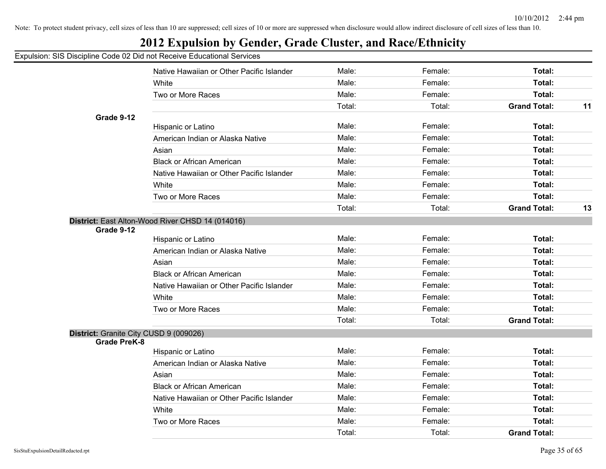| Expulsion: SIS Discipline Code 02 Did not Receive Educational Services |                                                  |        |         |                     |    |
|------------------------------------------------------------------------|--------------------------------------------------|--------|---------|---------------------|----|
|                                                                        | Native Hawaiian or Other Pacific Islander        | Male:  | Female: | Total:              |    |
|                                                                        | White                                            | Male:  | Female: | Total:              |    |
|                                                                        | Two or More Races                                | Male:  | Female: | Total:              |    |
|                                                                        |                                                  | Total: | Total:  | <b>Grand Total:</b> | 11 |
| Grade 9-12                                                             |                                                  |        |         |                     |    |
|                                                                        | Hispanic or Latino                               | Male:  | Female: | Total:              |    |
|                                                                        | American Indian or Alaska Native                 | Male:  | Female: | Total:              |    |
|                                                                        | Asian                                            | Male:  | Female: | Total:              |    |
|                                                                        | <b>Black or African American</b>                 | Male:  | Female: | Total:              |    |
|                                                                        | Native Hawaiian or Other Pacific Islander        | Male:  | Female: | Total:              |    |
|                                                                        | White                                            | Male:  | Female: | Total:              |    |
|                                                                        | Two or More Races                                | Male:  | Female: | Total:              |    |
|                                                                        |                                                  | Total: | Total:  | <b>Grand Total:</b> | 13 |
| Grade 9-12                                                             | District: East Alton-Wood River CHSD 14 (014016) |        |         |                     |    |
|                                                                        | Hispanic or Latino                               | Male:  | Female: | Total:              |    |
|                                                                        | American Indian or Alaska Native                 | Male:  | Female: | Total:              |    |
|                                                                        | Asian                                            | Male:  | Female: | Total:              |    |
|                                                                        | <b>Black or African American</b>                 | Male:  | Female: | Total:              |    |
|                                                                        | Native Hawaiian or Other Pacific Islander        | Male:  | Female: | Total:              |    |
|                                                                        | White                                            | Male:  | Female: | Total:              |    |
|                                                                        | Two or More Races                                | Male:  | Female: | Total:              |    |
|                                                                        |                                                  | Total: | Total:  | <b>Grand Total:</b> |    |
| District: Granite City CUSD 9 (009026)<br><b>Grade PreK-8</b>          |                                                  |        |         |                     |    |
|                                                                        | Hispanic or Latino                               | Male:  | Female: | Total:              |    |
|                                                                        | American Indian or Alaska Native                 | Male:  | Female: | Total:              |    |
|                                                                        | Asian                                            | Male:  | Female: | Total:              |    |
|                                                                        | <b>Black or African American</b>                 | Male:  | Female: | Total:              |    |
|                                                                        | Native Hawaiian or Other Pacific Islander        | Male:  | Female: | Total:              |    |
|                                                                        | White                                            | Male:  | Female: | Total:              |    |
|                                                                        | Two or More Races                                | Male:  | Female: | Total:              |    |
|                                                                        |                                                  | Total: | Total:  | <b>Grand Total:</b> |    |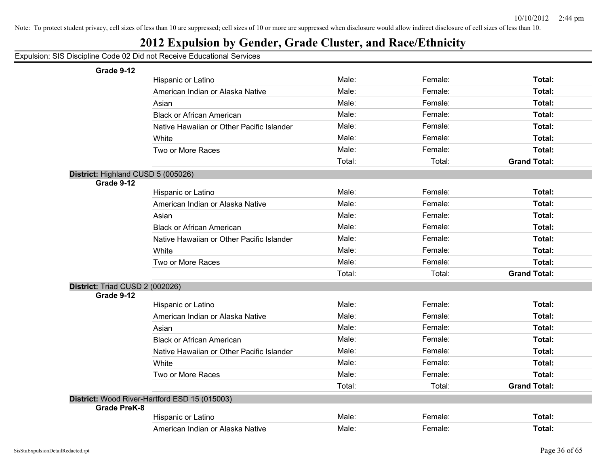## **2012 Expulsion by Gender, Grade Cluster, and Race/Ethnicity**

#### Expulsion: SIS Discipline Code 02 Did not Receive Educational Services

**Grade 9-12**

| Grade 9-12                         |                                               |        |         |                     |
|------------------------------------|-----------------------------------------------|--------|---------|---------------------|
|                                    | Hispanic or Latino                            | Male:  | Female: | Total:              |
|                                    | American Indian or Alaska Native              | Male:  | Female: | Total:              |
|                                    | Asian                                         | Male:  | Female: | Total:              |
|                                    | <b>Black or African American</b>              | Male:  | Female: | Total:              |
|                                    | Native Hawaiian or Other Pacific Islander     | Male:  | Female: | Total:              |
|                                    | White                                         | Male:  | Female: | Total:              |
|                                    | Two or More Races                             | Male:  | Female: | Total:              |
|                                    |                                               | Total: | Total:  | <b>Grand Total:</b> |
| District: Highland CUSD 5 (005026) |                                               |        |         |                     |
| Grade 9-12                         |                                               |        |         |                     |
|                                    | Hispanic or Latino                            | Male:  | Female: | Total:              |
|                                    | American Indian or Alaska Native              | Male:  | Female: | Total:              |
|                                    | Asian                                         | Male:  | Female: | Total:              |
|                                    | <b>Black or African American</b>              | Male:  | Female: | Total:              |
|                                    | Native Hawaiian or Other Pacific Islander     | Male:  | Female: | Total:              |
|                                    | White                                         | Male:  | Female: | Total:              |
|                                    | Two or More Races                             | Male:  | Female: | Total:              |
|                                    |                                               | Total: | Total:  | <b>Grand Total:</b> |
| District: Triad CUSD 2 (002026)    |                                               |        |         |                     |
| Grade 9-12                         |                                               |        |         |                     |
|                                    | Hispanic or Latino                            | Male:  | Female: | Total:              |
|                                    | American Indian or Alaska Native              | Male:  | Female: | Total:              |
|                                    | Asian                                         | Male:  | Female: | Total:              |
|                                    | <b>Black or African American</b>              | Male:  | Female: | Total:              |
|                                    | Native Hawaiian or Other Pacific Islander     | Male:  | Female: | Total:              |
|                                    | White                                         | Male:  | Female: | Total:              |
|                                    | Two or More Races                             | Male:  | Female: | Total:              |
|                                    |                                               | Total: | Total:  | <b>Grand Total:</b> |
|                                    | District: Wood River-Hartford ESD 15 (015003) |        |         |                     |
| <b>Grade PreK-8</b>                |                                               |        |         |                     |
|                                    | Hispanic or Latino                            | Male:  | Female: | Total:              |
|                                    | American Indian or Alaska Native              | Male:  | Female: | Total:              |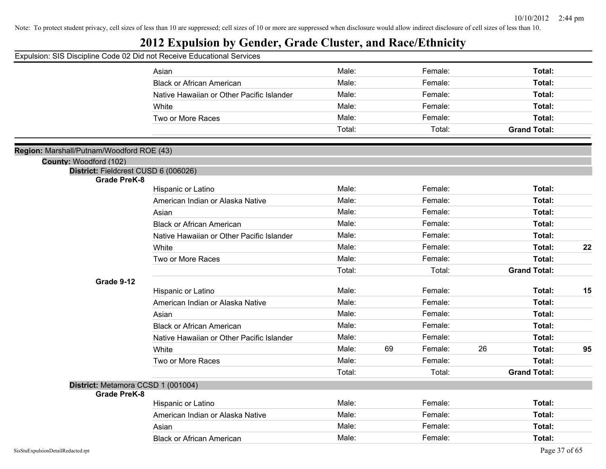## **2012 Expulsion by Gender, Grade Cluster, and Race/Ethnicity**

|                                                                     | Asian                                     | Male:  |    | Female: |    | Total:              |    |
|---------------------------------------------------------------------|-------------------------------------------|--------|----|---------|----|---------------------|----|
|                                                                     | <b>Black or African American</b>          | Male:  |    | Female: |    | Total:              |    |
|                                                                     | Native Hawaiian or Other Pacific Islander | Male:  |    | Female: |    | Total:              |    |
|                                                                     | White                                     | Male:  |    | Female: |    | Total:              |    |
|                                                                     | Two or More Races                         | Male:  |    | Female: |    | Total:              |    |
|                                                                     |                                           | Total: |    | Total:  |    | <b>Grand Total:</b> |    |
|                                                                     |                                           |        |    |         |    |                     |    |
| Region: Marshall/Putnam/Woodford ROE (43)<br>County: Woodford (102) |                                           |        |    |         |    |                     |    |
| District: Fieldcrest CUSD 6 (006026)                                |                                           |        |    |         |    |                     |    |
| <b>Grade PreK-8</b>                                                 |                                           |        |    |         |    |                     |    |
|                                                                     | Hispanic or Latino                        | Male:  |    | Female: |    | Total:              |    |
|                                                                     | American Indian or Alaska Native          | Male:  |    | Female: |    | Total:              |    |
|                                                                     | Asian                                     | Male:  |    | Female: |    | Total:              |    |
|                                                                     | <b>Black or African American</b>          | Male:  |    | Female: |    | Total:              |    |
|                                                                     | Native Hawaiian or Other Pacific Islander | Male:  |    | Female: |    | Total:              |    |
|                                                                     | White                                     | Male:  |    | Female: |    | Total:              | 22 |
|                                                                     | Two or More Races                         | Male:  |    | Female: |    | Total:              |    |
|                                                                     |                                           | Total: |    | Total:  |    | <b>Grand Total:</b> |    |
| Grade 9-12                                                          |                                           |        |    |         |    |                     |    |
|                                                                     | Hispanic or Latino                        | Male:  |    | Female: |    | Total:              | 15 |
|                                                                     | American Indian or Alaska Native          | Male:  |    | Female: |    | Total:              |    |
|                                                                     | Asian                                     | Male:  |    | Female: |    | Total:              |    |
|                                                                     | <b>Black or African American</b>          | Male:  |    | Female: |    | Total:              |    |
|                                                                     | Native Hawaiian or Other Pacific Islander | Male:  |    | Female: |    | Total:              |    |
|                                                                     | White                                     | Male:  | 69 | Female: | 26 | Total:              | 95 |
|                                                                     | Two or More Races                         | Male:  |    | Female: |    | Total:              |    |
|                                                                     |                                           | Total: |    | Total:  |    | <b>Grand Total:</b> |    |
| District: Metamora CCSD 1 (001004)                                  |                                           |        |    |         |    |                     |    |
| <b>Grade PreK-8</b>                                                 |                                           | Male:  |    | Female: |    | Total:              |    |
|                                                                     | Hispanic or Latino                        | Male:  |    | Female: |    | Total:              |    |
|                                                                     | American Indian or Alaska Native          | Male:  |    |         |    |                     |    |
|                                                                     | Asian                                     |        |    | Female: |    | Total:              |    |
|                                                                     | <b>Black or African American</b>          | Male:  |    | Female: |    | Total:              |    |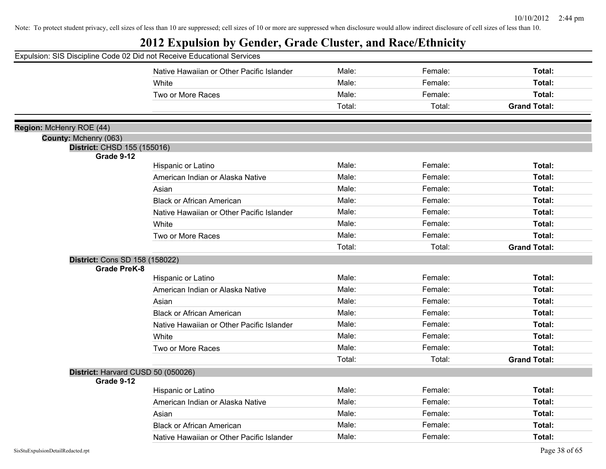|                                | Expulsion: SIS Discipline Code 02 Did not Receive Educational Services |        |         |                     |
|--------------------------------|------------------------------------------------------------------------|--------|---------|---------------------|
|                                | Native Hawaiian or Other Pacific Islander                              | Male:  | Female: | Total:              |
|                                | White                                                                  | Male:  | Female: | Total:              |
|                                | Two or More Races                                                      | Male:  | Female: | Total:              |
|                                |                                                                        | Total: | Total:  | <b>Grand Total:</b> |
| Region: McHenry ROE (44)       |                                                                        |        |         |                     |
| County: Mchenry (063)          |                                                                        |        |         |                     |
| District: CHSD 155 (155016)    |                                                                        |        |         |                     |
| Grade 9-12                     |                                                                        | Male:  | Female: | Total:              |
|                                | Hispanic or Latino                                                     |        |         |                     |
|                                | American Indian or Alaska Native                                       | Male:  | Female: | Total:              |
|                                | Asian                                                                  | Male:  | Female: | Total:              |
|                                | <b>Black or African American</b>                                       | Male:  | Female: | Total:              |
|                                | Native Hawaiian or Other Pacific Islander                              | Male:  | Female: | Total:              |
|                                | White                                                                  | Male:  | Female: | Total:              |
|                                | Two or More Races                                                      | Male:  | Female: | Total:              |
|                                |                                                                        | Total: | Total:  | <b>Grand Total:</b> |
| District: Cons SD 158 (158022) |                                                                        |        |         |                     |
| <b>Grade PreK-8</b>            |                                                                        |        |         |                     |
|                                | Hispanic or Latino                                                     | Male:  | Female: | Total:              |
|                                | American Indian or Alaska Native                                       | Male:  | Female: | Total:              |
|                                | Asian                                                                  | Male:  | Female: | Total:              |
|                                | <b>Black or African American</b>                                       | Male:  | Female: | Total:              |
|                                | Native Hawaiian or Other Pacific Islander                              | Male:  | Female: | Total:              |
|                                | White                                                                  | Male:  | Female: | Total:              |
|                                | Two or More Races                                                      | Male:  | Female: | Total:              |
|                                |                                                                        | Total: | Total:  | <b>Grand Total:</b> |
|                                | District: Harvard CUSD 50 (050026)                                     |        |         |                     |
| Grade 9-12                     |                                                                        |        |         |                     |
|                                | Hispanic or Latino                                                     | Male:  | Female: | Total:              |
|                                | American Indian or Alaska Native                                       | Male:  | Female: | Total:              |
|                                | Asian                                                                  | Male:  | Female: | Total:              |
|                                | <b>Black or African American</b>                                       | Male:  | Female: | Total:              |
|                                | Native Hawaiian or Other Pacific Islander                              | Male:  | Female: | Total:              |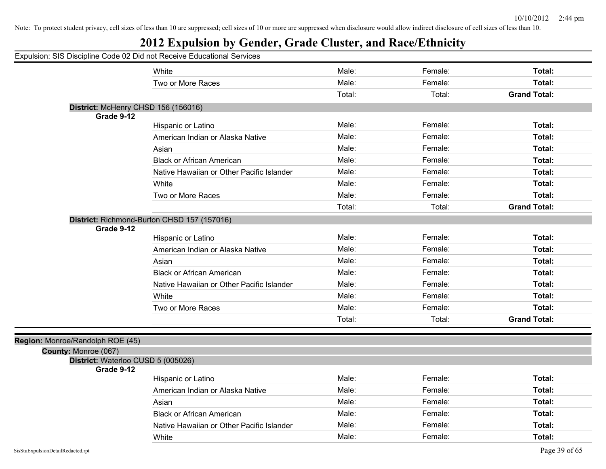# **2012 Expulsion by Gender, Grade Cluster, and Race/Ethnicity**

|                                  | Expulsion: SIS Discipline Code 02 Did not Receive Educational Services |        |         |                     |
|----------------------------------|------------------------------------------------------------------------|--------|---------|---------------------|
|                                  | White                                                                  | Male:  | Female: | Total:              |
|                                  | Two or More Races                                                      | Male:  | Female: | Total:              |
|                                  |                                                                        | Total: | Total:  | <b>Grand Total:</b> |
|                                  | District: McHenry CHSD 156 (156016)                                    |        |         |                     |
| Grade 9-12                       |                                                                        |        |         |                     |
|                                  | Hispanic or Latino                                                     | Male:  | Female: | Total:              |
|                                  | American Indian or Alaska Native                                       | Male:  | Female: | Total:              |
|                                  | Asian                                                                  | Male:  | Female: | Total:              |
|                                  | <b>Black or African American</b>                                       | Male:  | Female: | Total:              |
|                                  | Native Hawaiian or Other Pacific Islander                              | Male:  | Female: | Total:              |
|                                  | White                                                                  | Male:  | Female: | Total:              |
|                                  | Two or More Races                                                      | Male:  | Female: | Total:              |
|                                  |                                                                        | Total: | Total:  | <b>Grand Total:</b> |
| Grade 9-12                       | District: Richmond-Burton CHSD 157 (157016)                            |        |         |                     |
|                                  | Hispanic or Latino                                                     | Male:  | Female: | Total:              |
|                                  | American Indian or Alaska Native                                       | Male:  | Female: | Total:              |
|                                  | Asian                                                                  | Male:  | Female: | Total:              |
|                                  | <b>Black or African American</b>                                       | Male:  | Female: | Total:              |
|                                  | Native Hawaiian or Other Pacific Islander                              | Male:  | Female: | Total:              |
|                                  | White                                                                  | Male:  | Female: | Total:              |
|                                  | Two or More Races                                                      | Male:  | Female: | Total:              |
|                                  |                                                                        | Total: | Total:  | <b>Grand Total:</b> |
|                                  |                                                                        |        |         |                     |
| Region: Monroe/Randolph ROE (45) |                                                                        |        |         |                     |
| County: Monroe (067)             |                                                                        |        |         |                     |
| Grade 9-12                       | District: Waterloo CUSD 5 (005026)                                     |        |         |                     |
|                                  | Hispanic or Latino                                                     | Male:  | Female: | Total:              |
|                                  | American Indian or Alaska Native                                       | Male:  | Female: | Total:              |
|                                  | Asian                                                                  | Male:  | Female: | Total:              |
|                                  | <b>Black or African American</b>                                       | Male:  | Female: | Total:              |
|                                  | Native Hawaiian or Other Pacific Islander                              | Male:  | Female: | Total:              |

White **Total:** Male: Female: **Total:** Female: **Total:** Female: Total: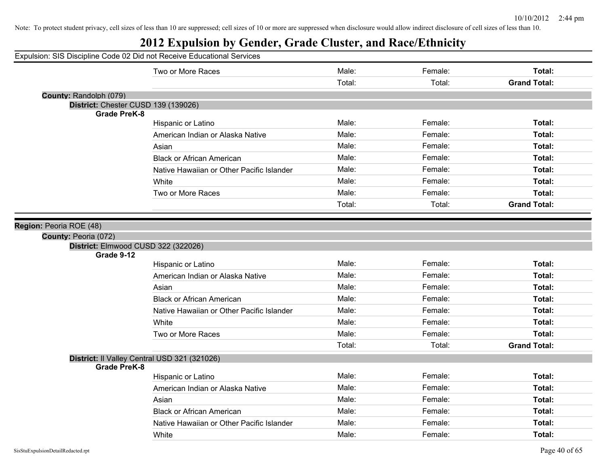|                                     | Expulsion: SIS Discipline Code 02 Did not Receive Educational Services |        |         |                     |
|-------------------------------------|------------------------------------------------------------------------|--------|---------|---------------------|
|                                     | Two or More Races                                                      | Male:  | Female: | Total:              |
|                                     |                                                                        | Total: | Total:  | <b>Grand Total:</b> |
| County: Randolph (079)              |                                                                        |        |         |                     |
| District: Chester CUSD 139 (139026) |                                                                        |        |         |                     |
| <b>Grade PreK-8</b>                 |                                                                        | Male:  | Female: | Total:              |
|                                     | Hispanic or Latino                                                     | Male:  |         |                     |
|                                     | American Indian or Alaska Native                                       |        | Female: | Total:              |
|                                     | Asian                                                                  | Male:  | Female: | Total:              |
|                                     | <b>Black or African American</b>                                       | Male:  | Female: | Total:              |
|                                     | Native Hawaiian or Other Pacific Islander                              | Male:  | Female: | Total:              |
|                                     | White                                                                  | Male:  | Female: | Total:              |
|                                     | Two or More Races                                                      | Male:  | Female: | Total:              |
|                                     |                                                                        | Total: | Total:  | <b>Grand Total:</b> |
| Region: Peoria ROE (48)             |                                                                        |        |         |                     |
| County: Peoria (072)<br>Grade 9-12  | District: Elmwood CUSD 322 (322026)                                    |        |         |                     |
|                                     | Hispanic or Latino                                                     | Male:  | Female: | Total:              |
|                                     | American Indian or Alaska Native                                       | Male:  | Female: | Total:              |
|                                     | Asian                                                                  | Male:  | Female: | Total:              |
|                                     | <b>Black or African American</b>                                       | Male:  | Female: | Total:              |
|                                     | Native Hawaiian or Other Pacific Islander                              | Male:  | Female: | Total:              |
|                                     | White                                                                  | Male:  | Female: | Total:              |
|                                     | Two or More Races                                                      | Male:  | Female: | Total:              |
|                                     |                                                                        | Total: | Total:  | <b>Grand Total:</b> |
|                                     | District: Il Valley Central USD 321 (321026)                           |        |         |                     |
| <b>Grade PreK-8</b>                 |                                                                        |        |         |                     |
|                                     | Hispanic or Latino                                                     | Male:  | Female: | Total:              |
|                                     | American Indian or Alaska Native                                       | Male:  | Female: | Total:              |
|                                     | Asian                                                                  | Male:  | Female: | Total:              |
|                                     | <b>Black or African American</b>                                       | Male:  | Female: | Total:              |
|                                     | Native Hawaiian or Other Pacific Islander                              | Male:  | Female: | Total:              |
|                                     | White                                                                  | Male:  | Female: | Total:              |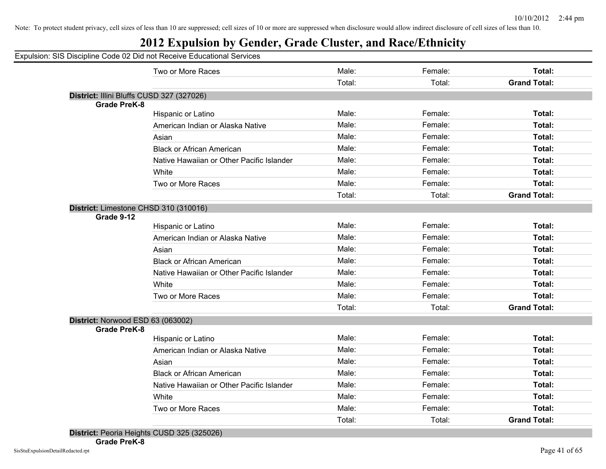## **2012 Expulsion by Gender, Grade Cluster, and Race/Ethnicity**

|                                           | Two or More Races                         | Male:  | Female: | Total:              |
|-------------------------------------------|-------------------------------------------|--------|---------|---------------------|
|                                           |                                           | Total: | Total:  | <b>Grand Total:</b> |
| District: Illini Bluffs CUSD 327 (327026) |                                           |        |         |                     |
| <b>Grade PreK-8</b>                       |                                           |        |         |                     |
|                                           | Hispanic or Latino                        | Male:  | Female: | Total:              |
|                                           | American Indian or Alaska Native          | Male:  | Female: | Total:              |
|                                           | Asian                                     | Male:  | Female: | Total:              |
|                                           | <b>Black or African American</b>          | Male:  | Female: | Total:              |
|                                           | Native Hawaiian or Other Pacific Islander | Male:  | Female: | Total:              |
|                                           | White                                     | Male:  | Female: | Total:              |
|                                           | Two or More Races                         | Male:  | Female: | Total:              |
|                                           |                                           | Total: | Total:  | <b>Grand Total:</b> |
| District: Limestone CHSD 310 (310016)     |                                           |        |         |                     |
| Grade 9-12                                |                                           |        |         |                     |
|                                           | Hispanic or Latino                        | Male:  | Female: | Total:              |
|                                           | American Indian or Alaska Native          | Male:  | Female: | Total:              |
|                                           | Asian                                     | Male:  | Female: | Total:              |
|                                           | <b>Black or African American</b>          | Male:  | Female: | Total:              |
|                                           | Native Hawaiian or Other Pacific Islander | Male:  | Female: | Total:              |
|                                           | White                                     | Male:  | Female: | Total:              |
|                                           | Two or More Races                         | Male:  | Female: | Total:              |
|                                           |                                           | Total: | Total:  | <b>Grand Total:</b> |
| District: Norwood ESD 63 (063002)         |                                           |        |         |                     |
| <b>Grade PreK-8</b>                       |                                           |        |         |                     |
|                                           | Hispanic or Latino                        | Male:  | Female: | Total:              |
|                                           | American Indian or Alaska Native          | Male:  | Female: | Total:              |
|                                           | Asian                                     | Male:  | Female: | Total:              |
|                                           | <b>Black or African American</b>          | Male:  | Female: | Total:              |
|                                           | Native Hawaiian or Other Pacific Islander | Male:  | Female: | Total:              |
|                                           | White                                     | Male:  | Female: | Total:              |
|                                           | Two or More Races                         | Male:  | Female: | Total:              |
|                                           |                                           | Total: | Total:  | <b>Grand Total:</b> |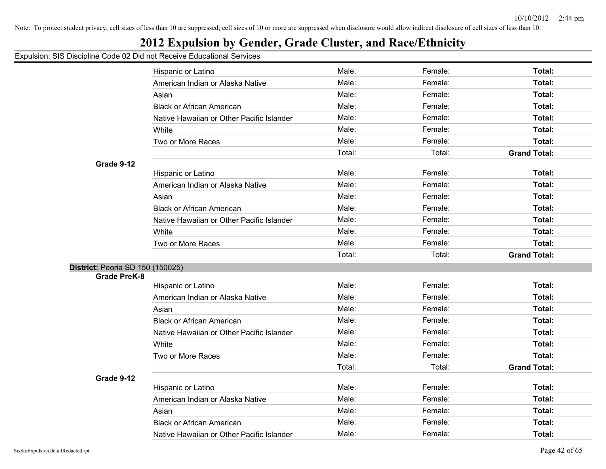## **2012 Expulsion by Gender, Grade Cluster, and Race/Ethnicity**

|                                  | Hispanic or Latino                        | Male:  | Female: | Total:              |
|----------------------------------|-------------------------------------------|--------|---------|---------------------|
|                                  | American Indian or Alaska Native          | Male:  | Female: | Total:              |
|                                  | Asian                                     | Male:  | Female: | Total:              |
|                                  | <b>Black or African American</b>          | Male:  | Female: | Total:              |
|                                  | Native Hawaiian or Other Pacific Islander | Male:  | Female: | Total:              |
|                                  | White                                     | Male:  | Female: | Total:              |
|                                  | Two or More Races                         | Male:  | Female: | Total:              |
|                                  |                                           | Total: | Total:  | <b>Grand Total:</b> |
| Grade 9-12                       |                                           |        |         |                     |
|                                  | Hispanic or Latino                        | Male:  | Female: | Total:              |
|                                  | American Indian or Alaska Native          | Male:  | Female: | Total:              |
|                                  | Asian                                     | Male:  | Female: | Total:              |
|                                  | <b>Black or African American</b>          | Male:  | Female: | Total:              |
|                                  | Native Hawaiian or Other Pacific Islander | Male:  | Female: | Total:              |
|                                  | White                                     | Male:  | Female: | Total:              |
|                                  | Two or More Races                         | Male:  | Female: | Total:              |
|                                  |                                           | Total: | Total:  | <b>Grand Total:</b> |
| District: Peoria SD 150 (150025) |                                           |        |         |                     |
| <b>Grade PreK-8</b>              |                                           | Male:  | Female: | Total:              |
|                                  | Hispanic or Latino                        | Male:  | Female: | Total:              |
|                                  | American Indian or Alaska Native          | Male:  | Female: | Total:              |
|                                  | Asian                                     | Male:  |         |                     |
|                                  | <b>Black or African American</b>          |        | Female: | Total:              |
|                                  | Native Hawaiian or Other Pacific Islander | Male:  | Female: | <b>Total:</b>       |
|                                  | White                                     | Male:  | Female: | Total:              |
|                                  | Two or More Races                         | Male:  | Female: | Total:              |
| Grade 9-12                       |                                           | Total: | Total:  | <b>Grand Total:</b> |
|                                  | Hispanic or Latino                        | Male:  | Female: | Total:              |
|                                  | American Indian or Alaska Native          | Male:  | Female: | Total:              |
|                                  | Asian                                     | Male:  | Female: | Total:              |
|                                  | <b>Black or African American</b>          | Male:  | Female: | Total:              |
|                                  | Native Hawaiian or Other Pacific Islander | Male:  | Female: | Total:              |
|                                  |                                           |        |         |                     |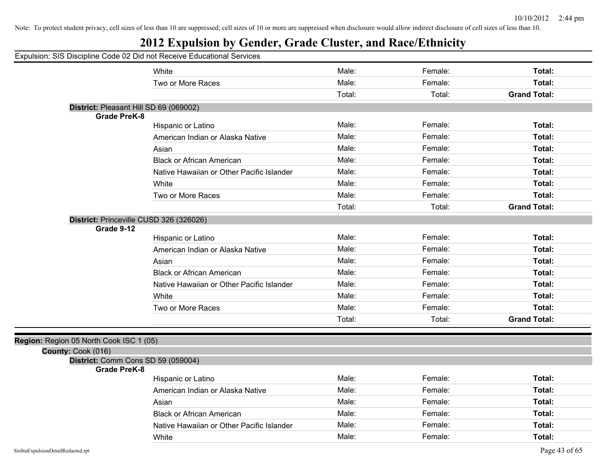|                                         | Expulsion: SIS Discipline Code 02 Did not Receive Educational Services |        |         |                     |
|-----------------------------------------|------------------------------------------------------------------------|--------|---------|---------------------|
|                                         | White                                                                  | Male:  | Female: | Total:              |
|                                         | Two or More Races                                                      | Male:  | Female: | Total:              |
|                                         |                                                                        | Total: | Total:  | <b>Grand Total:</b> |
|                                         | District: Pleasant Hill SD 69 (069002)                                 |        |         |                     |
| <b>Grade PreK-8</b>                     |                                                                        |        |         |                     |
|                                         | Hispanic or Latino                                                     | Male:  | Female: | Total:              |
|                                         | American Indian or Alaska Native                                       | Male:  | Female: | Total:              |
|                                         | Asian                                                                  | Male:  | Female: | Total:              |
|                                         | <b>Black or African American</b>                                       | Male:  | Female: | Total:              |
|                                         | Native Hawaiian or Other Pacific Islander                              | Male:  | Female: | Total:              |
|                                         | White                                                                  | Male:  | Female: | Total:              |
|                                         | Two or More Races                                                      | Male:  | Female: | Total:              |
|                                         |                                                                        | Total: | Total:  | <b>Grand Total:</b> |
| Grade 9-12                              | District: Princeville CUSD 326 (326026)                                |        |         |                     |
|                                         | Hispanic or Latino                                                     | Male:  | Female: | Total:              |
|                                         | American Indian or Alaska Native                                       | Male:  | Female: | Total:              |
|                                         | Asian                                                                  | Male:  | Female: | Total:              |
|                                         | <b>Black or African American</b>                                       | Male:  | Female: | Total:              |
|                                         | Native Hawaiian or Other Pacific Islander                              | Male:  | Female: | Total:              |
|                                         | White                                                                  | Male:  | Female: | Total:              |
|                                         | Two or More Races                                                      | Male:  | Female: | Total:              |
|                                         |                                                                        | Total: | Total:  | <b>Grand Total:</b> |
| Region: Region 05 North Cook ISC 1 (05) |                                                                        |        |         |                     |
| County: Cook (016)                      |                                                                        |        |         |                     |
|                                         | District: Comm Cons SD 59 (059004)                                     |        |         |                     |
| <b>Grade PreK-8</b>                     |                                                                        | Male:  | Female: | Total:              |
|                                         | Hispanic or Latino                                                     | Male:  | Female: | Total:              |
|                                         | American Indian or Alaska Native                                       |        |         |                     |
|                                         | Asian                                                                  | Male:  | Female: | Total:              |
|                                         | <b>Black or African American</b>                                       | Male:  | Female: | Total:              |
|                                         | Native Hawaiian or Other Pacific Islander                              | Male:  | Female: | Total:              |
|                                         | White                                                                  | Male:  | Female: | Total:              |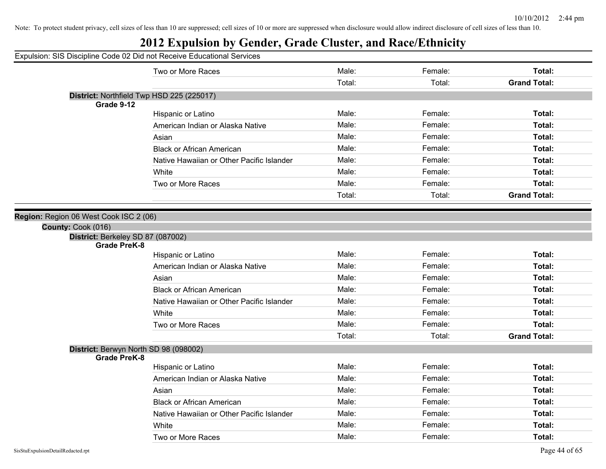## **2012 Expulsion by Gender, Grade Cluster, and Race/Ethnicity**

|                                                              | Two or More Races                         | Male:  | Female: | Total:              |
|--------------------------------------------------------------|-------------------------------------------|--------|---------|---------------------|
|                                                              |                                           | Total: | Total:  | <b>Grand Total:</b> |
| District: Northfield Twp HSD 225 (225017)                    |                                           |        |         |                     |
| Grade 9-12                                                   |                                           |        |         |                     |
|                                                              | Hispanic or Latino                        | Male:  | Female: | Total:              |
|                                                              | American Indian or Alaska Native          | Male:  | Female: | Total:              |
|                                                              | Asian                                     | Male:  | Female: | Total:              |
|                                                              | <b>Black or African American</b>          | Male:  | Female: | Total:              |
|                                                              | Native Hawaiian or Other Pacific Islander | Male:  | Female: | Total:              |
|                                                              | White                                     | Male:  | Female: | Total:              |
|                                                              | Two or More Races                         | Male:  | Female: | Total:              |
|                                                              |                                           | Total: | Total:  | <b>Grand Total:</b> |
|                                                              |                                           |        |         |                     |
| Region: Region 06 West Cook ISC 2 (06)                       |                                           |        |         |                     |
| County: Cook (016)                                           |                                           |        |         |                     |
| District: Berkeley SD 87 (087002)<br><b>Grade PreK-8</b>     |                                           |        |         |                     |
|                                                              | Hispanic or Latino                        | Male:  | Female: | Total:              |
|                                                              | American Indian or Alaska Native          | Male:  | Female: | Total:              |
|                                                              | Asian                                     | Male:  | Female: | Total:              |
|                                                              | <b>Black or African American</b>          | Male:  | Female: | Total:              |
|                                                              | Native Hawaiian or Other Pacific Islander | Male:  | Female: | Total:              |
|                                                              | White                                     | Male:  | Female: | Total:              |
|                                                              | Two or More Races                         | Male:  | Female: | <b>Total:</b>       |
|                                                              |                                           | Total: | Total:  | <b>Grand Total:</b> |
| District: Berwyn North SD 98 (098002)<br><b>Grade PreK-8</b> |                                           |        |         |                     |
|                                                              | Hispanic or Latino                        | Male:  | Female: | Total:              |
|                                                              | American Indian or Alaska Native          | Male:  | Female: | Total:              |
|                                                              | Asian                                     | Male:  | Female: | Total:              |
|                                                              | <b>Black or African American</b>          | Male:  | Female: | Total:              |
|                                                              | Native Hawaiian or Other Pacific Islander | Male:  | Female: | Total:              |
|                                                              | White                                     | Male:  | Female: | Total:              |
|                                                              | Two or More Races                         | Male:  | Female: | Total:              |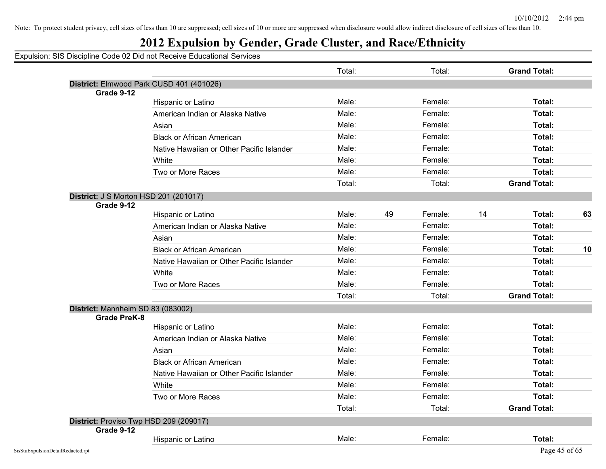## **2012 Expulsion by Gender, Grade Cluster, and Race/Ethnicity**

|                                   |                                              | Total: |    | Total:  |    | <b>Grand Total:</b> |    |
|-----------------------------------|----------------------------------------------|--------|----|---------|----|---------------------|----|
|                                   | District: Elmwood Park CUSD 401 (401026)     |        |    |         |    |                     |    |
| Grade 9-12                        |                                              |        |    |         |    |                     |    |
|                                   | Hispanic or Latino                           | Male:  |    | Female: |    | Total:              |    |
|                                   | American Indian or Alaska Native             | Male:  |    | Female: |    | Total:              |    |
|                                   | Asian                                        | Male:  |    | Female: |    | Total:              |    |
|                                   | <b>Black or African American</b>             | Male:  |    | Female: |    | Total:              |    |
|                                   | Native Hawaiian or Other Pacific Islander    | Male:  |    | Female: |    | Total:              |    |
|                                   | White                                        | Male:  |    | Female: |    | Total:              |    |
|                                   | Two or More Races                            | Male:  |    | Female: |    | Total:              |    |
|                                   |                                              | Total: |    | Total:  |    | <b>Grand Total:</b> |    |
|                                   | <b>District: J S Morton HSD 201 (201017)</b> |        |    |         |    |                     |    |
| Grade 9-12                        |                                              |        |    |         |    |                     |    |
|                                   | Hispanic or Latino                           | Male:  | 49 | Female: | 14 | Total:              | 63 |
|                                   | American Indian or Alaska Native             | Male:  |    | Female: |    | Total:              |    |
|                                   | Asian                                        | Male:  |    | Female: |    | Total:              |    |
|                                   | <b>Black or African American</b>             | Male:  |    | Female: |    | Total:              | 10 |
|                                   | Native Hawaiian or Other Pacific Islander    | Male:  |    | Female: |    | Total:              |    |
|                                   | White                                        | Male:  |    | Female: |    | Total:              |    |
|                                   | Two or More Races                            | Male:  |    | Female: |    | Total:              |    |
|                                   |                                              | Total: |    | Total:  |    | <b>Grand Total:</b> |    |
| District: Mannheim SD 83 (083002) |                                              |        |    |         |    |                     |    |
| Grade PreK-8                      |                                              |        |    |         |    |                     |    |
|                                   | Hispanic or Latino                           | Male:  |    | Female: |    | Total:              |    |
|                                   | American Indian or Alaska Native             | Male:  |    | Female: |    | Total:              |    |
|                                   | Asian                                        | Male:  |    | Female: |    | Total:              |    |
|                                   | <b>Black or African American</b>             | Male:  |    | Female: |    | Total:              |    |
|                                   | Native Hawaiian or Other Pacific Islander    | Male:  |    | Female: |    | Total:              |    |
|                                   | White                                        | Male:  |    | Female: |    | Total:              |    |
|                                   | Two or More Races                            | Male:  |    | Female: |    | Total:              |    |
|                                   |                                              | Total: |    | Total:  |    | <b>Grand Total:</b> |    |
|                                   | District: Proviso Twp HSD 209 (209017)       |        |    |         |    |                     |    |
| Grade 9-12                        |                                              |        |    |         |    |                     |    |
|                                   | Hispanic or Latino                           | Male:  |    | Female: |    | Total:              |    |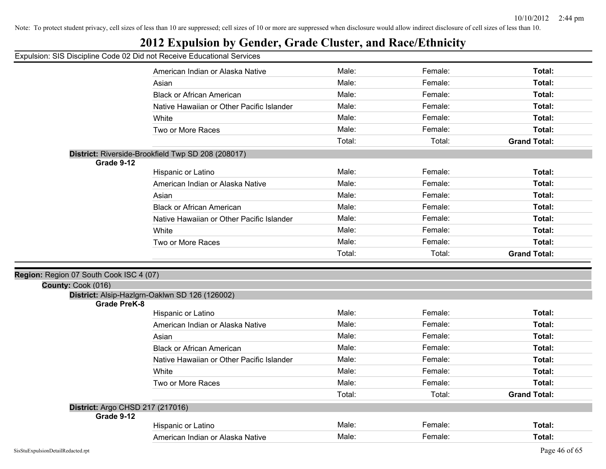## **2012 Expulsion by Gender, Grade Cluster, and Race/Ethnicity**

|                                         | American Indian or Alaska Native                       | Male:          | Female:            | Total:              |
|-----------------------------------------|--------------------------------------------------------|----------------|--------------------|---------------------|
|                                         | Asian                                                  | Male:          | Female:            | Total:              |
|                                         | <b>Black or African American</b>                       | Male:          | Female:            | Total:              |
|                                         | Native Hawaiian or Other Pacific Islander              | Male:          | Female:            | Total:              |
|                                         | White                                                  | Male:          | Female:            | Total:              |
|                                         | Two or More Races                                      | Male:          | Female:            | Total:              |
|                                         |                                                        | Total:         | Total:             | <b>Grand Total:</b> |
|                                         | District: Riverside-Brookfield Twp SD 208 (208017)     |                |                    |                     |
| Grade 9-12                              |                                                        |                |                    |                     |
|                                         | Hispanic or Latino                                     | Male:          | Female:            | Total:              |
|                                         | American Indian or Alaska Native                       | Male:          | Female:            | Total:              |
|                                         | Asian                                                  | Male:          | Female:            | Total:              |
|                                         | <b>Black or African American</b>                       | Male:          | Female:            | Total:              |
|                                         | Native Hawaiian or Other Pacific Islander              | Male:          | Female:            | Total:              |
|                                         | White                                                  | Male:          | Female:            | Total:              |
|                                         | Two or More Races                                      | Male:          | Female:            | Total:              |
|                                         |                                                        | Total:         | Total:             | <b>Grand Total:</b> |
|                                         |                                                        |                |                    |                     |
|                                         |                                                        |                |                    |                     |
| Region: Region 07 South Cook ISC 4 (07) |                                                        |                |                    |                     |
| County: Cook (016)                      |                                                        |                |                    |                     |
|                                         | District: Alsip-Hazlgrn-Oaklwn SD 126 (126002)         |                |                    |                     |
| <b>Grade PreK-8</b>                     |                                                        | Male:          | Female:            |                     |
|                                         | Hispanic or Latino<br>American Indian or Alaska Native | Male:          | Female:            | Total:<br>Total:    |
|                                         |                                                        |                |                    |                     |
|                                         | Asian<br><b>Black or African American</b>              | Male:<br>Male: | Female:<br>Female: | Total:<br>Total:    |
|                                         |                                                        | Male:          | Female:            |                     |
|                                         | Native Hawaiian or Other Pacific Islander              | Male:          | Female:            | Total:<br>Total:    |
|                                         | White                                                  |                |                    |                     |
|                                         | Two or More Races                                      | Male:          | Female:            | Total:              |
|                                         |                                                        | Total:         | Total:             | <b>Grand Total:</b> |
| District: Argo CHSD 217 (217016)        |                                                        |                |                    |                     |
| Grade 9-12                              | Hispanic or Latino                                     | Male:          | Female:            | Total:              |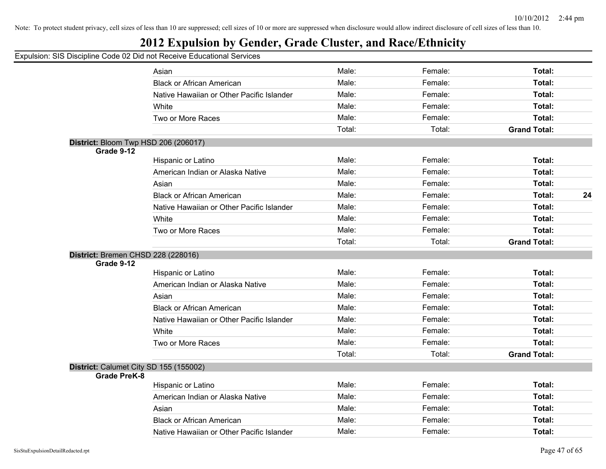## **2012 Expulsion by Gender, Grade Cluster, and Race/Ethnicity**

|                     | Asian                                     | Male:  | Female: | Total:              |    |
|---------------------|-------------------------------------------|--------|---------|---------------------|----|
|                     | <b>Black or African American</b>          | Male:  | Female: | Total:              |    |
|                     | Native Hawaiian or Other Pacific Islander | Male:  | Female: | Total:              |    |
|                     | White                                     | Male:  | Female: | Total:              |    |
|                     | Two or More Races                         | Male:  | Female: | Total:              |    |
|                     |                                           | Total: | Total:  | <b>Grand Total:</b> |    |
|                     | District: Bloom Twp HSD 206 (206017)      |        |         |                     |    |
| Grade 9-12          |                                           |        |         |                     |    |
|                     | Hispanic or Latino                        | Male:  | Female: | Total:              |    |
|                     | American Indian or Alaska Native          | Male:  | Female: | Total:              |    |
|                     | Asian                                     | Male:  | Female: | Total:              |    |
|                     | <b>Black or African American</b>          | Male:  | Female: | Total:              | 24 |
|                     | Native Hawaiian or Other Pacific Islander | Male:  | Female: | Total:              |    |
|                     | White                                     | Male:  | Female: | Total:              |    |
|                     | Two or More Races                         | Male:  | Female: | Total:              |    |
|                     |                                           | Total: | Total:  | <b>Grand Total:</b> |    |
|                     | District: Bremen CHSD 228 (228016)        |        |         |                     |    |
| Grade 9-12          |                                           |        |         |                     |    |
|                     | Hispanic or Latino                        | Male:  | Female: | Total:              |    |
|                     | American Indian or Alaska Native          | Male:  | Female: | Total:              |    |
|                     | Asian                                     | Male:  | Female: | Total:              |    |
|                     | <b>Black or African American</b>          | Male:  | Female: | Total:              |    |
|                     | Native Hawaiian or Other Pacific Islander | Male:  | Female: | Total:              |    |
|                     | White                                     | Male:  | Female: | Total:              |    |
|                     | Two or More Races                         | Male:  | Female: | Total:              |    |
|                     |                                           | Total: | Total:  | <b>Grand Total:</b> |    |
|                     | District: Calumet City SD 155 (155002)    |        |         |                     |    |
| <b>Grade PreK-8</b> |                                           |        |         |                     |    |
|                     | Hispanic or Latino                        | Male:  | Female: | Total:              |    |
|                     | American Indian or Alaska Native          | Male:  | Female: | Total:              |    |
|                     | Asian                                     | Male:  | Female: | Total:              |    |
|                     | <b>Black or African American</b>          | Male:  | Female: | Total:              |    |
|                     | Native Hawaiian or Other Pacific Islander | Male:  | Female: | Total:              |    |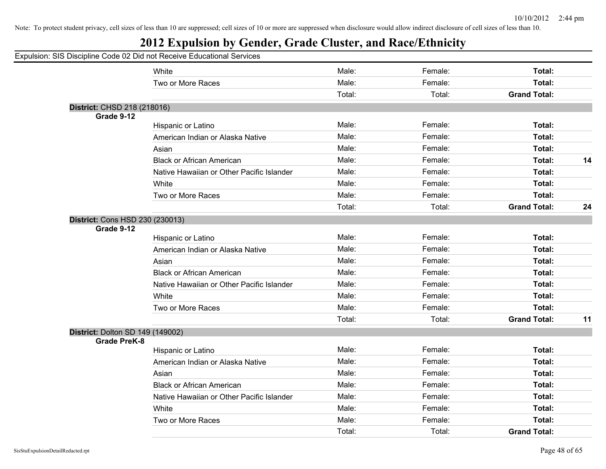| Expulsion: SIS Discipline Code 02 Did not Receive Educational Services |                                           |        |         |                     |    |
|------------------------------------------------------------------------|-------------------------------------------|--------|---------|---------------------|----|
|                                                                        | White                                     | Male:  | Female: | Total:              |    |
|                                                                        | Two or More Races                         | Male:  | Female: | Total:              |    |
|                                                                        |                                           | Total: | Total:  | <b>Grand Total:</b> |    |
| District: CHSD 218 (218016)<br>Grade 9-12                              |                                           |        |         |                     |    |
|                                                                        | Hispanic or Latino                        | Male:  | Female: | Total:              |    |
|                                                                        | American Indian or Alaska Native          | Male:  | Female: | Total:              |    |
|                                                                        | Asian                                     | Male:  | Female: | Total:              |    |
|                                                                        | <b>Black or African American</b>          | Male:  | Female: | Total:              | 14 |
|                                                                        | Native Hawaiian or Other Pacific Islander | Male:  | Female: | Total:              |    |
|                                                                        | White                                     | Male:  | Female: | Total:              |    |
|                                                                        | Two or More Races                         | Male:  | Female: | Total:              |    |
|                                                                        |                                           | Total: | Total:  | <b>Grand Total:</b> | 24 |
| District: Cons HSD 230 (230013)<br>Grade 9-12                          |                                           |        |         |                     |    |
|                                                                        | Hispanic or Latino                        | Male:  | Female: | Total:              |    |
|                                                                        | American Indian or Alaska Native          | Male:  | Female: | Total:              |    |
|                                                                        | Asian                                     | Male:  | Female: | Total:              |    |
|                                                                        | <b>Black or African American</b>          | Male:  | Female: | Total:              |    |
|                                                                        | Native Hawaiian or Other Pacific Islander | Male:  | Female: | Total:              |    |
|                                                                        | White                                     | Male:  | Female: | Total:              |    |
|                                                                        | Two or More Races                         | Male:  | Female: | Total:              |    |
|                                                                        |                                           | Total: | Total:  | <b>Grand Total:</b> | 11 |
| District: Dolton SD 149 (149002)<br><b>Grade PreK-8</b>                |                                           |        |         |                     |    |
|                                                                        | Hispanic or Latino                        | Male:  | Female: | Total:              |    |
|                                                                        | American Indian or Alaska Native          | Male:  | Female: | Total:              |    |
|                                                                        | Asian                                     | Male:  | Female: | Total:              |    |
|                                                                        | <b>Black or African American</b>          | Male:  | Female: | Total:              |    |
|                                                                        | Native Hawaiian or Other Pacific Islander | Male:  | Female: | Total:              |    |
|                                                                        | White                                     | Male:  | Female: | Total:              |    |
|                                                                        | Two or More Races                         | Male:  | Female: | Total:              |    |
|                                                                        |                                           | Total: | Total:  | <b>Grand Total:</b> |    |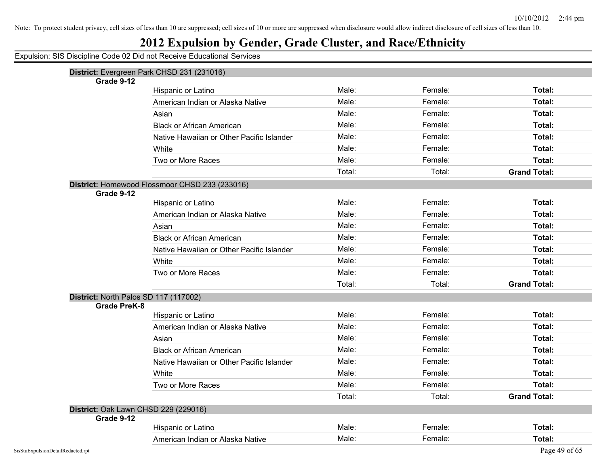## **2012 Expulsion by Gender, Grade Cluster, and Race/Ethnicity**

|                                       | District: Evergreen Park CHSD 231 (231016)     |        |         |                     |
|---------------------------------------|------------------------------------------------|--------|---------|---------------------|
| Grade 9-12                            |                                                |        |         |                     |
|                                       | Hispanic or Latino                             | Male:  | Female: | Total:              |
|                                       | American Indian or Alaska Native               | Male:  | Female: | Total:              |
|                                       | Asian                                          | Male:  | Female: | Total:              |
|                                       | <b>Black or African American</b>               | Male:  | Female: | Total:              |
|                                       | Native Hawaiian or Other Pacific Islander      | Male:  | Female: | Total:              |
|                                       | White                                          | Male:  | Female: | <b>Total:</b>       |
|                                       | Two or More Races                              | Male:  | Female: | Total:              |
|                                       |                                                | Total: | Total:  | <b>Grand Total:</b> |
|                                       | District: Homewood Flossmoor CHSD 233 (233016) |        |         |                     |
| Grade 9-12                            |                                                |        |         |                     |
|                                       | Hispanic or Latino                             | Male:  | Female: | Total:              |
|                                       | American Indian or Alaska Native               | Male:  | Female: | Total:              |
|                                       | Asian                                          | Male:  | Female: | Total:              |
|                                       | <b>Black or African American</b>               | Male:  | Female: | Total:              |
|                                       | Native Hawaiian or Other Pacific Islander      | Male:  | Female: | Total:              |
|                                       | White                                          | Male:  | Female: | <b>Total:</b>       |
|                                       | Two or More Races                              | Male:  | Female: | Total:              |
|                                       |                                                | Total: | Total:  | <b>Grand Total:</b> |
| District: North Palos SD 117 (117002) |                                                |        |         |                     |
| <b>Grade PreK-8</b>                   |                                                |        |         |                     |
|                                       | Hispanic or Latino                             | Male:  | Female: | Total:              |
|                                       | American Indian or Alaska Native               | Male:  | Female: | Total:              |
|                                       | Asian                                          | Male:  | Female: | Total:              |
|                                       | <b>Black or African American</b>               | Male:  | Female: | Total:              |
|                                       | Native Hawaiian or Other Pacific Islander      | Male:  | Female: | <b>Total:</b>       |
|                                       | White                                          | Male:  | Female: | <b>Total:</b>       |
|                                       | Two or More Races                              | Male:  | Female: | Total:              |
|                                       |                                                | Total: | Total:  | <b>Grand Total:</b> |
| District: Oak Lawn CHSD 229 (229016)  |                                                |        |         |                     |
| Grade 9-12                            |                                                |        |         |                     |
|                                       | Hispanic or Latino                             | Male:  | Female: | Total:              |
|                                       | American Indian or Alaska Native               | Male:  | Female: | Total:              |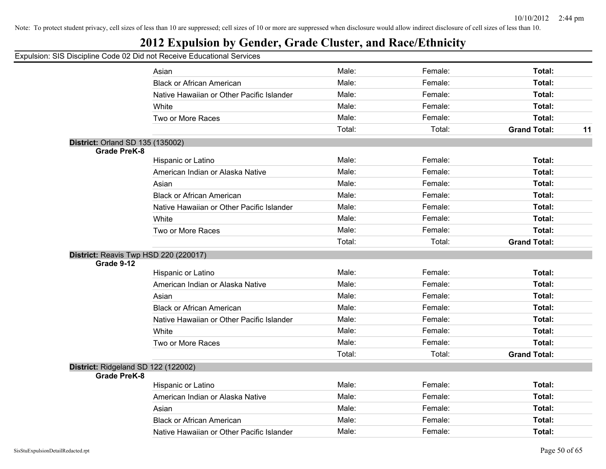## **2012 Expulsion by Gender, Grade Cluster, and Race/Ethnicity**

|                                         | Asian                                     | Male:  | Female: | Total:              |    |
|-----------------------------------------|-------------------------------------------|--------|---------|---------------------|----|
|                                         | <b>Black or African American</b>          | Male:  | Female: | Total:              |    |
|                                         | Native Hawaiian or Other Pacific Islander | Male:  | Female: | Total:              |    |
|                                         | White                                     | Male:  | Female: | Total:              |    |
|                                         | Two or More Races                         | Male:  | Female: | <b>Total:</b>       |    |
|                                         |                                           | Total: | Total:  | <b>Grand Total:</b> | 11 |
| <b>District: Orland SD 135 (135002)</b> |                                           |        |         |                     |    |
| <b>Grade PreK-8</b>                     |                                           |        |         |                     |    |
|                                         | Hispanic or Latino                        | Male:  | Female: | <b>Total:</b>       |    |
|                                         | American Indian or Alaska Native          | Male:  | Female: | Total:              |    |
|                                         | Asian                                     | Male:  | Female: | Total:              |    |
|                                         | <b>Black or African American</b>          | Male:  | Female: | Total:              |    |
|                                         | Native Hawaiian or Other Pacific Islander | Male:  | Female: | Total:              |    |
|                                         | White                                     | Male:  | Female: | Total:              |    |
|                                         | Two or More Races                         | Male:  | Female: | <b>Total:</b>       |    |
|                                         |                                           | Total: | Total:  | <b>Grand Total:</b> |    |
|                                         | District: Reavis Twp HSD 220 (220017)     |        |         |                     |    |
| Grade 9-12                              |                                           |        |         |                     |    |
|                                         | Hispanic or Latino                        | Male:  | Female: | Total:              |    |
|                                         | American Indian or Alaska Native          | Male:  | Female: | Total:              |    |
|                                         | Asian                                     | Male:  | Female: | Total:              |    |
|                                         | <b>Black or African American</b>          | Male:  | Female: | Total:              |    |
|                                         | Native Hawaiian or Other Pacific Islander | Male:  | Female: | <b>Total:</b>       |    |
|                                         | White                                     | Male:  | Female: | <b>Total:</b>       |    |
|                                         | Two or More Races                         | Male:  | Female: | Total:              |    |
|                                         |                                           | Total: | Total:  | <b>Grand Total:</b> |    |
|                                         | District: Ridgeland SD 122 (122002)       |        |         |                     |    |
| <b>Grade PreK-8</b>                     |                                           |        |         |                     |    |
|                                         | Hispanic or Latino                        | Male:  | Female: | Total:              |    |
|                                         | American Indian or Alaska Native          | Male:  | Female: | Total:              |    |
|                                         | Asian                                     | Male:  | Female: | Total:              |    |
|                                         | <b>Black or African American</b>          | Male:  | Female: | <b>Total:</b>       |    |
|                                         | Native Hawaiian or Other Pacific Islander | Male:  | Female: | Total:              |    |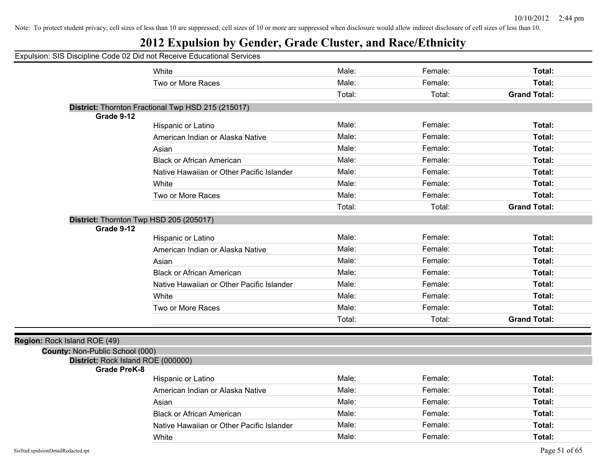## **2012 Expulsion by Gender, Grade Cluster, and Race/Ethnicity**

| White                                              | Male:                                                                                                            | Female:                                   | Total:                        |
|----------------------------------------------------|------------------------------------------------------------------------------------------------------------------|-------------------------------------------|-------------------------------|
| Two or More Races                                  | Male:                                                                                                            | Female:                                   | Total:                        |
|                                                    | Total:                                                                                                           | Total:                                    | <b>Grand Total:</b>           |
| District: Thornton Fractional Twp HSD 215 (215017) |                                                                                                                  |                                           |                               |
|                                                    |                                                                                                                  |                                           |                               |
| Hispanic or Latino                                 |                                                                                                                  | Female:                                   | Total:                        |
| American Indian or Alaska Native                   |                                                                                                                  | Female:                                   | Total:                        |
| Asian                                              |                                                                                                                  |                                           | Total:                        |
| <b>Black or African American</b>                   | Male:                                                                                                            | Female:                                   | Total:                        |
| Native Hawaiian or Other Pacific Islander          | Male:                                                                                                            | Female:                                   | Total:                        |
| White                                              | Male:                                                                                                            | Female:                                   | Total:                        |
| Two or More Races                                  | Male:                                                                                                            | Female:                                   | Total:                        |
|                                                    | Total:                                                                                                           | Total:                                    | <b>Grand Total:</b>           |
| District: Thornton Twp HSD 205 (205017)            |                                                                                                                  |                                           |                               |
|                                                    | Male:                                                                                                            | Female:                                   | Total:                        |
|                                                    | Male:                                                                                                            | Female:                                   | Total:                        |
| Asian                                              | Male:                                                                                                            | Female:                                   | Total:                        |
| <b>Black or African American</b>                   | Male:                                                                                                            | Female:                                   | Total:                        |
| Native Hawaiian or Other Pacific Islander          | Male:                                                                                                            | Female:                                   | Total:                        |
| White                                              | Male:                                                                                                            | Female:                                   | Total:                        |
| Two or More Races                                  | Male:                                                                                                            | Female:                                   | Total:                        |
|                                                    | Total:                                                                                                           | Total:                                    | <b>Grand Total:</b>           |
|                                                    |                                                                                                                  |                                           |                               |
| County: Non-Public School (000)                    |                                                                                                                  |                                           |                               |
| District: Rock Island ROE (000000)                 |                                                                                                                  |                                           |                               |
| <b>Grade PreK-8</b>                                |                                                                                                                  |                                           |                               |
|                                                    |                                                                                                                  |                                           | Total:                        |
|                                                    |                                                                                                                  |                                           | Total:                        |
| Asian                                              | Male:                                                                                                            | Female:                                   | Total:                        |
| <b>Black or African American</b>                   | Male:                                                                                                            | Female:                                   | Total:                        |
| Native Hawaiian or Other Pacific Islander          | Male:                                                                                                            | Female:                                   | Total:                        |
| White                                              | Male:                                                                                                            | Female:                                   | Total:                        |
|                                                    | Hispanic or Latino<br>American Indian or Alaska Native<br>Hispanic or Latino<br>American Indian or Alaska Native | Male:<br>Male:<br>Male:<br>Male:<br>Male: | Female:<br>Female:<br>Female: |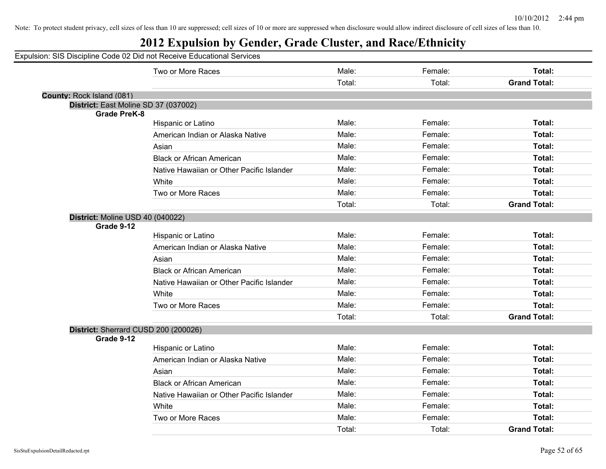|                           | Expulsion: SIS Discipline Code 02 Did not Receive Educational Services |                 |                   |                               |
|---------------------------|------------------------------------------------------------------------|-----------------|-------------------|-------------------------------|
|                           | Two or More Races                                                      | Male:           | Female:           | Total:                        |
|                           |                                                                        | Total:          | Total:            | <b>Grand Total:</b>           |
| County: Rock Island (081) |                                                                        |                 |                   |                               |
|                           | District: East Moline SD 37 (037002)                                   |                 |                   |                               |
| <b>Grade PreK-8</b>       | Hispanic or Latino                                                     | Male:           | Female:           | Total:                        |
|                           | American Indian or Alaska Native                                       | Male:           | Female:           | Total:                        |
|                           | Asian                                                                  | Male:           | Female:           | Total:                        |
|                           | <b>Black or African American</b>                                       | Male:           | Female:           | Total:                        |
|                           | Native Hawaiian or Other Pacific Islander                              | Male:           | Female:           | Total:                        |
|                           | White                                                                  | Male:           | Female:           | Total:                        |
|                           | Two or More Races                                                      | Male:           | Female:           | Total:                        |
|                           |                                                                        | Total:          | Total:            | <b>Grand Total:</b>           |
| Grade 9-12                | District: Moline USD 40 (040022)                                       |                 |                   |                               |
|                           | Hispanic or Latino                                                     | Male:           | Female:           | Total:                        |
|                           | American Indian or Alaska Native                                       | Male:           | Female:           | Total:                        |
|                           | Asian                                                                  | Male:           | Female:           | Total:                        |
|                           | <b>Black or African American</b>                                       | Male:           | Female:           | Total:                        |
|                           | Native Hawaiian or Other Pacific Islander                              | Male:           | Female:           | Total:                        |
|                           | White                                                                  | Male:           | Female:           | Total:                        |
|                           | Two or More Races                                                      | Male:           | Female:           | Total:                        |
|                           |                                                                        | Total:          | Total:            | <b>Grand Total:</b>           |
|                           | District: Sherrard CUSD 200 (200026)                                   |                 |                   |                               |
| Grade 9-12                |                                                                        |                 |                   |                               |
|                           | Hispanic or Latino                                                     | Male:           | Female:           | Total:                        |
|                           | American Indian or Alaska Native                                       | Male:           | Female:           | Total:                        |
|                           | Asian                                                                  | Male:           | Female:           | Total:                        |
|                           | <b>Black or African American</b>                                       | Male:           | Female:           | Total:                        |
|                           | Native Hawaiian or Other Pacific Islander                              | Male:           | Female:           | Total:                        |
|                           | White                                                                  | Male:           | Female:           | Total:                        |
|                           | Two or More Races                                                      | Male:<br>Total: | Female:<br>Total: | Total:<br><b>Grand Total:</b> |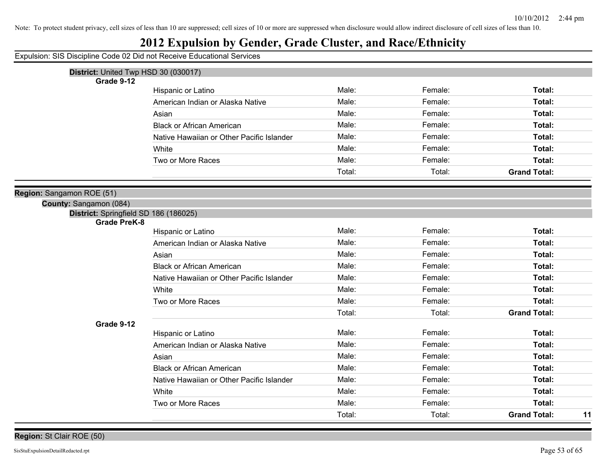## **2012 Expulsion by Gender, Grade Cluster, and Race/Ethnicity**

| District: United Twp HSD 30 (030017)  |                                           |        |         |                           |
|---------------------------------------|-------------------------------------------|--------|---------|---------------------------|
| Grade 9-12                            |                                           |        |         |                           |
|                                       | Hispanic or Latino                        | Male:  | Female: | Total:                    |
|                                       | American Indian or Alaska Native          | Male:  | Female: | Total:                    |
|                                       | Asian                                     | Male:  | Female: | Total:                    |
|                                       | <b>Black or African American</b>          | Male:  | Female: | Total:                    |
|                                       | Native Hawaiian or Other Pacific Islander | Male:  | Female: | Total:                    |
|                                       | White                                     | Male:  | Female: | Total:                    |
|                                       | Two or More Races                         | Male:  | Female: | Total:                    |
|                                       |                                           | Total: | Total:  | <b>Grand Total:</b>       |
| Region: Sangamon ROE (51)             |                                           |        |         |                           |
| County: Sangamon (084)                |                                           |        |         |                           |
| District: Springfield SD 186 (186025) |                                           |        |         |                           |
| <b>Grade PreK-8</b>                   |                                           |        |         |                           |
|                                       | Hispanic or Latino                        | Male:  | Female: | Total:                    |
|                                       | American Indian or Alaska Native          | Male:  | Female: | Total:                    |
|                                       | Asian                                     | Male:  | Female: | Total:                    |
|                                       | <b>Black or African American</b>          | Male:  | Female: | Total:                    |
|                                       | Native Hawaiian or Other Pacific Islander | Male:  | Female: | Total:                    |
|                                       | White                                     | Male:  | Female: | Total:                    |
|                                       | Two or More Races                         | Male:  | Female: | Total:                    |
|                                       |                                           | Total: | Total:  | <b>Grand Total:</b>       |
| Grade 9-12                            |                                           |        |         |                           |
|                                       | Hispanic or Latino                        | Male:  | Female: | Total:                    |
|                                       | American Indian or Alaska Native          | Male:  | Female: | Total:                    |
|                                       | Asian                                     | Male:  | Female: | Total:                    |
|                                       | <b>Black or African American</b>          | Male:  | Female: | Total:                    |
|                                       | Native Hawaiian or Other Pacific Islander | Male:  | Female: | Total:                    |
|                                       | White                                     | Male:  | Female: | Total:                    |
|                                       | Two or More Races                         | Male:  | Female: | Total:                    |
|                                       |                                           | Total: | Total:  | <b>Grand Total:</b><br>11 |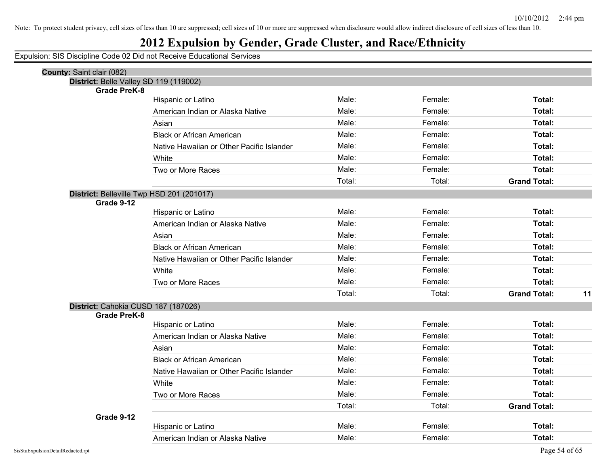## **2012 Expulsion by Gender, Grade Cluster, and Race/Ethnicity**

| <b>County: Saint clair (082)</b>          |                                           |        |         |                     |    |
|-------------------------------------------|-------------------------------------------|--------|---------|---------------------|----|
| District: Belle Valley SD 119 (119002)    |                                           |        |         |                     |    |
| <b>Grade PreK-8</b>                       |                                           | Male:  | Female: | Total:              |    |
|                                           | Hispanic or Latino                        | Male:  | Female: | Total:              |    |
|                                           | American Indian or Alaska Native          |        |         |                     |    |
|                                           | Asian                                     | Male:  | Female: | Total:              |    |
|                                           | <b>Black or African American</b>          | Male:  | Female: | Total:              |    |
|                                           | Native Hawaiian or Other Pacific Islander | Male:  | Female: | Total:              |    |
|                                           | White                                     | Male:  | Female: | Total:              |    |
|                                           | Two or More Races                         | Male:  | Female: | Total:              |    |
|                                           |                                           | Total: | Total:  | <b>Grand Total:</b> |    |
| District: Belleville Twp HSD 201 (201017) |                                           |        |         |                     |    |
| Grade 9-12                                |                                           |        |         |                     |    |
|                                           | Hispanic or Latino                        | Male:  | Female: | Total:              |    |
|                                           | American Indian or Alaska Native          | Male:  | Female: | Total:              |    |
|                                           | Asian                                     | Male:  | Female: | Total:              |    |
|                                           | <b>Black or African American</b>          | Male:  | Female: | Total:              |    |
|                                           | Native Hawaiian or Other Pacific Islander | Male:  | Female: | Total:              |    |
|                                           | White                                     | Male:  | Female: | Total:              |    |
|                                           | Two or More Races                         | Male:  | Female: | Total:              |    |
|                                           |                                           | Total: | Total:  | <b>Grand Total:</b> | 11 |
| District: Cahokia CUSD 187 (187026)       |                                           |        |         |                     |    |
| <b>Grade PreK-8</b>                       |                                           |        |         |                     |    |
|                                           | Hispanic or Latino                        | Male:  | Female: | Total:              |    |
|                                           | American Indian or Alaska Native          | Male:  | Female: | Total:              |    |
|                                           | Asian                                     | Male:  | Female: | Total:              |    |
|                                           | <b>Black or African American</b>          | Male:  | Female: | Total:              |    |
|                                           | Native Hawaiian or Other Pacific Islander | Male:  | Female: | Total:              |    |
|                                           | White                                     | Male:  | Female: | Total:              |    |
|                                           | Two or More Races                         | Male:  | Female: | Total:              |    |
|                                           |                                           | Total: | Total:  | <b>Grand Total:</b> |    |
| Grade 9-12                                |                                           |        |         |                     |    |
|                                           | Hispanic or Latino                        | Male:  | Female: | <b>Total:</b>       |    |
|                                           | American Indian or Alaska Native          | Male:  | Female: | Total:              |    |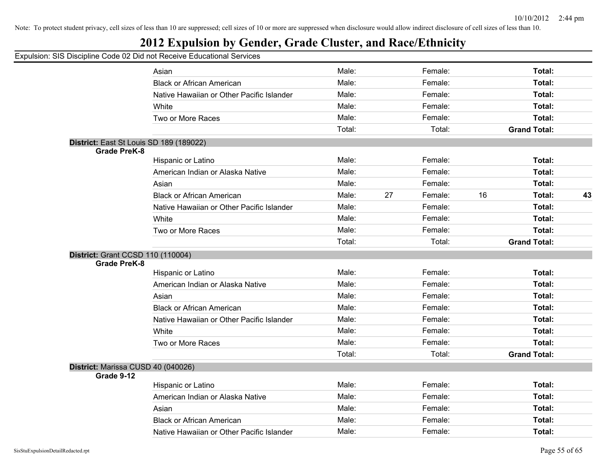## **2012 Expulsion by Gender, Grade Cluster, and Race/Ethnicity**

|                                          | Asian                                     | Male:  |    | Female: |    | Total:              |    |
|------------------------------------------|-------------------------------------------|--------|----|---------|----|---------------------|----|
|                                          | <b>Black or African American</b>          | Male:  |    | Female: |    | Total:              |    |
|                                          | Native Hawaiian or Other Pacific Islander | Male:  |    | Female: |    | Total:              |    |
|                                          | White                                     | Male:  |    | Female: |    | Total:              |    |
|                                          | Two or More Races                         | Male:  |    | Female: |    | Total:              |    |
|                                          |                                           | Total: |    | Total:  |    | <b>Grand Total:</b> |    |
| District: East St Louis SD 189 (189022)  |                                           |        |    |         |    |                     |    |
| <b>Grade PreK-8</b>                      |                                           |        |    |         |    |                     |    |
|                                          | Hispanic or Latino                        | Male:  |    | Female: |    | Total:              |    |
|                                          | American Indian or Alaska Native          | Male:  |    | Female: |    | Total:              |    |
|                                          | Asian                                     | Male:  |    | Female: |    | Total:              |    |
|                                          | <b>Black or African American</b>          | Male:  | 27 | Female: | 16 | Total:              | 43 |
|                                          | Native Hawaiian or Other Pacific Islander | Male:  |    | Female: |    | Total:              |    |
|                                          | White                                     | Male:  |    | Female: |    | Total:              |    |
|                                          | Two or More Races                         | Male:  |    | Female: |    | Total:              |    |
|                                          |                                           | Total: |    | Total:  |    | <b>Grand Total:</b> |    |
| <b>District: Grant CCSD 110 (110004)</b> |                                           |        |    |         |    |                     |    |
| <b>Grade PreK-8</b>                      |                                           |        |    |         |    |                     |    |
|                                          | Hispanic or Latino                        | Male:  |    | Female: |    | Total:              |    |
|                                          | American Indian or Alaska Native          | Male:  |    | Female: |    | Total:              |    |
|                                          | Asian                                     | Male:  |    | Female: |    | Total:              |    |
|                                          | <b>Black or African American</b>          | Male:  |    | Female: |    | Total:              |    |
|                                          | Native Hawaiian or Other Pacific Islander | Male:  |    | Female: |    | Total:              |    |
|                                          | White                                     | Male:  |    | Female: |    | Total:              |    |
|                                          | Two or More Races                         | Male:  |    | Female: |    | Total:              |    |
|                                          |                                           | Total: |    | Total:  |    | <b>Grand Total:</b> |    |
| District: Marissa CUSD 40 (040026)       |                                           |        |    |         |    |                     |    |
| Grade 9-12                               |                                           |        |    |         |    |                     |    |
|                                          | Hispanic or Latino                        | Male:  |    | Female: |    | Total:              |    |
|                                          | American Indian or Alaska Native          | Male:  |    | Female: |    | Total:              |    |
|                                          | Asian                                     | Male:  |    | Female: |    | Total:              |    |
|                                          | <b>Black or African American</b>          | Male:  |    | Female: |    | Total:              |    |
|                                          | Native Hawaiian or Other Pacific Islander | Male:  |    | Female: |    | Total:              |    |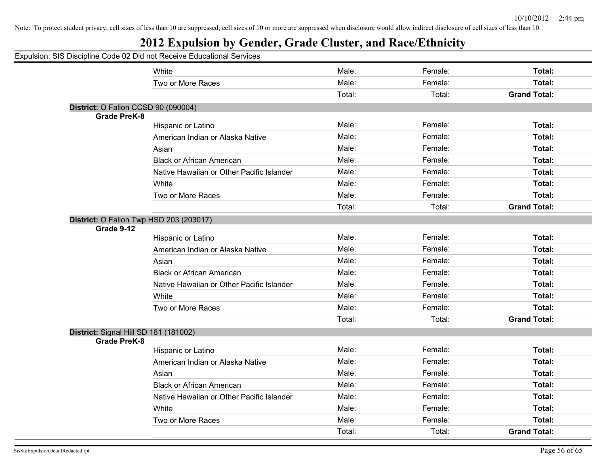#### **2012 Expulsion by Gender, Grade Cluster, and Race/Ethnicity**

#### Expulsion: SIS Discipline Code 02 Did not Receive Educational Services White **Male:** Female: **Total:** Female: **Total:** Female: **Total:** Female: Total: Two or More Races **Total: Total: Male: Total: Total: Total: Total: Total: Total: Total: Total: Total: Total: Total: Total: Total: Total: Total: Total: Total: Total: Total: Total:** Total: Total: **Grand Total: District:** O Fallon CCSD 90 (090004) **Grade PreK-8** Hispanic or Latino **Male:** Male: Female: **Female:** Total: **Total:** Female: Total: American Indian or Alaska Native **Male:** Male: Female: Female: Total: Asian **Male: Total: Propose Assume Male: Total: Total: Total: Total: Total: Total: Total: Total: Total: Total: Total: Total: Total: Total: Total: Total: Total: Total: Total: Tota** Black or African American Male: Female: **Total:** Native Hawaiian or Other Pacific Islander **Male:** Female: Female: Total: White **Total:** Male: Female: **Total:** Female: **Total:** Female: Total: Two or More Races Male: Female: **Total:** Total: Total: **Grand Total: District:** O Fallon Twp HSD 203 (203017) **Grade 9-12** Hispanic or Latino Male: Female: **Total:** American Indian or Alaska Native **Male:** Male: Female: Female: Total: Asian **Male: Total: Propose Assume Male: Total: Total: Total: Total: Total: Total: Total: Total: Total: Total: Total: Total: Total: Total: Total: Total: Total: Total: Total: Tota** Black or African American Male: Female: **Total:** Native Hawaiian or Other Pacific Islander **Male:** Male: Female: Female: Total: White **Total:** Male: Female: **Total:** Female: **Total:** Female: Total: Two or More Races Male: Female: **Total:** Total: Total: **Grand Total: District:** Signal Hill SD 181 (181002) **Grade PreK-8** Hispanic or Latino Male: Female: **Total:** American Indian or Alaska Native **Male:** Male: Total: Female: Total: Total: Total: Asian Male: Female: **Total:** Black or African American Male: Female: **Total:** Native Hawaiian or Other Pacific Islander **Male:** Male: Female: Female: Total: White **Male:** Female: **Total:** Female: **Total:** Female: **Total:** Two or More Races Male: Female: **Total:** Total: Total: **Grand Total:**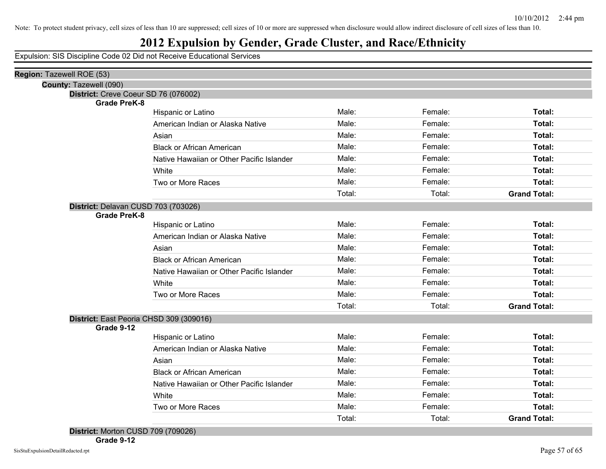#### **2012 Expulsion by Gender, Grade Cluster, and Race/Ethnicity**

Expulsion: SIS Discipline Code 02 Did not Receive Educational Services

| Region: Tazewell ROE (53)                                  |                                           |        |         |                     |
|------------------------------------------------------------|-------------------------------------------|--------|---------|---------------------|
| County: Tazewell (090)                                     |                                           |        |         |                     |
| District: Creve Coeur SD 76 (076002)                       |                                           |        |         |                     |
| <b>Grade PreK-8</b>                                        | Hispanic or Latino                        | Male:  | Female: | Total:              |
|                                                            | American Indian or Alaska Native          | Male:  | Female: | Total:              |
|                                                            | Asian                                     | Male:  | Female: | Total:              |
|                                                            | <b>Black or African American</b>          | Male:  | Female: | Total:              |
|                                                            | Native Hawaiian or Other Pacific Islander | Male:  | Female: | Total:              |
|                                                            | White                                     | Male:  | Female: | Total:              |
|                                                            | Two or More Races                         | Male:  | Female: | Total:              |
|                                                            |                                           | Total: | Total:  | <b>Grand Total:</b> |
|                                                            |                                           |        |         |                     |
| District: Delavan CUSD 703 (703026)<br><b>Grade PreK-8</b> |                                           |        |         |                     |
|                                                            | Hispanic or Latino                        | Male:  | Female: | Total:              |
|                                                            | American Indian or Alaska Native          | Male:  | Female: | Total:              |
|                                                            | Asian                                     | Male:  | Female: | Total:              |
|                                                            | <b>Black or African American</b>          | Male:  | Female: | Total:              |
|                                                            | Native Hawaiian or Other Pacific Islander | Male:  | Female: | Total:              |
|                                                            | White                                     | Male:  | Female: | Total:              |
|                                                            | Two or More Races                         | Male:  | Female: | Total:              |
|                                                            |                                           | Total: | Total:  | <b>Grand Total:</b> |
| District: East Peoria CHSD 309 (309016)                    |                                           |        |         |                     |
| Grade 9-12                                                 |                                           |        |         |                     |
|                                                            | Hispanic or Latino                        | Male:  | Female: | Total:              |
|                                                            | American Indian or Alaska Native          | Male:  | Female: | Total:              |
|                                                            | Asian                                     | Male:  | Female: | Total:              |
|                                                            | <b>Black or African American</b>          | Male:  | Female: | Total:              |
|                                                            | Native Hawaiian or Other Pacific Islander | Male:  | Female: | Total:              |
|                                                            | White                                     | Male:  | Female: | Total:              |
|                                                            | Two or More Races                         | Male:  | Female: | Total:              |
|                                                            |                                           | Total: | Total:  | <b>Grand Total:</b> |
| District: Morton CUSD 709 (709026)                         |                                           |        |         |                     |

**Grade 9-12**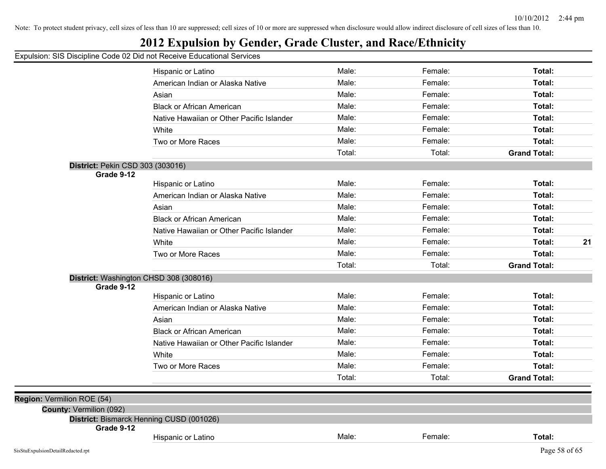## **2012 Expulsion by Gender, Grade Cluster, and Race/Ethnicity**

|                                   | Hispanic or Latino                        | Male:  | Female: | Total:              |
|-----------------------------------|-------------------------------------------|--------|---------|---------------------|
|                                   | American Indian or Alaska Native          | Male:  | Female: | Total:              |
|                                   | Asian                                     | Male:  | Female: | Total:              |
|                                   | <b>Black or African American</b>          | Male:  | Female: | Total:              |
|                                   | Native Hawaiian or Other Pacific Islander | Male:  | Female: | Total:              |
|                                   | White                                     | Male:  | Female: | Total:              |
|                                   | Two or More Races                         | Male:  | Female: | Total:              |
|                                   |                                           | Total: | Total:  | <b>Grand Total:</b> |
| District: Pekin CSD 303 (303016)  |                                           |        |         |                     |
| Grade 9-12                        |                                           |        |         |                     |
|                                   | Hispanic or Latino                        | Male:  | Female: | Total:              |
|                                   | American Indian or Alaska Native          | Male:  | Female: | Total:              |
|                                   | Asian                                     | Male:  | Female: | Total:              |
|                                   | <b>Black or African American</b>          | Male:  | Female: | Total:              |
|                                   | Native Hawaiian or Other Pacific Islander | Male:  | Female: | Total:              |
|                                   | White                                     | Male:  | Female: | Total:<br>21        |
|                                   | Two or More Races                         | Male:  | Female: | Total:              |
|                                   |                                           | Total: | Total:  | <b>Grand Total:</b> |
|                                   | District: Washington CHSD 308 (308016)    |        |         |                     |
| Grade 9-12                        |                                           | Male:  | Female: | Total:              |
|                                   | Hispanic or Latino                        |        |         |                     |
|                                   | American Indian or Alaska Native          | Male:  | Female: | Total:              |
|                                   | Asian                                     | Male:  | Female: | Total:              |
|                                   | <b>Black or African American</b>          | Male:  | Female: | Total:              |
|                                   | Native Hawaiian or Other Pacific Islander | Male:  | Female: | Total:              |
|                                   | White                                     | Male:  | Female: | Total:              |
|                                   | Two or More Races                         | Male:  | Female: | Total:              |
|                                   |                                           | Total: | Total:  | <b>Grand Total:</b> |
| Region: Vermilion ROE (54)        |                                           |        |         |                     |
| County: Vermilion (092)           |                                           |        |         |                     |
|                                   | District: Bismarck Henning CUSD (001026)  |        |         |                     |
| Grade 9-12                        |                                           | Male:  |         |                     |
|                                   | Hispanic or Latino                        |        | Female: | Total:              |
| SisStuExpulsionDetailRedacted.rpt |                                           |        |         | Page 58 of 65       |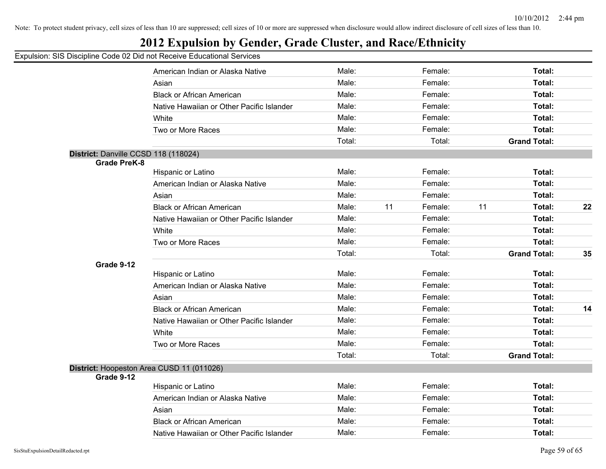## **2012 Expulsion by Gender, Grade Cluster, and Race/Ethnicity**

|                                      | American Indian or Alaska Native          | Male:  |    | Female: |    | Total:              |    |
|--------------------------------------|-------------------------------------------|--------|----|---------|----|---------------------|----|
|                                      | Asian                                     | Male:  |    | Female: |    | Total:              |    |
|                                      | <b>Black or African American</b>          | Male:  |    | Female: |    | Total:              |    |
|                                      | Native Hawaiian or Other Pacific Islander | Male:  |    | Female: |    | Total:              |    |
|                                      | White                                     | Male:  |    | Female: |    | Total:              |    |
|                                      | Two or More Races                         | Male:  |    | Female: |    | Total:              |    |
|                                      |                                           | Total: |    | Total:  |    | <b>Grand Total:</b> |    |
| District: Danville CCSD 118 (118024) |                                           |        |    |         |    |                     |    |
| <b>Grade PreK-8</b>                  |                                           |        |    |         |    |                     |    |
|                                      | Hispanic or Latino                        | Male:  |    | Female: |    | Total:              |    |
|                                      | American Indian or Alaska Native          | Male:  |    | Female: |    | Total:              |    |
|                                      | Asian                                     | Male:  |    | Female: |    | Total:              |    |
|                                      | <b>Black or African American</b>          | Male:  | 11 | Female: | 11 | Total:              | 22 |
|                                      | Native Hawaiian or Other Pacific Islander | Male:  |    | Female: |    | Total:              |    |
|                                      | White                                     | Male:  |    | Female: |    | Total:              |    |
|                                      | Two or More Races                         | Male:  |    | Female: |    | Total:              |    |
|                                      |                                           | Total: |    | Total:  |    | <b>Grand Total:</b> | 35 |
| Grade 9-12                           |                                           |        |    |         |    |                     |    |
|                                      | Hispanic or Latino                        | Male:  |    | Female: |    | Total:              |    |
|                                      | American Indian or Alaska Native          | Male:  |    | Female: |    | Total:              |    |
|                                      | Asian                                     | Male:  |    | Female: |    | Total:              |    |
|                                      | <b>Black or African American</b>          | Male:  |    | Female: |    | Total:              | 14 |
|                                      | Native Hawaiian or Other Pacific Islander | Male:  |    | Female: |    | Total:              |    |
|                                      | White                                     | Male:  |    | Female: |    | Total:              |    |
|                                      | Two or More Races                         | Male:  |    | Female: |    | Total:              |    |
|                                      |                                           | Total: |    | Total:  |    | <b>Grand Total:</b> |    |
|                                      | District: Hoopeston Area CUSD 11 (011026) |        |    |         |    |                     |    |
| Grade 9-12                           |                                           |        |    |         |    |                     |    |
|                                      | Hispanic or Latino                        | Male:  |    | Female: |    | Total:              |    |
|                                      | American Indian or Alaska Native          | Male:  |    | Female: |    | Total:              |    |
|                                      | Asian                                     | Male:  |    | Female: |    | Total:              |    |
|                                      | <b>Black or African American</b>          | Male:  |    | Female: |    | Total:              |    |
|                                      | Native Hawaiian or Other Pacific Islander | Male:  |    | Female: |    | Total:              |    |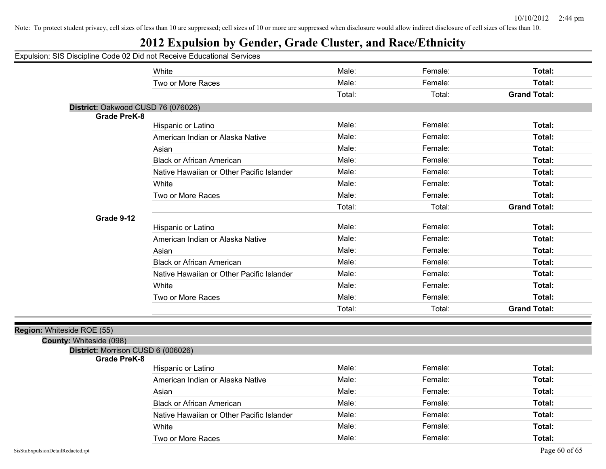## **2012 Expulsion by Gender, Grade Cluster, and Race/Ethnicity**

|                                                           | White                                     | Male:  | Female: | Total:              |
|-----------------------------------------------------------|-------------------------------------------|--------|---------|---------------------|
|                                                           | Two or More Races                         | Male:  | Female: | Total:              |
|                                                           |                                           | Total: | Total:  | <b>Grand Total:</b> |
| District: Oakwood CUSD 76 (076026)                        |                                           |        |         |                     |
| <b>Grade PreK-8</b>                                       |                                           |        |         |                     |
|                                                           | Hispanic or Latino                        | Male:  | Female: | Total:              |
|                                                           | American Indian or Alaska Native          | Male:  | Female: | Total:              |
|                                                           | Asian                                     | Male:  | Female: | Total:              |
|                                                           | <b>Black or African American</b>          | Male:  | Female: | Total:              |
|                                                           | Native Hawaiian or Other Pacific Islander | Male:  | Female: | Total:              |
|                                                           | White                                     | Male:  | Female: | Total:              |
|                                                           | Two or More Races                         | Male:  | Female: | Total:              |
|                                                           |                                           | Total: | Total:  | <b>Grand Total:</b> |
| Grade 9-12                                                |                                           |        |         |                     |
|                                                           | Hispanic or Latino                        | Male:  | Female: | Total:              |
|                                                           | American Indian or Alaska Native          | Male:  | Female: | Total:              |
|                                                           | Asian                                     | Male:  | Female: | Total:              |
|                                                           | <b>Black or African American</b>          | Male:  | Female: | Total:              |
|                                                           | Native Hawaiian or Other Pacific Islander | Male:  | Female: | Total:              |
|                                                           | White                                     | Male:  | Female: | Total:              |
|                                                           | Two or More Races                         | Male:  | Female: | Total:              |
|                                                           |                                           | Total: | Total:  | <b>Grand Total:</b> |
|                                                           |                                           |        |         |                     |
| Region: Whiteside ROE (55)                                |                                           |        |         |                     |
| County: Whiteside (098)                                   |                                           |        |         |                     |
| District: Morrison CUSD 6 (006026)<br><b>Grade PreK-8</b> |                                           |        |         |                     |
|                                                           | Hispanic or Latino                        | Male:  | Female: | Total:              |
|                                                           | American Indian or Alaska Native          | Male:  | Female: | Total:              |
|                                                           | Asian                                     | Male:  | Female: | Total:              |
|                                                           | <b>Black or African American</b>          | Male:  | Female: | Total:              |
|                                                           | Native Hawaiian or Other Pacific Islander | Male:  | Female: | Total:              |
|                                                           | White                                     | Male:  | Female: | Total:              |
|                                                           | Two or More Races                         | Male:  | Female: | Total:              |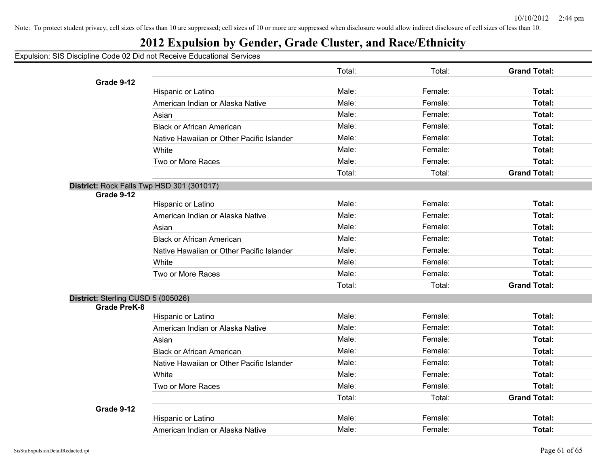## **2012 Expulsion by Gender, Grade Cluster, and Race/Ethnicity**

|                                           |                                           | Total: | Total:  | <b>Grand Total:</b> |
|-------------------------------------------|-------------------------------------------|--------|---------|---------------------|
| Grade 9-12                                |                                           |        |         |                     |
|                                           | Hispanic or Latino                        | Male:  | Female: | Total:              |
|                                           | American Indian or Alaska Native          | Male:  | Female: | Total:              |
|                                           | Asian                                     | Male:  | Female: | Total:              |
|                                           | <b>Black or African American</b>          | Male:  | Female: | Total:              |
|                                           | Native Hawaiian or Other Pacific Islander | Male:  | Female: | Total:              |
|                                           | White                                     | Male:  | Female: | Total:              |
|                                           | Two or More Races                         | Male:  | Female: | Total:              |
|                                           |                                           | Total: | Total:  | <b>Grand Total:</b> |
| District: Rock Falls Twp HSD 301 (301017) |                                           |        |         |                     |
| Grade 9-12                                |                                           | Male:  |         |                     |
|                                           | Hispanic or Latino                        |        | Female: | Total:              |
|                                           | American Indian or Alaska Native          | Male:  | Female: | Total:              |
|                                           | Asian                                     | Male:  | Female: | Total:              |
|                                           | <b>Black or African American</b>          | Male:  | Female: | Total:              |
|                                           | Native Hawaiian or Other Pacific Islander | Male:  | Female: | Total:              |
|                                           | White                                     | Male:  | Female: | Total:              |
|                                           | Two or More Races                         | Male:  | Female: | Total:              |
|                                           |                                           | Total: | Total:  | <b>Grand Total:</b> |
| District: Sterling CUSD 5 (005026)        |                                           |        |         |                     |
| <b>Grade PreK-8</b>                       | Hispanic or Latino                        | Male:  | Female: | Total:              |
|                                           | American Indian or Alaska Native          | Male:  | Female: | Total:              |
|                                           | Asian                                     | Male:  | Female: | Total:              |
|                                           | <b>Black or African American</b>          | Male:  | Female: | Total:              |
|                                           | Native Hawaiian or Other Pacific Islander | Male:  | Female: | Total:              |
|                                           |                                           | Male:  | Female: | Total:              |
|                                           | White                                     |        |         |                     |
|                                           | Two or More Races                         | Male:  | Female: | Total:              |
|                                           |                                           | Total: | Total:  | <b>Grand Total:</b> |
| Grade 9-12                                | Hispanic or Latino                        | Male:  | Female: | Total:              |
|                                           | American Indian or Alaska Native          | Male:  | Female: | Total:              |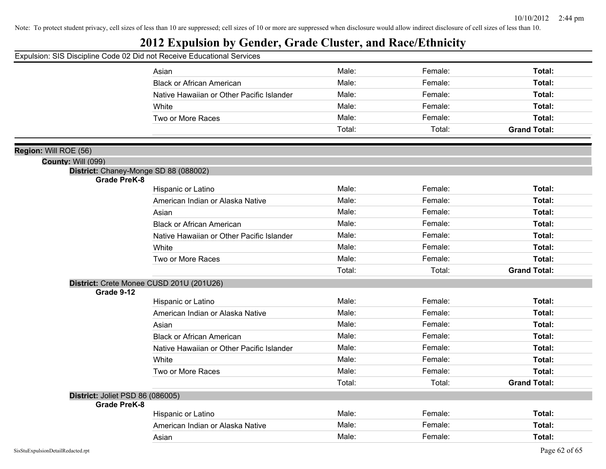## **2012 Expulsion by Gender, Grade Cluster, and Race/Ethnicity**

|                                                              | Asian                                     | Male:  | Female: | Total:              |
|--------------------------------------------------------------|-------------------------------------------|--------|---------|---------------------|
|                                                              | <b>Black or African American</b>          | Male:  | Female: | Total:              |
|                                                              | Native Hawaiian or Other Pacific Islander | Male:  | Female: | Total:              |
|                                                              | White                                     | Male:  | Female: | Total:              |
|                                                              | Two or More Races                         | Male:  | Female: | Total:              |
|                                                              |                                           | Total: | Total:  | <b>Grand Total:</b> |
|                                                              |                                           |        |         |                     |
| Region: Will ROE (56)                                        |                                           |        |         |                     |
| <b>County: Will (099)</b>                                    |                                           |        |         |                     |
| District: Chaney-Monge SD 88 (088002)<br><b>Grade PreK-8</b> |                                           |        |         |                     |
|                                                              | Hispanic or Latino                        | Male:  | Female: | Total:              |
|                                                              | American Indian or Alaska Native          | Male:  | Female: | Total:              |
|                                                              | Asian                                     | Male:  | Female: | Total:              |
|                                                              | <b>Black or African American</b>          | Male:  | Female: | Total:              |
|                                                              | Native Hawaiian or Other Pacific Islander | Male:  | Female: | Total:              |
|                                                              | White                                     | Male:  | Female: | Total:              |
|                                                              | Two or More Races                         | Male:  | Female: | Total:              |
|                                                              |                                           | Total: | Total:  | <b>Grand Total:</b> |
|                                                              | District: Crete Monee CUSD 201U (201U26)  |        |         |                     |
| Grade 9-12                                                   |                                           |        |         |                     |
|                                                              | Hispanic or Latino                        | Male:  | Female: | Total:              |
|                                                              | American Indian or Alaska Native          | Male:  | Female: | Total:              |
|                                                              | Asian                                     | Male:  | Female: | Total:              |
|                                                              | <b>Black or African American</b>          | Male:  | Female: | Total:              |
|                                                              | Native Hawaiian or Other Pacific Islander | Male:  | Female: | Total:              |
|                                                              | White                                     | Male:  | Female: | Total:              |
|                                                              | Two or More Races                         | Male:  | Female: | Total:              |
|                                                              |                                           | Total: | Total:  | <b>Grand Total:</b> |
| District: Joliet PSD 86 (086005)                             |                                           |        |         |                     |
| <b>Grade PreK-8</b>                                          |                                           |        |         |                     |
|                                                              | Hispanic or Latino                        | Male:  | Female: | Total:              |
|                                                              | American Indian or Alaska Native          | Male:  | Female: | Total:              |
|                                                              | Asian                                     | Male:  | Female: | Total:              |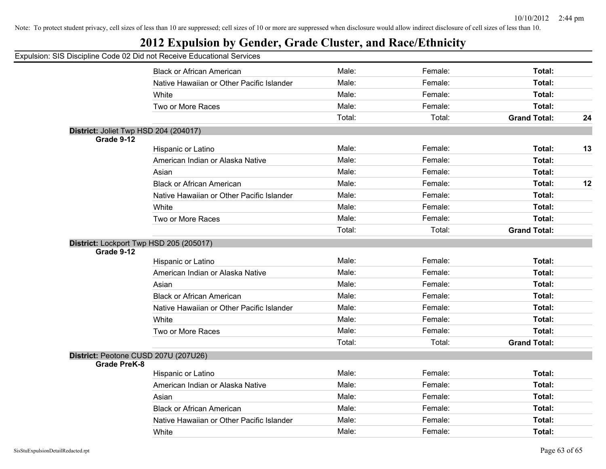## **2012 Expulsion by Gender, Grade Cluster, and Race/Ethnicity**

|                     | <b>Black or African American</b>          | Male:  | Female: | Total:              |    |
|---------------------|-------------------------------------------|--------|---------|---------------------|----|
|                     | Native Hawaiian or Other Pacific Islander | Male:  | Female: | Total:              |    |
|                     | White                                     | Male:  | Female: | Total:              |    |
|                     | Two or More Races                         | Male:  | Female: | Total:              |    |
|                     |                                           | Total: | Total:  | <b>Grand Total:</b> | 24 |
|                     | District: Joliet Twp HSD 204 (204017)     |        |         |                     |    |
| Grade 9-12          |                                           |        |         |                     |    |
|                     | Hispanic or Latino                        | Male:  | Female: | Total:              | 13 |
|                     | American Indian or Alaska Native          | Male:  | Female: | Total:              |    |
|                     | Asian                                     | Male:  | Female: | Total:              |    |
|                     | <b>Black or African American</b>          | Male:  | Female: | Total:              | 12 |
|                     | Native Hawaiian or Other Pacific Islander | Male:  | Female: | Total:              |    |
|                     | White                                     | Male:  | Female: | Total:              |    |
|                     | Two or More Races                         | Male:  | Female: | Total:              |    |
|                     |                                           | Total: | Total:  | <b>Grand Total:</b> |    |
|                     | District: Lockport Twp HSD 205 (205017)   |        |         |                     |    |
| Grade 9-12          |                                           |        |         |                     |    |
|                     | Hispanic or Latino                        | Male:  | Female: | Total:              |    |
|                     | American Indian or Alaska Native          | Male:  | Female: | Total:              |    |
|                     | Asian                                     | Male:  | Female: | Total:              |    |
|                     | <b>Black or African American</b>          | Male:  | Female: | Total:              |    |
|                     | Native Hawaiian or Other Pacific Islander | Male:  | Female: | Total:              |    |
|                     | White                                     | Male:  | Female: | Total:              |    |
|                     | Two or More Races                         | Male:  | Female: | Total:              |    |
|                     |                                           | Total: | Total:  | <b>Grand Total:</b> |    |
|                     | District: Peotone CUSD 207U (207U26)      |        |         |                     |    |
| <b>Grade PreK-8</b> |                                           |        |         |                     |    |
|                     | Hispanic or Latino                        | Male:  | Female: | Total:              |    |
|                     | American Indian or Alaska Native          | Male:  | Female: | Total:              |    |
|                     | Asian                                     | Male:  | Female: | Total:              |    |
|                     | <b>Black or African American</b>          | Male:  | Female: | Total:              |    |
|                     | Native Hawaiian or Other Pacific Islander | Male:  | Female: | Total:              |    |
|                     | White                                     | Male:  | Female: | Total:              |    |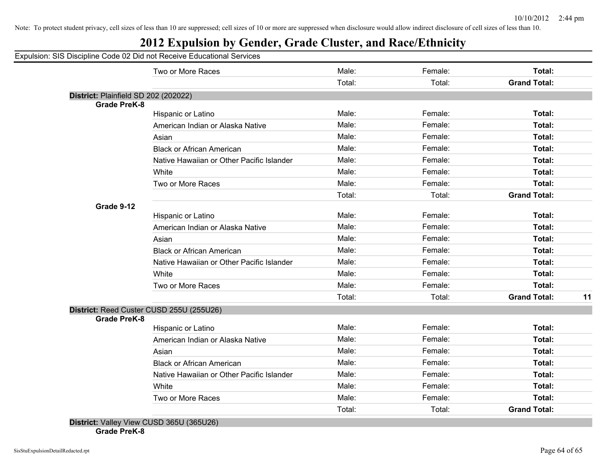## **2012 Expulsion by Gender, Grade Cluster, and Race/Ethnicity**

Expulsion: SIS Discipline Code 02 Did not Receive Educational Services

|                                      | Two or More Races                         | Male:  | Female: | Total:                    |
|--------------------------------------|-------------------------------------------|--------|---------|---------------------------|
|                                      |                                           | Total: | Total:  | <b>Grand Total:</b>       |
| District: Plainfield SD 202 (202022) |                                           |        |         |                           |
| <b>Grade PreK-8</b>                  |                                           |        |         |                           |
|                                      | Hispanic or Latino                        | Male:  | Female: | Total:                    |
|                                      | American Indian or Alaska Native          | Male:  | Female: | Total:                    |
|                                      | Asian                                     | Male:  | Female: | Total:                    |
|                                      | <b>Black or African American</b>          | Male:  | Female: | Total:                    |
|                                      | Native Hawaiian or Other Pacific Islander | Male:  | Female: | Total:                    |
|                                      | White                                     | Male:  | Female: | Total:                    |
|                                      | Two or More Races                         | Male:  | Female: | Total:                    |
|                                      |                                           | Total: | Total:  | <b>Grand Total:</b>       |
| Grade 9-12                           |                                           |        |         |                           |
|                                      | Hispanic or Latino                        | Male:  | Female: | Total:                    |
|                                      | American Indian or Alaska Native          | Male:  | Female: | Total:                    |
|                                      | Asian                                     | Male:  | Female: | Total:                    |
|                                      | <b>Black or African American</b>          | Male:  | Female: | Total:                    |
|                                      | Native Hawaiian or Other Pacific Islander | Male:  | Female: | Total:                    |
|                                      | White                                     | Male:  | Female: | Total:                    |
|                                      | Two or More Races                         | Male:  | Female: | Total:                    |
|                                      |                                           | Total: | Total:  | <b>Grand Total:</b><br>11 |
|                                      | District: Reed Custer CUSD 255U (255U26)  |        |         |                           |
| <b>Grade PreK-8</b>                  |                                           |        |         |                           |
|                                      | Hispanic or Latino                        | Male:  | Female: | Total:                    |
|                                      | American Indian or Alaska Native          | Male:  | Female: | Total:                    |
|                                      | Asian                                     | Male:  | Female: | Total:                    |
|                                      | <b>Black or African American</b>          | Male:  | Female: | Total:                    |
|                                      | Native Hawaiian or Other Pacific Islander | Male:  | Female: | Total:                    |
|                                      | White                                     | Male:  | Female: | Total:                    |
|                                      | Two or More Races                         | Male:  | Female: | Total:                    |
|                                      |                                           | Total: | Total:  | <b>Grand Total:</b>       |

**Grade PreK-8**